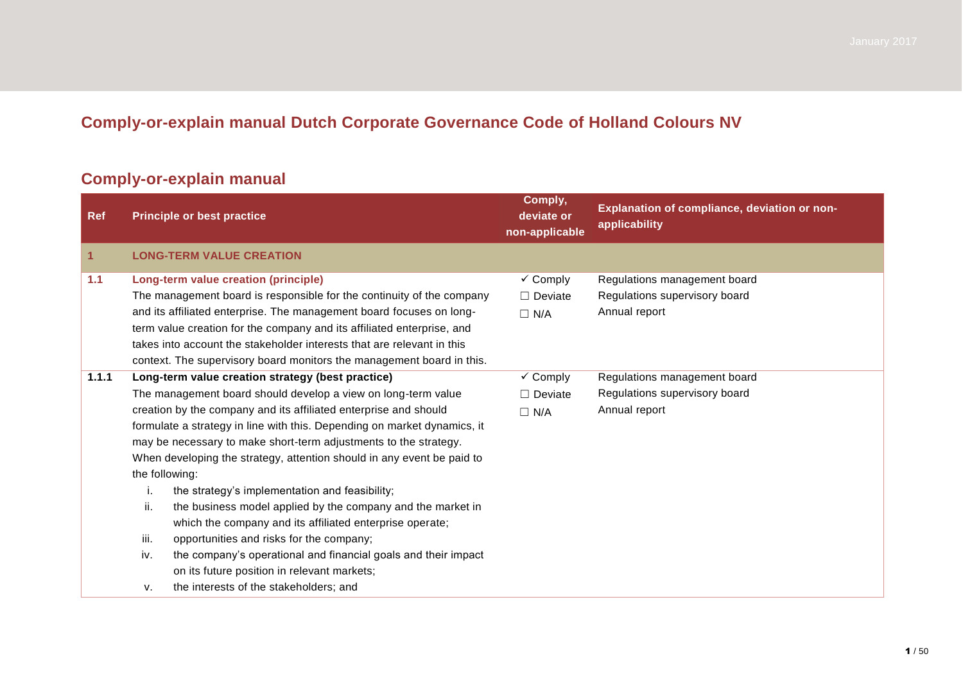## **Comply-or-explain manual Dutch Corporate Governance Code of Holland Colours NV**

## **Comply-or-explain manual**

| <b>Ref</b>   | <b>Principle or best practice</b>                                        | Comply,<br>deviate or<br>non-applicable | Explanation of compliance, deviation or non-<br>applicability |
|--------------|--------------------------------------------------------------------------|-----------------------------------------|---------------------------------------------------------------|
| $\mathbf{1}$ | <b>LONG-TERM VALUE CREATION</b>                                          |                                         |                                                               |
| 1.1          | Long-term value creation (principle)                                     | $\checkmark$ Comply                     | Regulations management board                                  |
|              | The management board is responsible for the continuity of the company    | $\Box$ Deviate                          | Regulations supervisory board                                 |
|              | and its affiliated enterprise. The management board focuses on long-     | $\Box$ N/A                              | Annual report                                                 |
|              | term value creation for the company and its affiliated enterprise, and   |                                         |                                                               |
|              | takes into account the stakeholder interests that are relevant in this   |                                         |                                                               |
|              | context. The supervisory board monitors the management board in this.    |                                         |                                                               |
| 1.1.1        | Long-term value creation strategy (best practice)                        | $\checkmark$ Comply                     | Regulations management board                                  |
|              | The management board should develop a view on long-term value            | $\Box$ Deviate                          | Regulations supervisory board                                 |
|              | creation by the company and its affiliated enterprise and should         |                                         | Annual report                                                 |
|              | formulate a strategy in line with this. Depending on market dynamics, it |                                         |                                                               |
|              | may be necessary to make short-term adjustments to the strategy.         |                                         |                                                               |
|              | When developing the strategy, attention should in any event be paid to   |                                         |                                                               |
|              | the following:                                                           |                                         |                                                               |
|              | the strategy's implementation and feasibility;<br>i.                     |                                         |                                                               |
|              | ii.<br>the business model applied by the company and the market in       |                                         |                                                               |
|              | which the company and its affiliated enterprise operate;                 |                                         |                                                               |
|              | iii.<br>opportunities and risks for the company;                         |                                         |                                                               |
|              | the company's operational and financial goals and their impact<br>iv.    |                                         |                                                               |
|              | on its future position in relevant markets;                              |                                         |                                                               |
|              | the interests of the stakeholders; and<br>v.                             |                                         |                                                               |

January 2017 Dramatic 23 December 2016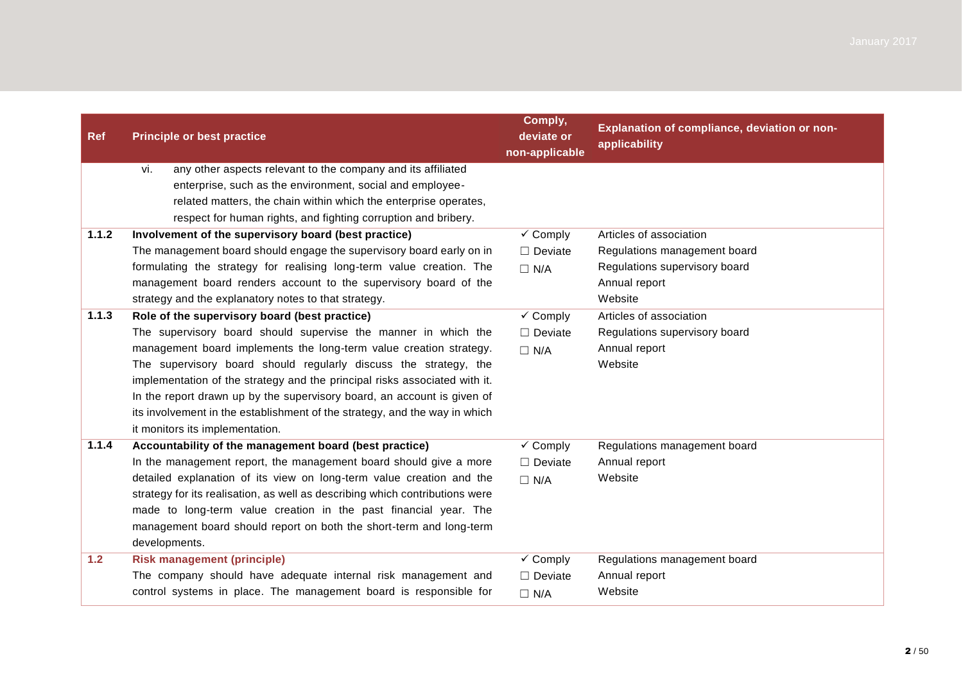| <b>Ref</b> | <b>Principle or best practice</b>                                                                                                                                                                                                                                                                                                                                                                                                                                                                                                   | Comply,<br>deviate or<br>non-applicable             | Explanation of compliance, deviation or non-<br>applicability                                                        |
|------------|-------------------------------------------------------------------------------------------------------------------------------------------------------------------------------------------------------------------------------------------------------------------------------------------------------------------------------------------------------------------------------------------------------------------------------------------------------------------------------------------------------------------------------------|-----------------------------------------------------|----------------------------------------------------------------------------------------------------------------------|
|            | any other aspects relevant to the company and its affiliated<br>vi.<br>enterprise, such as the environment, social and employee-<br>related matters, the chain within which the enterprise operates,<br>respect for human rights, and fighting corruption and bribery.                                                                                                                                                                                                                                                              |                                                     |                                                                                                                      |
| 1.1.2      | Involvement of the supervisory board (best practice)<br>The management board should engage the supervisory board early on in<br>formulating the strategy for realising long-term value creation. The<br>management board renders account to the supervisory board of the<br>strategy and the explanatory notes to that strategy.                                                                                                                                                                                                    | $\checkmark$ Comply<br>$\Box$ Deviate<br>$\Box$ N/A | Articles of association<br>Regulations management board<br>Regulations supervisory board<br>Annual report<br>Website |
| 1.1.3      | Role of the supervisory board (best practice)<br>The supervisory board should supervise the manner in which the<br>management board implements the long-term value creation strategy.<br>The supervisory board should regularly discuss the strategy, the<br>implementation of the strategy and the principal risks associated with it.<br>In the report drawn up by the supervisory board, an account is given of<br>its involvement in the establishment of the strategy, and the way in which<br>it monitors its implementation. | $\checkmark$ Comply<br>$\Box$ Deviate<br>$\Box$ N/A | Articles of association<br>Regulations supervisory board<br>Annual report<br>Website                                 |
| 1.1.4      | Accountability of the management board (best practice)<br>In the management report, the management board should give a more<br>detailed explanation of its view on long-term value creation and the<br>strategy for its realisation, as well as describing which contributions were<br>made to long-term value creation in the past financial year. The<br>management board should report on both the short-term and long-term<br>developments.                                                                                     | $\checkmark$ Comply<br>$\Box$ Deviate<br>$\Box$ N/A | Regulations management board<br>Annual report<br>Website                                                             |
| $1.2$      | <b>Risk management (principle)</b><br>The company should have adequate internal risk management and<br>control systems in place. The management board is responsible for                                                                                                                                                                                                                                                                                                                                                            | $\checkmark$ Comply<br>$\Box$ Deviate<br>$\Box$ N/A | Regulations management board<br>Annual report<br>Website                                                             |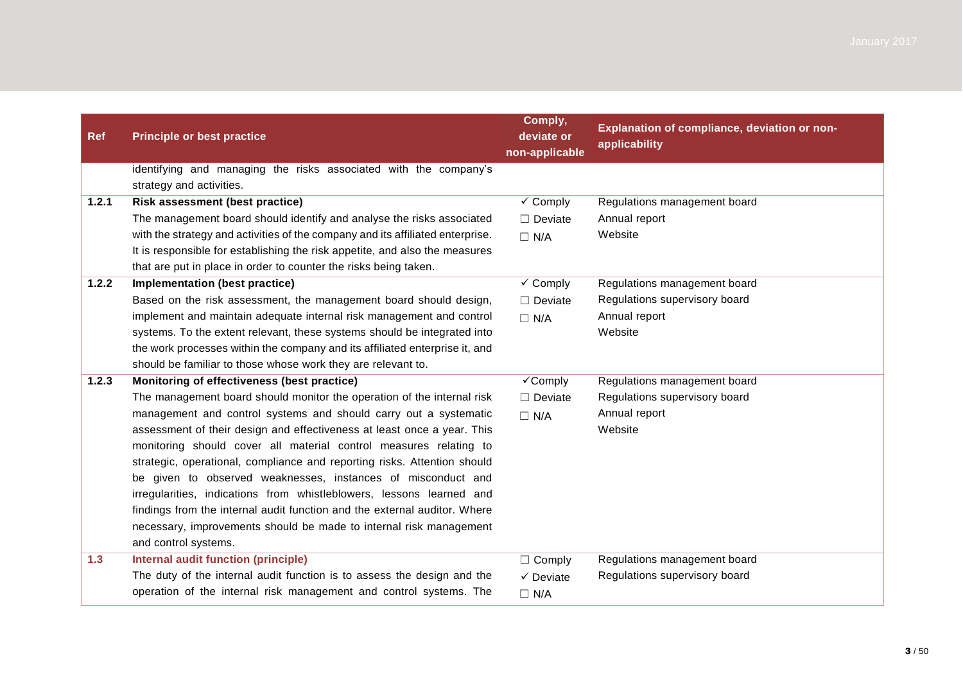| <b>Ref</b> | <b>Principle or best practice</b>                                              | Comply,<br>deviate or<br>non-applicable | Explanation of compliance, deviation or non-<br>applicability |
|------------|--------------------------------------------------------------------------------|-----------------------------------------|---------------------------------------------------------------|
|            | identifying and managing the risks associated with the company's               |                                         |                                                               |
|            | strategy and activities.                                                       |                                         |                                                               |
| 1.2.1      | <b>Risk assessment (best practice)</b>                                         | $\checkmark$ Comply                     | Regulations management board                                  |
|            | The management board should identify and analyse the risks associated          | $\Box$ Deviate                          | Annual report                                                 |
|            | with the strategy and activities of the company and its affiliated enterprise. | $\Box$ N/A                              | Website                                                       |
|            | It is responsible for establishing the risk appetite, and also the measures    |                                         |                                                               |
|            | that are put in place in order to counter the risks being taken.               |                                         |                                                               |
| 1.2.2      | Implementation (best practice)                                                 | $\checkmark$ Comply                     | Regulations management board                                  |
|            | Based on the risk assessment, the management board should design,              | $\Box$ Deviate                          | Regulations supervisory board                                 |
|            | implement and maintain adequate internal risk management and control           | $\Box$ N/A                              | Annual report                                                 |
|            | systems. To the extent relevant, these systems should be integrated into       |                                         | Website                                                       |
|            | the work processes within the company and its affiliated enterprise it, and    |                                         |                                                               |
|            | should be familiar to those whose work they are relevant to.                   |                                         |                                                               |
| 1.2.3      | Monitoring of effectiveness (best practice)                                    | $\checkmark$ Comply                     | Regulations management board                                  |
|            | The management board should monitor the operation of the internal risk         | $\Box$ Deviate                          | Regulations supervisory board                                 |
|            | management and control systems and should carry out a systematic               | $\Box$ N/A                              | Annual report                                                 |
|            | assessment of their design and effectiveness at least once a year. This        |                                         | Website                                                       |
|            | monitoring should cover all material control measures relating to              |                                         |                                                               |
|            | strategic, operational, compliance and reporting risks. Attention should       |                                         |                                                               |
|            | be given to observed weaknesses, instances of misconduct and                   |                                         |                                                               |
|            | irregularities, indications from whistleblowers, lessons learned and           |                                         |                                                               |
|            | findings from the internal audit function and the external auditor. Where      |                                         |                                                               |
|            | necessary, improvements should be made to internal risk management             |                                         |                                                               |
|            | and control systems.                                                           |                                         |                                                               |
| 1.3        | Internal audit function (principle)                                            | $\Box$ Comply                           | Regulations management board                                  |
|            | The duty of the internal audit function is to assess the design and the        | $\checkmark$ Deviate                    | Regulations supervisory board                                 |
|            | operation of the internal risk management and control systems. The             | $\Box$ N/A                              |                                                               |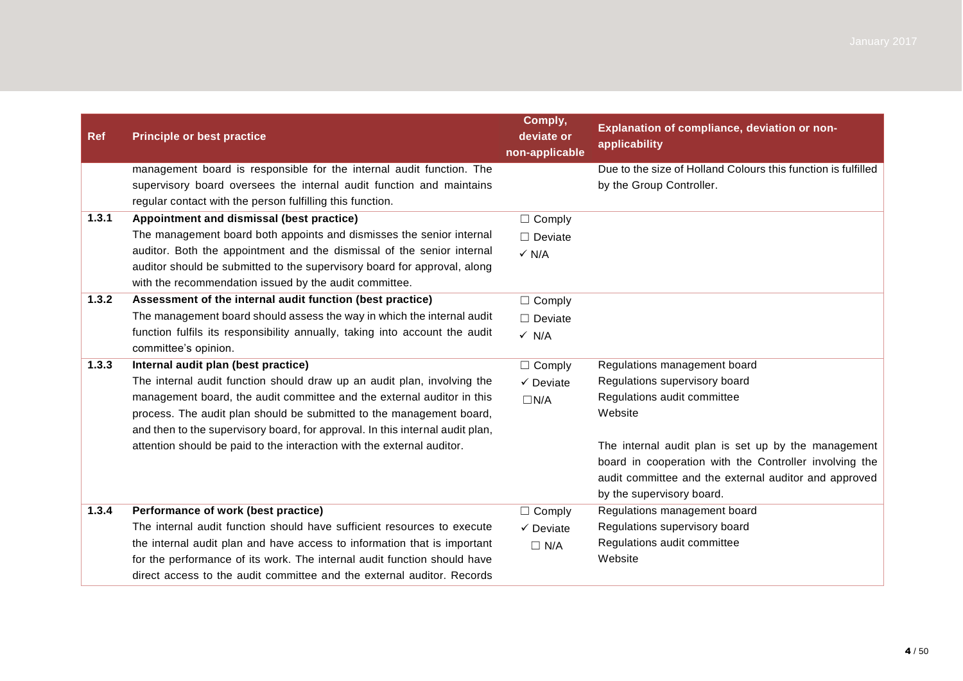| <b>Ref</b> | <b>Principle or best practice</b>                                             | Comply,<br>deviate or<br>non-applicable | Explanation of compliance, deviation or non-<br>applicability |
|------------|-------------------------------------------------------------------------------|-----------------------------------------|---------------------------------------------------------------|
|            | management board is responsible for the internal audit function. The          |                                         | Due to the size of Holland Colours this function is fulfilled |
|            | supervisory board oversees the internal audit function and maintains          |                                         | by the Group Controller.                                      |
|            | regular contact with the person fulfilling this function.                     |                                         |                                                               |
| 1.3.1      | Appointment and dismissal (best practice)                                     | $\Box$ Comply                           |                                                               |
|            | The management board both appoints and dismisses the senior internal          | $\Box$ Deviate                          |                                                               |
|            | auditor. Both the appointment and the dismissal of the senior internal        | $\checkmark$ N/A                        |                                                               |
|            | auditor should be submitted to the supervisory board for approval, along      |                                         |                                                               |
|            | with the recommendation issued by the audit committee.                        |                                         |                                                               |
| 1.3.2      | Assessment of the internal audit function (best practice)                     | $\Box$ Comply                           |                                                               |
|            | The management board should assess the way in which the internal audit        | $\Box$ Deviate                          |                                                               |
|            | function fulfils its responsibility annually, taking into account the audit   | $\checkmark$ N/A                        |                                                               |
|            | committee's opinion.                                                          |                                         |                                                               |
| 1.3.3      | Internal audit plan (best practice)                                           | $\Box$ Comply                           | Regulations management board                                  |
|            | The internal audit function should draw up an audit plan, involving the       | $\checkmark$ Deviate                    | Regulations supervisory board                                 |
|            | management board, the audit committee and the external auditor in this        | $\Box N/A$                              | Regulations audit committee                                   |
|            | process. The audit plan should be submitted to the management board,          |                                         | Website                                                       |
|            | and then to the supervisory board, for approval. In this internal audit plan, |                                         |                                                               |
|            | attention should be paid to the interaction with the external auditor.        |                                         | The internal audit plan is set up by the management           |
|            |                                                                               |                                         | board in cooperation with the Controller involving the        |
|            |                                                                               |                                         | audit committee and the external auditor and approved         |
|            |                                                                               |                                         | by the supervisory board.                                     |
| 1.3.4      | Performance of work (best practice)                                           | $\Box$ Comply                           | Regulations management board                                  |
|            | The internal audit function should have sufficient resources to execute       | $\checkmark$ Deviate                    | Regulations supervisory board                                 |
|            | the internal audit plan and have access to information that is important      | $\Box$ N/A                              | Regulations audit committee                                   |
|            | for the performance of its work. The internal audit function should have      |                                         | Website                                                       |
|            | direct access to the audit committee and the external auditor. Records        |                                         |                                                               |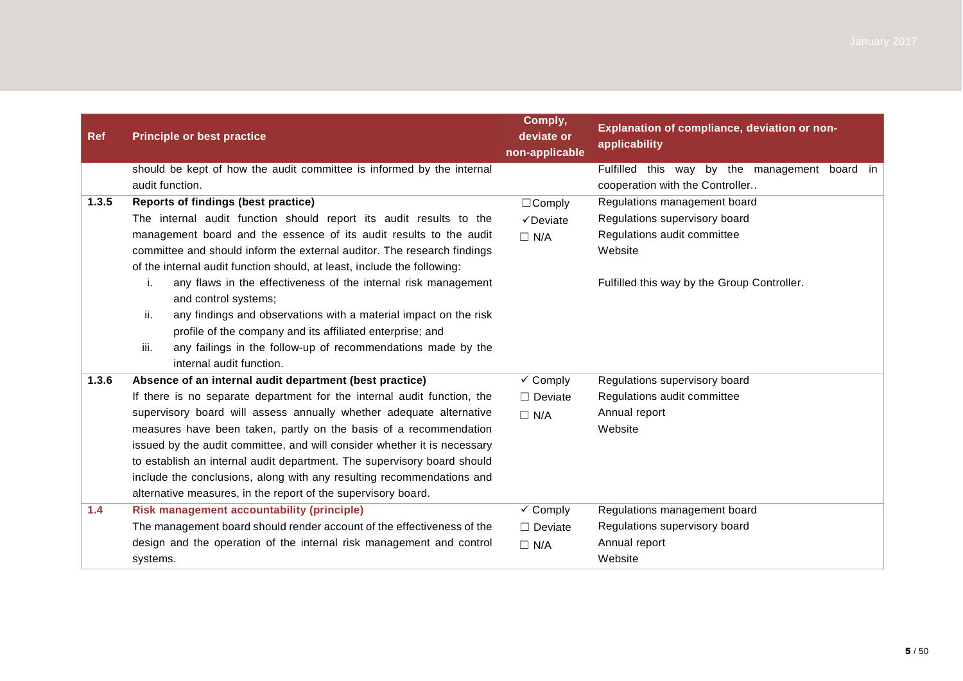| <b>Ref</b> | <b>Principle or best practice</b>                                        | Comply,<br>deviate or<br>non-applicable | Explanation of compliance, deviation or non-<br>applicability |  |
|------------|--------------------------------------------------------------------------|-----------------------------------------|---------------------------------------------------------------|--|
|            | should be kept of how the audit committee is informed by the internal    |                                         | Fulfilled this way by the management board in                 |  |
|            | audit function.                                                          |                                         | cooperation with the Controller                               |  |
| 1.3.5      | Reports of findings (best practice)                                      |                                         | Regulations management board                                  |  |
|            | The internal audit function should report its audit results to the       | $\checkmark$ Deviate                    | Regulations supervisory board                                 |  |
|            | management board and the essence of its audit results to the audit       | $\Box$ N/A                              | Regulations audit committee                                   |  |
|            | committee and should inform the external auditor. The research findings  |                                         | Website                                                       |  |
|            | of the internal audit function should, at least, include the following:  |                                         |                                                               |  |
|            | any flaws in the effectiveness of the internal risk management<br>i.     |                                         | Fulfilled this way by the Group Controller.                   |  |
|            | and control systems;                                                     |                                         |                                                               |  |
|            | ii.<br>any findings and observations with a material impact on the risk  |                                         |                                                               |  |
|            | profile of the company and its affiliated enterprise; and                |                                         |                                                               |  |
|            | iii.<br>any failings in the follow-up of recommendations made by the     |                                         |                                                               |  |
|            | internal audit function.                                                 |                                         |                                                               |  |
| 1.3.6      | Absence of an internal audit department (best practice)                  | $\checkmark$ Comply                     | Regulations supervisory board                                 |  |
|            | If there is no separate department for the internal audit function, the  | $\Box$ Deviate                          | Regulations audit committee                                   |  |
|            | supervisory board will assess annually whether adequate alternative      | $\Box$ N/A                              | Annual report                                                 |  |
|            | measures have been taken, partly on the basis of a recommendation        |                                         | Website                                                       |  |
|            | issued by the audit committee, and will consider whether it is necessary |                                         |                                                               |  |
|            | to establish an internal audit department. The supervisory board should  |                                         |                                                               |  |
|            | include the conclusions, along with any resulting recommendations and    |                                         |                                                               |  |
|            | alternative measures, in the report of the supervisory board.            |                                         |                                                               |  |
| 1.4        | <b>Risk management accountability (principle)</b>                        | $\checkmark$ Comply                     | Regulations management board                                  |  |
|            | The management board should render account of the effectiveness of the   | $\Box$ Deviate                          | Regulations supervisory board                                 |  |
|            | design and the operation of the internal risk management and control     | $\Box$ N/A                              | Annual report                                                 |  |
|            | systems.                                                                 |                                         | Website                                                       |  |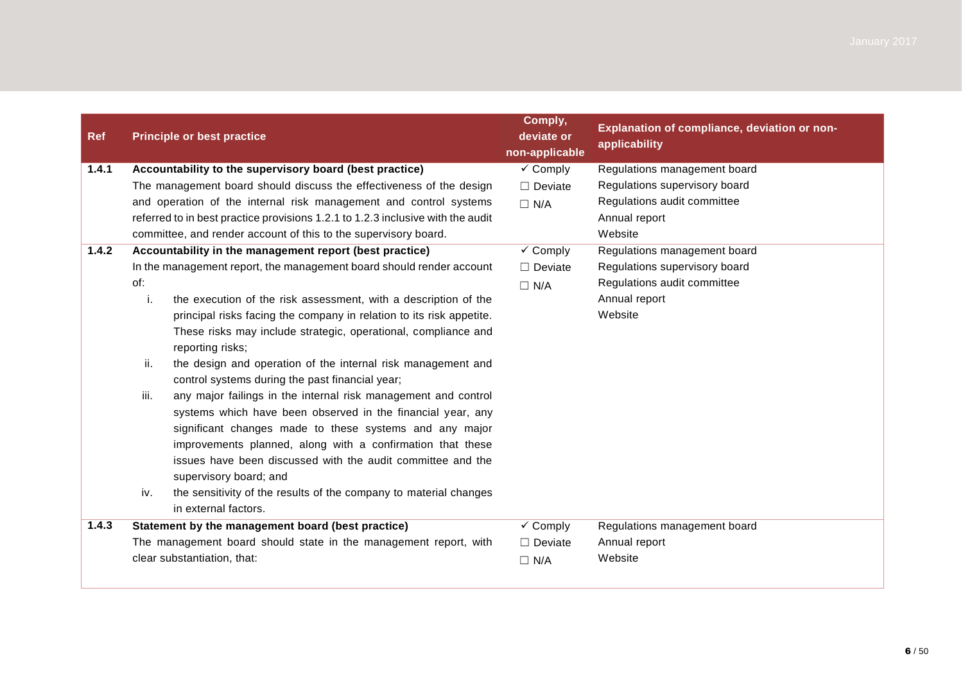| <b>Ref</b> | <b>Principle or best practice</b>                                                                                                                                                                                                                                                                                                                       | Comply,<br>deviate or<br>non-applicable          | Explanation of compliance, deviation or non-<br>applicability |
|------------|---------------------------------------------------------------------------------------------------------------------------------------------------------------------------------------------------------------------------------------------------------------------------------------------------------------------------------------------------------|--------------------------------------------------|---------------------------------------------------------------|
| 1.4.1      | Accountability to the supervisory board (best practice)                                                                                                                                                                                                                                                                                                 | $\checkmark$ Comply                              | Regulations management board                                  |
|            | The management board should discuss the effectiveness of the design                                                                                                                                                                                                                                                                                     | $\Box$ Deviate                                   | Regulations supervisory board                                 |
|            | and operation of the internal risk management and control systems                                                                                                                                                                                                                                                                                       | $\Box$ N/A                                       | Regulations audit committee                                   |
|            | referred to in best practice provisions 1.2.1 to 1.2.3 inclusive with the audit                                                                                                                                                                                                                                                                         |                                                  | Annual report                                                 |
|            | committee, and render account of this to the supervisory board.                                                                                                                                                                                                                                                                                         |                                                  | Website                                                       |
| 1.4.2      | Accountability in the management report (best practice)                                                                                                                                                                                                                                                                                                 | $\checkmark$ Comply                              | Regulations management board                                  |
|            | In the management report, the management board should render account                                                                                                                                                                                                                                                                                    | $\Box$ Deviate                                   | Regulations supervisory board                                 |
|            | of:                                                                                                                                                                                                                                                                                                                                                     | $\Box$ N/A                                       | Regulations audit committee                                   |
|            | the execution of the risk assessment, with a description of the<br>j.                                                                                                                                                                                                                                                                                   |                                                  | Annual report                                                 |
|            | principal risks facing the company in relation to its risk appetite.                                                                                                                                                                                                                                                                                    |                                                  | Website                                                       |
|            | These risks may include strategic, operational, compliance and<br>reporting risks;                                                                                                                                                                                                                                                                      |                                                  |                                                               |
|            | ii.<br>the design and operation of the internal risk management and<br>control systems during the past financial year;                                                                                                                                                                                                                                  |                                                  |                                                               |
|            | iii.<br>any major failings in the internal risk management and control<br>systems which have been observed in the financial year, any<br>significant changes made to these systems and any major<br>improvements planned, along with a confirmation that these<br>issues have been discussed with the audit committee and the<br>supervisory board; and |                                                  |                                                               |
|            | the sensitivity of the results of the company to material changes<br>iv.<br>in external factors.                                                                                                                                                                                                                                                        |                                                  |                                                               |
| 1.4.3      | Statement by the management board (best practice)                                                                                                                                                                                                                                                                                                       | $\overline{\smash[b]{\mathbf{y}}\xspace}$ Comply | Regulations management board                                  |
|            | The management board should state in the management report, with                                                                                                                                                                                                                                                                                        | $\Box$ Deviate                                   | Annual report                                                 |
|            | clear substantiation, that:                                                                                                                                                                                                                                                                                                                             | $\Box$ N/A                                       | Website                                                       |
|            |                                                                                                                                                                                                                                                                                                                                                         |                                                  |                                                               |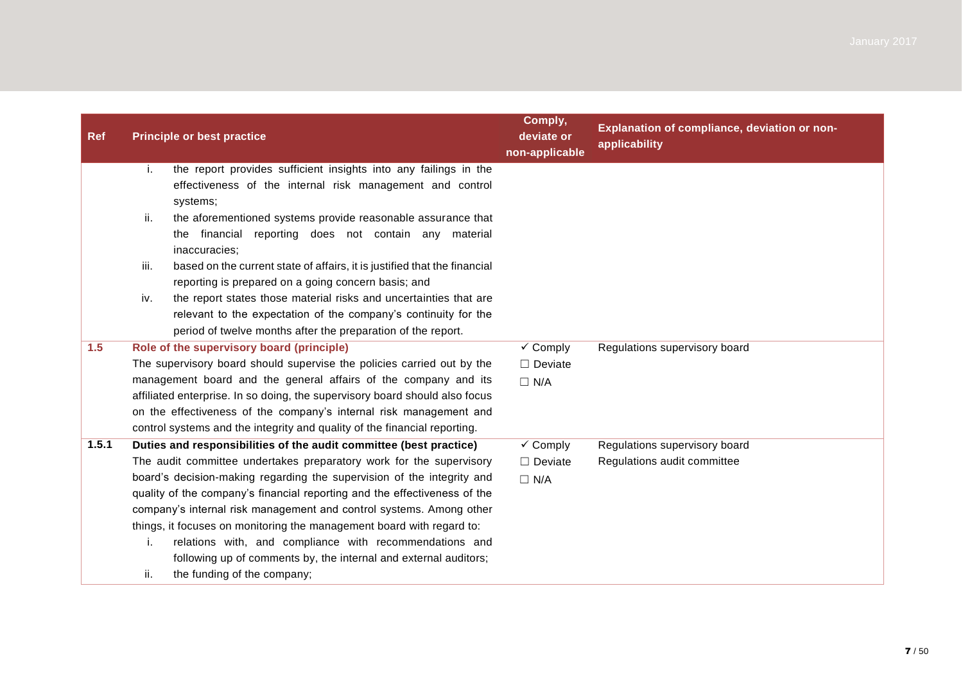| <b>Ref</b> | <b>Principle or best practice</b>                                                                                                                                                                           | Comply,<br>deviate or<br>non-applicable | Explanation of compliance, deviation or non-<br>applicability |
|------------|-------------------------------------------------------------------------------------------------------------------------------------------------------------------------------------------------------------|-----------------------------------------|---------------------------------------------------------------|
|            | the report provides sufficient insights into any failings in the<br>i.<br>effectiveness of the internal risk management and control<br>systems;                                                             |                                         |                                                               |
|            | ii.<br>the aforementioned systems provide reasonable assurance that<br>the financial reporting does not contain any material<br>inaccuracies;                                                               |                                         |                                                               |
|            | iii.<br>based on the current state of affairs, it is justified that the financial<br>reporting is prepared on a going concern basis; and                                                                    |                                         |                                                               |
|            | the report states those material risks and uncertainties that are<br>iv.<br>relevant to the expectation of the company's continuity for the<br>period of twelve months after the preparation of the report. |                                         |                                                               |
| 1.5        | Role of the supervisory board (principle)                                                                                                                                                                   | $\checkmark$ Comply                     | Regulations supervisory board                                 |
|            | The supervisory board should supervise the policies carried out by the                                                                                                                                      | $\Box$ Deviate                          |                                                               |
|            | management board and the general affairs of the company and its                                                                                                                                             | $\Box$ N/A                              |                                                               |
|            | affiliated enterprise. In so doing, the supervisory board should also focus                                                                                                                                 |                                         |                                                               |
|            | on the effectiveness of the company's internal risk management and                                                                                                                                          |                                         |                                                               |
|            | control systems and the integrity and quality of the financial reporting.                                                                                                                                   |                                         |                                                               |
| 1.5.1      | Duties and responsibilities of the audit committee (best practice)                                                                                                                                          | $\checkmark$ Comply                     | Regulations supervisory board                                 |
|            | The audit committee undertakes preparatory work for the supervisory                                                                                                                                         | $\Box$ Deviate                          | Regulations audit committee                                   |
|            | board's decision-making regarding the supervision of the integrity and                                                                                                                                      | $\Box$ N/A                              |                                                               |
|            | quality of the company's financial reporting and the effectiveness of the                                                                                                                                   |                                         |                                                               |
|            | company's internal risk management and control systems. Among other                                                                                                                                         |                                         |                                                               |
|            | things, it focuses on monitoring the management board with regard to:                                                                                                                                       |                                         |                                                               |
|            | relations with, and compliance with recommendations and<br>i.                                                                                                                                               |                                         |                                                               |
|            | following up of comments by, the internal and external auditors;                                                                                                                                            |                                         |                                                               |
|            | the funding of the company;<br>ii.                                                                                                                                                                          |                                         |                                                               |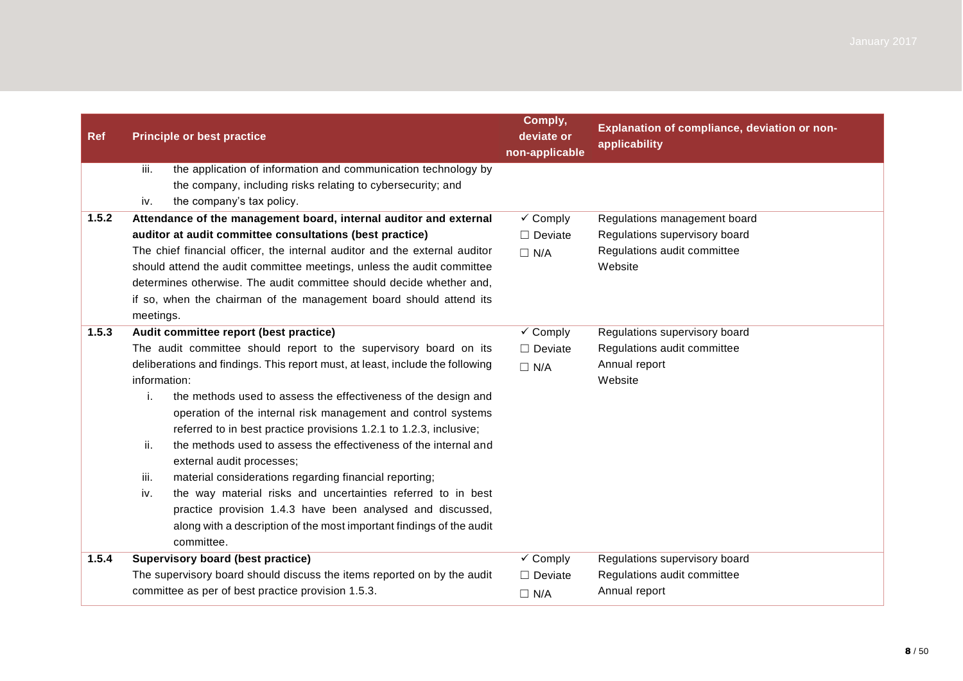| <b>Ref</b> | <b>Principle or best practice</b>                                                                                                     | Comply,<br>deviate or<br>non-applicable | Explanation of compliance, deviation or non-<br>applicability |
|------------|---------------------------------------------------------------------------------------------------------------------------------------|-----------------------------------------|---------------------------------------------------------------|
|            | iii.<br>the application of information and communication technology by<br>the company, including risks relating to cybersecurity; and |                                         |                                                               |
|            | the company's tax policy.<br>iv.                                                                                                      |                                         |                                                               |
| 1.5.2      | Attendance of the management board, internal auditor and external                                                                     | $\checkmark$ Comply                     | Regulations management board                                  |
|            | auditor at audit committee consultations (best practice)                                                                              | $\Box$ Deviate                          | Regulations supervisory board                                 |
|            | The chief financial officer, the internal auditor and the external auditor                                                            | $\Box$ N/A                              | Regulations audit committee                                   |
|            | should attend the audit committee meetings, unless the audit committee                                                                |                                         | Website                                                       |
|            | determines otherwise. The audit committee should decide whether and.                                                                  |                                         |                                                               |
|            | if so, when the chairman of the management board should attend its                                                                    |                                         |                                                               |
|            | meetings.                                                                                                                             | $\checkmark$ Comply                     |                                                               |
| 1.5.3      | Audit committee report (best practice)                                                                                                |                                         | Regulations supervisory board                                 |
|            | The audit committee should report to the supervisory board on its                                                                     | $\Box$ Deviate                          | Regulations audit committee                                   |
|            | deliberations and findings. This report must, at least, include the following                                                         | $\Box$ N/A                              | Annual report                                                 |
|            | information:                                                                                                                          |                                         | Website                                                       |
|            | the methods used to assess the effectiveness of the design and<br>i.                                                                  |                                         |                                                               |
|            | operation of the internal risk management and control systems                                                                         |                                         |                                                               |
|            | referred to in best practice provisions 1.2.1 to 1.2.3, inclusive;                                                                    |                                         |                                                               |
|            | ii.<br>the methods used to assess the effectiveness of the internal and                                                               |                                         |                                                               |
|            | external audit processes;                                                                                                             |                                         |                                                               |
|            | material considerations regarding financial reporting;<br>iii.                                                                        |                                         |                                                               |
|            | iv.<br>the way material risks and uncertainties referred to in best                                                                   |                                         |                                                               |
|            | practice provision 1.4.3 have been analysed and discussed,                                                                            |                                         |                                                               |
|            | along with a description of the most important findings of the audit<br>committee.                                                    |                                         |                                                               |
| 1.5.4      | <b>Supervisory board (best practice)</b>                                                                                              | $\checkmark$ Comply                     | Regulations supervisory board                                 |
|            | The supervisory board should discuss the items reported on by the audit                                                               | $\Box$ Deviate                          | Regulations audit committee                                   |
|            | committee as per of best practice provision 1.5.3.                                                                                    |                                         | Annual report                                                 |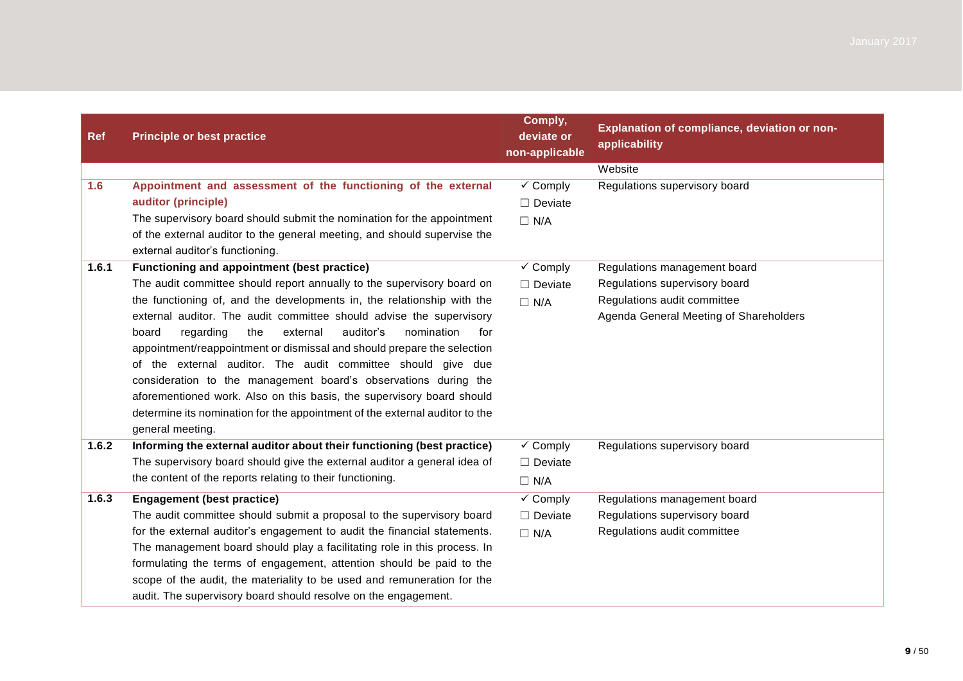| <b>Ref</b> | <b>Principle or best practice</b>                                                                                                        | Comply,<br>deviate or<br>non-applicable | Explanation of compliance, deviation or non-<br>applicability |
|------------|------------------------------------------------------------------------------------------------------------------------------------------|-----------------------------------------|---------------------------------------------------------------|
|            |                                                                                                                                          |                                         | Website                                                       |
| 1.6        | Appointment and assessment of the functioning of the external                                                                            | $\checkmark$ Comply                     | Regulations supervisory board                                 |
|            | auditor (principle)                                                                                                                      | $\Box$ Deviate                          |                                                               |
|            | The supervisory board should submit the nomination for the appointment                                                                   | $\Box$ N/A                              |                                                               |
|            | of the external auditor to the general meeting, and should supervise the<br>external auditor's functioning.                              |                                         |                                                               |
| 1.6.1      | Functioning and appointment (best practice)                                                                                              | $\checkmark$ Comply                     | Regulations management board                                  |
|            | The audit committee should report annually to the supervisory board on                                                                   | $\Box$ Deviate                          | Regulations supervisory board                                 |
|            | the functioning of, and the developments in, the relationship with the                                                                   | $\Box$ N/A                              | Regulations audit committee                                   |
|            | external auditor. The audit committee should advise the supervisory                                                                      |                                         | Agenda General Meeting of Shareholders                        |
|            | regarding<br>the<br>external<br>auditor's<br>nomination<br>board<br>for                                                                  |                                         |                                                               |
|            | appointment/reappointment or dismissal and should prepare the selection                                                                  |                                         |                                                               |
|            | of the external auditor. The audit committee should give due                                                                             |                                         |                                                               |
|            | consideration to the management board's observations during the<br>aforementioned work. Also on this basis, the supervisory board should |                                         |                                                               |
|            | determine its nomination for the appointment of the external auditor to the                                                              |                                         |                                                               |
|            | general meeting.                                                                                                                         |                                         |                                                               |
| 1.6.2      | Informing the external auditor about their functioning (best practice)                                                                   | $\checkmark$ Comply                     | Regulations supervisory board                                 |
|            | The supervisory board should give the external auditor a general idea of                                                                 | $\Box$ Deviate                          |                                                               |
|            | the content of the reports relating to their functioning.                                                                                | $\Box$ N/A                              |                                                               |
| 1.6.3      | <b>Engagement (best practice)</b>                                                                                                        | $\overline{\smash{\checkmark}}$ Comply  | Regulations management board                                  |
|            | The audit committee should submit a proposal to the supervisory board                                                                    | $\Box$ Deviate                          | Regulations supervisory board                                 |
|            | for the external auditor's engagement to audit the financial statements.                                                                 | $\Box$ N/A                              | Regulations audit committee                                   |
|            | The management board should play a facilitating role in this process. In                                                                 |                                         |                                                               |
|            | formulating the terms of engagement, attention should be paid to the                                                                     |                                         |                                                               |
|            | scope of the audit, the materiality to be used and remuneration for the                                                                  |                                         |                                                               |
|            | audit. The supervisory board should resolve on the engagement.                                                                           |                                         |                                                               |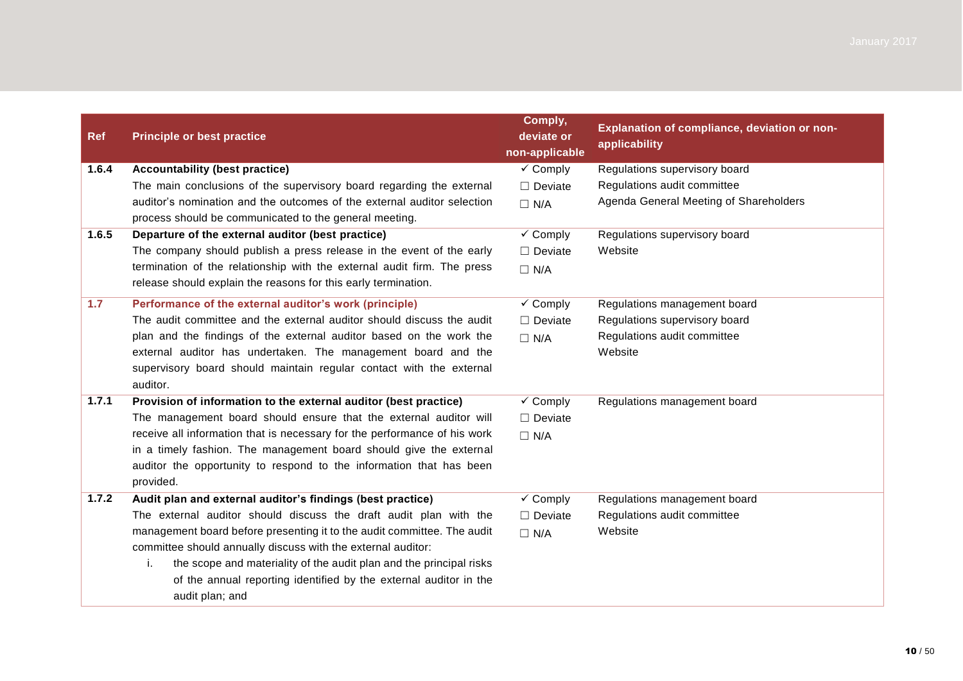| <b>Ref</b> | <b>Principle or best practice</b>                                         | Comply,<br>deviate or<br>non-applicable | Explanation of compliance, deviation or non-<br>applicability |
|------------|---------------------------------------------------------------------------|-----------------------------------------|---------------------------------------------------------------|
| 1.6.4      | <b>Accountability (best practice)</b>                                     | $\checkmark$ Comply                     | Regulations supervisory board                                 |
|            | The main conclusions of the supervisory board regarding the external      | $\Box$ Deviate                          | Regulations audit committee                                   |
|            | auditor's nomination and the outcomes of the external auditor selection   | $\Box$ N/A                              | Agenda General Meeting of Shareholders                        |
|            | process should be communicated to the general meeting.                    |                                         |                                                               |
| 1.6.5      | Departure of the external auditor (best practice)                         | $\checkmark$ Comply                     | Regulations supervisory board                                 |
|            | The company should publish a press release in the event of the early      | $\Box$ Deviate                          | Website                                                       |
|            | termination of the relationship with the external audit firm. The press   | $\Box$ N/A                              |                                                               |
|            | release should explain the reasons for this early termination.            |                                         |                                                               |
| 1.7        | Performance of the external auditor's work (principle)                    | $\checkmark$ Comply                     | Regulations management board                                  |
|            | The audit committee and the external auditor should discuss the audit     | $\Box$ Deviate                          | Regulations supervisory board                                 |
|            | plan and the findings of the external auditor based on the work the       | $\Box$ N/A                              | Regulations audit committee                                   |
|            | external auditor has undertaken. The management board and the             |                                         | Website                                                       |
|            | supervisory board should maintain regular contact with the external       |                                         |                                                               |
|            | auditor.                                                                  |                                         |                                                               |
| 1.7.1      | Provision of information to the external auditor (best practice)          | $\checkmark$ Comply                     | Regulations management board                                  |
|            | The management board should ensure that the external auditor will         | $\Box$ Deviate                          |                                                               |
|            | receive all information that is necessary for the performance of his work | $\Box$ N/A                              |                                                               |
|            | in a timely fashion. The management board should give the external        |                                         |                                                               |
|            | auditor the opportunity to respond to the information that has been       |                                         |                                                               |
|            | provided.                                                                 |                                         |                                                               |
| 1.7.2      | Audit plan and external auditor's findings (best practice)                | $\checkmark$ Comply                     | Regulations management board                                  |
|            | The external auditor should discuss the draft audit plan with the         | $\Box$ Deviate                          | Regulations audit committee                                   |
|            | management board before presenting it to the audit committee. The audit   | $\Box$ N/A                              | Website                                                       |
|            | committee should annually discuss with the external auditor:              |                                         |                                                               |
|            | the scope and materiality of the audit plan and the principal risks<br>i. |                                         |                                                               |
|            | of the annual reporting identified by the external auditor in the         |                                         |                                                               |
|            | audit plan; and                                                           |                                         |                                                               |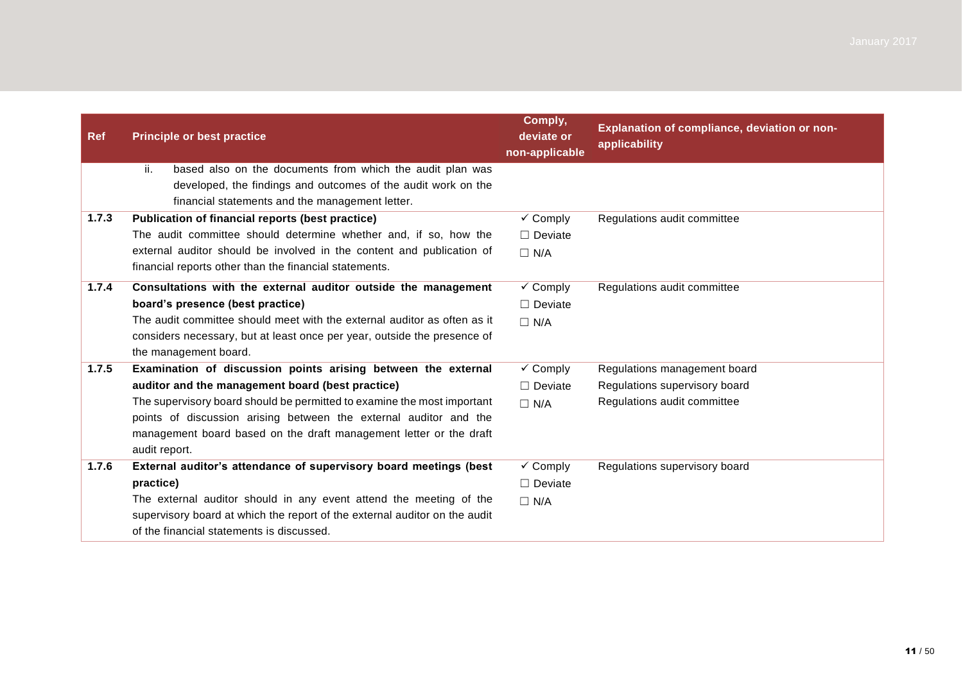| <b>Ref</b> | <b>Principle or best practice</b>                                                                                               | Comply,<br>deviate or<br>non-applicable | Explanation of compliance, deviation or non-<br>applicability |
|------------|---------------------------------------------------------------------------------------------------------------------------------|-----------------------------------------|---------------------------------------------------------------|
|            | ii.<br>based also on the documents from which the audit plan was                                                                |                                         |                                                               |
|            | developed, the findings and outcomes of the audit work on the                                                                   |                                         |                                                               |
|            | financial statements and the management letter.                                                                                 |                                         |                                                               |
| 1.7.3      | Publication of financial reports (best practice)                                                                                | $\checkmark$ Comply                     | Regulations audit committee                                   |
|            | The audit committee should determine whether and, if so, how the                                                                | $\Box$ Deviate                          |                                                               |
|            | external auditor should be involved in the content and publication of<br>financial reports other than the financial statements. | $\Box$ N/A                              |                                                               |
| 1.7.4      | Consultations with the external auditor outside the management                                                                  | $\checkmark$ Comply                     | Regulations audit committee                                   |
|            | board's presence (best practice)                                                                                                | $\Box$ Deviate                          |                                                               |
|            | The audit committee should meet with the external auditor as often as it                                                        | $\Box$ N/A                              |                                                               |
|            | considers necessary, but at least once per year, outside the presence of                                                        |                                         |                                                               |
|            | the management board.                                                                                                           |                                         |                                                               |
| 1.7.5      | Examination of discussion points arising between the external                                                                   | $\checkmark$ Comply                     | Regulations management board                                  |
|            | auditor and the management board (best practice)                                                                                | $\Box$ Deviate                          | Regulations supervisory board                                 |
|            | The supervisory board should be permitted to examine the most important                                                         | $\Box$ N/A                              | Regulations audit committee                                   |
|            | points of discussion arising between the external auditor and the                                                               |                                         |                                                               |
|            | management board based on the draft management letter or the draft                                                              |                                         |                                                               |
|            | audit report.                                                                                                                   |                                         |                                                               |
| 1.7.6      | External auditor's attendance of supervisory board meetings (best                                                               | $\checkmark$ Comply                     | Regulations supervisory board                                 |
|            | practice)                                                                                                                       | $\Box$ Deviate                          |                                                               |
|            | The external auditor should in any event attend the meeting of the                                                              | $\Box$ N/A                              |                                                               |
|            | supervisory board at which the report of the external auditor on the audit                                                      |                                         |                                                               |
|            | of the financial statements is discussed.                                                                                       |                                         |                                                               |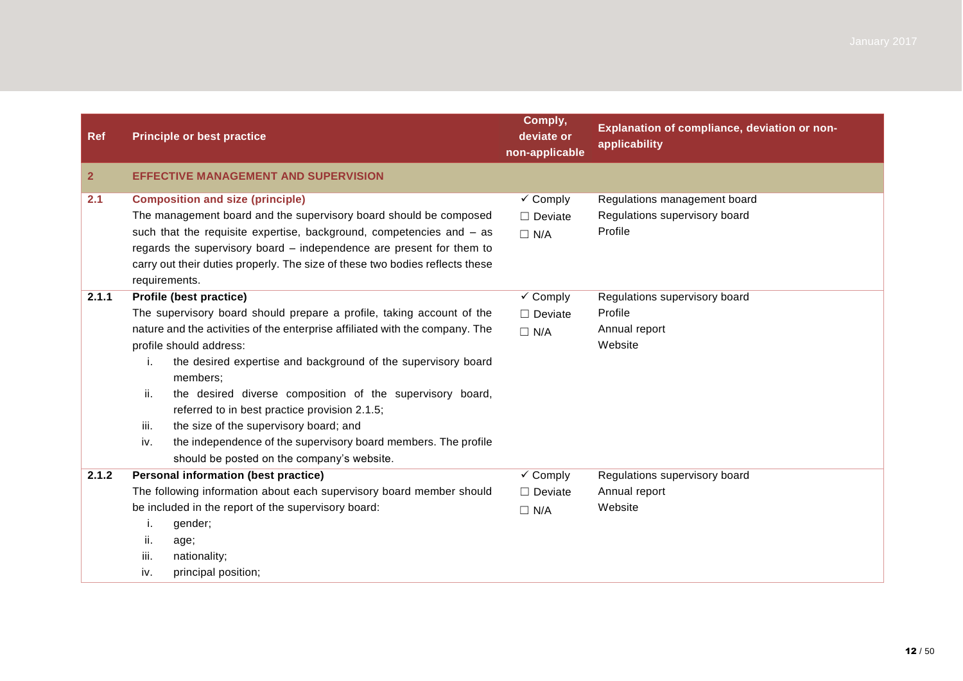| <b>Ref</b>   |                                                                              | <b>Principle or best practice</b>                                            | Comply,<br>deviate or<br>non-applicable | Explanation of compliance, deviation or non-<br>applicability |
|--------------|------------------------------------------------------------------------------|------------------------------------------------------------------------------|-----------------------------------------|---------------------------------------------------------------|
| $\mathbf{2}$ |                                                                              | <b>EFFECTIVE MANAGEMENT AND SUPERVISION</b>                                  |                                         |                                                               |
| 2.1          | <b>Composition and size (principle)</b>                                      |                                                                              | $\checkmark$ Comply                     | Regulations management board                                  |
|              |                                                                              | The management board and the supervisory board should be composed            | $\Box$ Deviate                          | Regulations supervisory board                                 |
|              |                                                                              | such that the requisite expertise, background, competencies and - as         | $\Box$ N/A                              | Profile                                                       |
|              |                                                                              | regards the supervisory board - independence are present for them to         |                                         |                                                               |
|              |                                                                              | carry out their duties properly. The size of these two bodies reflects these |                                         |                                                               |
|              | requirements.                                                                |                                                                              |                                         |                                                               |
| 2.1.1        | Profile (best practice)                                                      |                                                                              | $\checkmark$ Comply                     | Regulations supervisory board                                 |
|              |                                                                              | The supervisory board should prepare a profile, taking account of the        | $\Box$ Deviate                          | Profile                                                       |
|              | nature and the activities of the enterprise affiliated with the company. The |                                                                              | $\Box$ N/A                              | Annual report                                                 |
|              | profile should address:                                                      |                                                                              |                                         | Website                                                       |
|              | i.                                                                           | the desired expertise and background of the supervisory board<br>members;    |                                         |                                                               |
|              | ii.                                                                          | the desired diverse composition of the supervisory board,                    |                                         |                                                               |
|              |                                                                              | referred to in best practice provision 2.1.5;                                |                                         |                                                               |
|              | iii.                                                                         | the size of the supervisory board; and                                       |                                         |                                                               |
|              | iv.                                                                          | the independence of the supervisory board members. The profile               |                                         |                                                               |
|              |                                                                              | should be posted on the company's website.                                   |                                         |                                                               |
| 2.1.2        |                                                                              | Personal information (best practice)                                         | $\checkmark$ Comply                     | Regulations supervisory board                                 |
|              |                                                                              | The following information about each supervisory board member should         | $\Box$ Deviate                          | Annual report                                                 |
|              |                                                                              | be included in the report of the supervisory board:                          | $\Box$ N/A                              | Website                                                       |
|              | j.                                                                           | gender;                                                                      |                                         |                                                               |
|              | ii.                                                                          | age;                                                                         |                                         |                                                               |
|              | iii.                                                                         | nationality;                                                                 |                                         |                                                               |
|              | iv.                                                                          | principal position;                                                          |                                         |                                                               |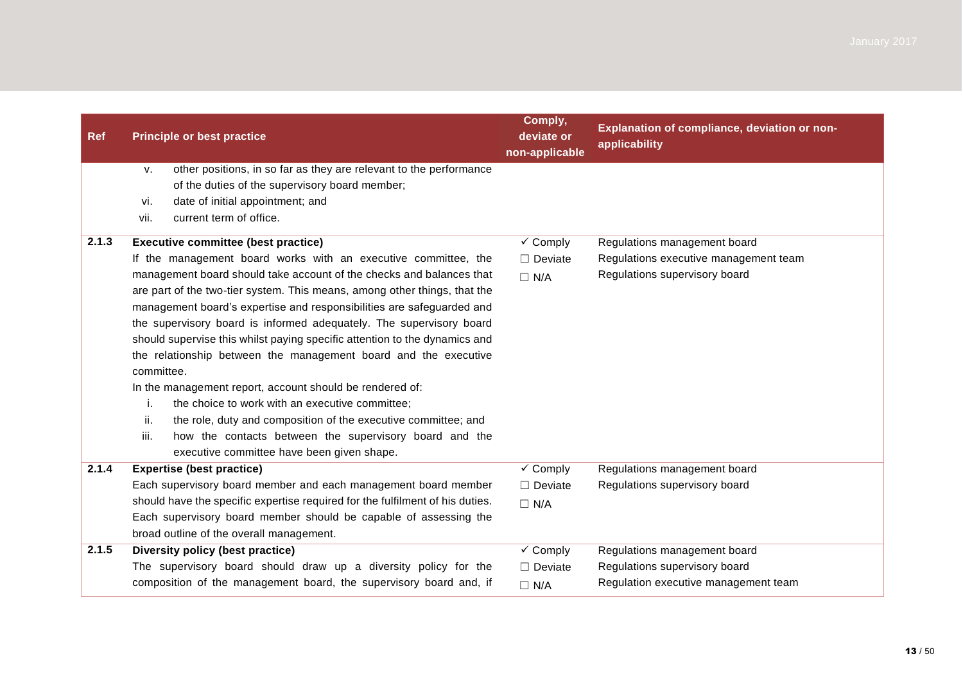| <b>Ref</b> | <b>Principle or best practice</b>                                                                                                                                                                                                                                                                                                                                                                                                                                                                                                                                                                                                                                                                                                                                              | Comply,<br>deviate or<br>non-applicable | Explanation of compliance, deviation or non-<br>applicability |
|------------|--------------------------------------------------------------------------------------------------------------------------------------------------------------------------------------------------------------------------------------------------------------------------------------------------------------------------------------------------------------------------------------------------------------------------------------------------------------------------------------------------------------------------------------------------------------------------------------------------------------------------------------------------------------------------------------------------------------------------------------------------------------------------------|-----------------------------------------|---------------------------------------------------------------|
|            | other positions, in so far as they are relevant to the performance<br>$V_{\cdot}$<br>of the duties of the supervisory board member;<br>date of initial appointment; and<br>vi.<br>current term of office.<br>vii.                                                                                                                                                                                                                                                                                                                                                                                                                                                                                                                                                              |                                         |                                                               |
| 2.1.3      | <b>Executive committee (best practice)</b>                                                                                                                                                                                                                                                                                                                                                                                                                                                                                                                                                                                                                                                                                                                                     | $\checkmark$ Comply                     | Regulations management board                                  |
|            | If the management board works with an executive committee, the                                                                                                                                                                                                                                                                                                                                                                                                                                                                                                                                                                                                                                                                                                                 | $\Box$ Deviate                          | Regulations executive management team                         |
|            | management board should take account of the checks and balances that<br>are part of the two-tier system. This means, among other things, that the<br>management board's expertise and responsibilities are safeguarded and<br>the supervisory board is informed adequately. The supervisory board<br>should supervise this whilst paying specific attention to the dynamics and<br>the relationship between the management board and the executive<br>committee.<br>In the management report, account should be rendered of:<br>the choice to work with an executive committee;<br>j.<br>ii.<br>the role, duty and composition of the executive committee; and<br>iii.<br>how the contacts between the supervisory board and the<br>executive committee have been given shape. | $\Box$ N/A                              | Regulations supervisory board                                 |
| 2.1.4      | <b>Expertise (best practice)</b>                                                                                                                                                                                                                                                                                                                                                                                                                                                                                                                                                                                                                                                                                                                                               | $\checkmark$ Comply                     | Regulations management board                                  |
|            | Each supervisory board member and each management board member                                                                                                                                                                                                                                                                                                                                                                                                                                                                                                                                                                                                                                                                                                                 | $\Box$ Deviate                          | Regulations supervisory board                                 |
|            | should have the specific expertise required for the fulfilment of his duties.                                                                                                                                                                                                                                                                                                                                                                                                                                                                                                                                                                                                                                                                                                  | $\Box$ N/A                              |                                                               |
|            | Each supervisory board member should be capable of assessing the<br>broad outline of the overall management.                                                                                                                                                                                                                                                                                                                                                                                                                                                                                                                                                                                                                                                                   |                                         |                                                               |
| 2.1.5      | Diversity policy (best practice)                                                                                                                                                                                                                                                                                                                                                                                                                                                                                                                                                                                                                                                                                                                                               | $\checkmark$ Comply                     | Regulations management board                                  |
|            | The supervisory board should draw up a diversity policy for the                                                                                                                                                                                                                                                                                                                                                                                                                                                                                                                                                                                                                                                                                                                | $\Box$ Deviate                          | Regulations supervisory board                                 |
|            | composition of the management board, the supervisory board and, if                                                                                                                                                                                                                                                                                                                                                                                                                                                                                                                                                                                                                                                                                                             | $\Box$ N/A                              | Regulation executive management team                          |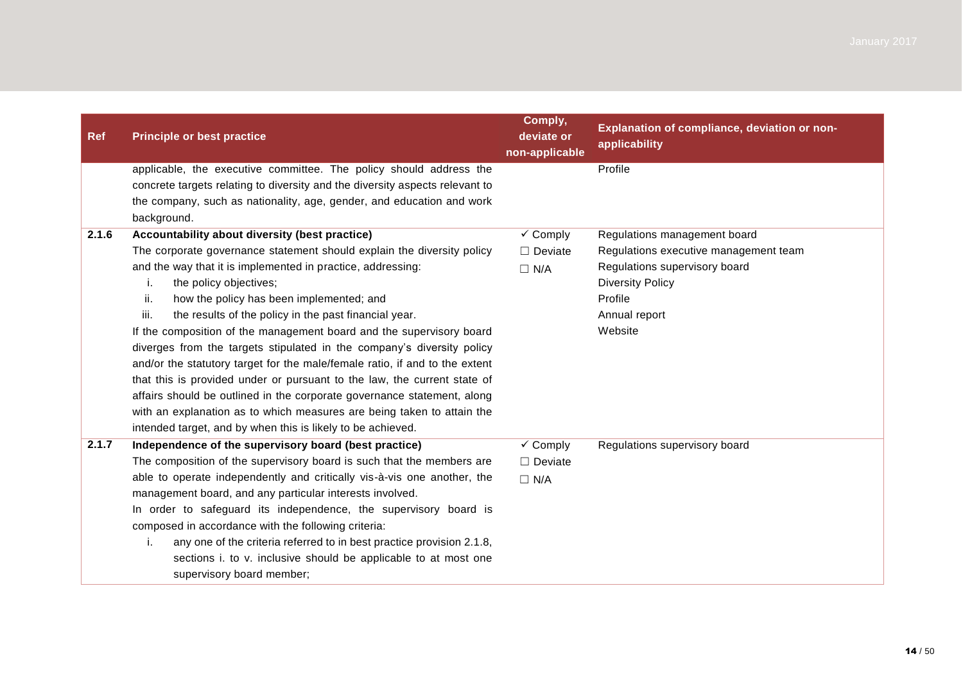| <b>Ref</b> | <b>Principle or best practice</b>                                                                                                                                                                                                          | Comply,<br>deviate or<br>non-applicable | Explanation of compliance, deviation or non-<br>applicability |
|------------|--------------------------------------------------------------------------------------------------------------------------------------------------------------------------------------------------------------------------------------------|-----------------------------------------|---------------------------------------------------------------|
|            | applicable, the executive committee. The policy should address the<br>concrete targets relating to diversity and the diversity aspects relevant to<br>the company, such as nationality, age, gender, and education and work<br>background. |                                         | Profile                                                       |
| 2.1.6      | Accountability about diversity (best practice)                                                                                                                                                                                             | $\checkmark$ Comply                     | Regulations management board                                  |
|            | The corporate governance statement should explain the diversity policy                                                                                                                                                                     | $\Box$ Deviate                          | Regulations executive management team                         |
|            | and the way that it is implemented in practice, addressing:                                                                                                                                                                                | $\Box$ N/A                              | Regulations supervisory board                                 |
|            | the policy objectives;<br>i.                                                                                                                                                                                                               |                                         | <b>Diversity Policy</b>                                       |
|            | ii.<br>how the policy has been implemented; and                                                                                                                                                                                            |                                         | Profile                                                       |
|            | iii.<br>the results of the policy in the past financial year.                                                                                                                                                                              |                                         | Annual report                                                 |
|            | If the composition of the management board and the supervisory board                                                                                                                                                                       |                                         | Website                                                       |
|            | diverges from the targets stipulated in the company's diversity policy                                                                                                                                                                     |                                         |                                                               |
|            | and/or the statutory target for the male/female ratio, if and to the extent<br>that this is provided under or pursuant to the law, the current state of                                                                                    |                                         |                                                               |
|            | affairs should be outlined in the corporate governance statement, along                                                                                                                                                                    |                                         |                                                               |
|            | with an explanation as to which measures are being taken to attain the                                                                                                                                                                     |                                         |                                                               |
|            | intended target, and by when this is likely to be achieved.                                                                                                                                                                                |                                         |                                                               |
| 2.1.7      | Independence of the supervisory board (best practice)                                                                                                                                                                                      | $\checkmark$ Comply                     | Regulations supervisory board                                 |
|            | The composition of the supervisory board is such that the members are                                                                                                                                                                      | $\Box$ Deviate                          |                                                               |
|            | able to operate independently and critically vis-à-vis one another, the                                                                                                                                                                    | $\Box$ N/A                              |                                                               |
|            | management board, and any particular interests involved.                                                                                                                                                                                   |                                         |                                                               |
|            | In order to safeguard its independence, the supervisory board is                                                                                                                                                                           |                                         |                                                               |
|            | composed in accordance with the following criteria:                                                                                                                                                                                        |                                         |                                                               |
|            | any one of the criteria referred to in best practice provision 2.1.8,<br>i.                                                                                                                                                                |                                         |                                                               |
|            | sections i. to v. inclusive should be applicable to at most one                                                                                                                                                                            |                                         |                                                               |
|            | supervisory board member;                                                                                                                                                                                                                  |                                         |                                                               |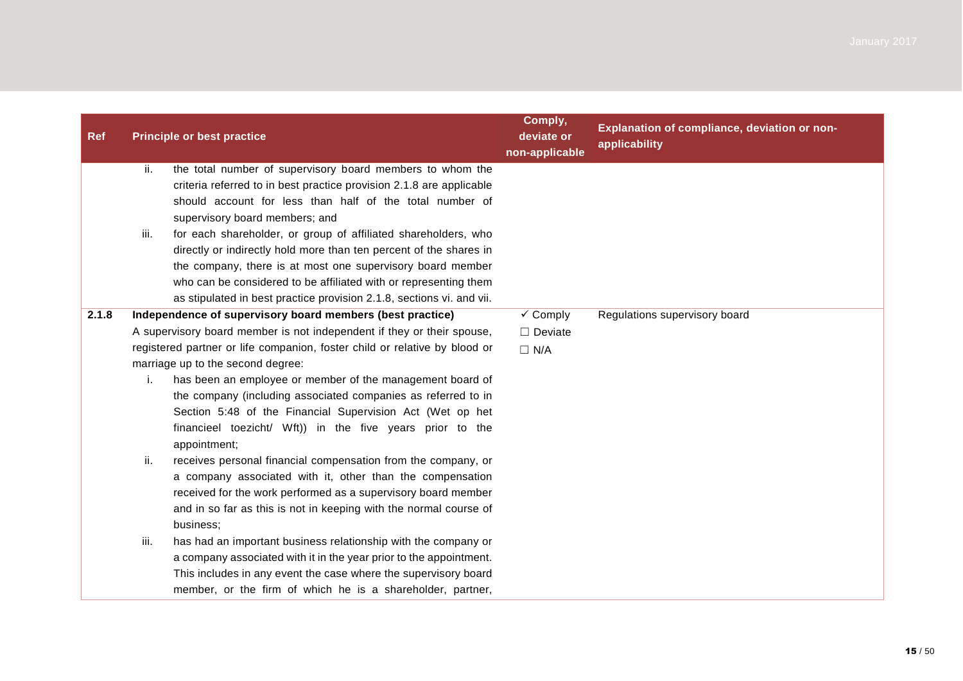| <b>Ref</b> |      | <b>Principle or best practice</b>                                                                                                | Comply,<br>deviate or<br>non-applicable | Explanation of compliance, deviation or non-<br>applicability |
|------------|------|----------------------------------------------------------------------------------------------------------------------------------|-----------------------------------------|---------------------------------------------------------------|
|            | ii.  | the total number of supervisory board members to whom the                                                                        |                                         |                                                               |
|            |      | criteria referred to in best practice provision 2.1.8 are applicable<br>should account for less than half of the total number of |                                         |                                                               |
|            |      | supervisory board members; and                                                                                                   |                                         |                                                               |
|            | iii. | for each shareholder, or group of affiliated shareholders, who                                                                   |                                         |                                                               |
|            |      | directly or indirectly hold more than ten percent of the shares in                                                               |                                         |                                                               |
|            |      | the company, there is at most one supervisory board member                                                                       |                                         |                                                               |
|            |      | who can be considered to be affiliated with or representing them                                                                 |                                         |                                                               |
|            |      | as stipulated in best practice provision 2.1.8, sections vi. and vii.                                                            |                                         |                                                               |
| 2.1.8      |      | Independence of supervisory board members (best practice)                                                                        | $\checkmark$ Comply                     | Regulations supervisory board                                 |
|            |      | A supervisory board member is not independent if they or their spouse,                                                           | $\Box$ Deviate                          |                                                               |
|            |      | registered partner or life companion, foster child or relative by blood or                                                       | $\Box$ N/A                              |                                                               |
|            |      | marriage up to the second degree:                                                                                                |                                         |                                                               |
|            | i.   | has been an employee or member of the management board of                                                                        |                                         |                                                               |
|            |      | the company (including associated companies as referred to in                                                                    |                                         |                                                               |
|            |      | Section 5:48 of the Financial Supervision Act (Wet op het                                                                        |                                         |                                                               |
|            |      | financieel toezicht/ Wft)) in the five years prior to the<br>appointment;                                                        |                                         |                                                               |
|            | ii.  | receives personal financial compensation from the company, or                                                                    |                                         |                                                               |
|            |      | a company associated with it, other than the compensation                                                                        |                                         |                                                               |
|            |      | received for the work performed as a supervisory board member                                                                    |                                         |                                                               |
|            |      | and in so far as this is not in keeping with the normal course of                                                                |                                         |                                                               |
|            |      | business;                                                                                                                        |                                         |                                                               |
|            | iii. | has had an important business relationship with the company or                                                                   |                                         |                                                               |
|            |      | a company associated with it in the year prior to the appointment.                                                               |                                         |                                                               |
|            |      | This includes in any event the case where the supervisory board                                                                  |                                         |                                                               |
|            |      | member, or the firm of which he is a shareholder, partner,                                                                       |                                         |                                                               |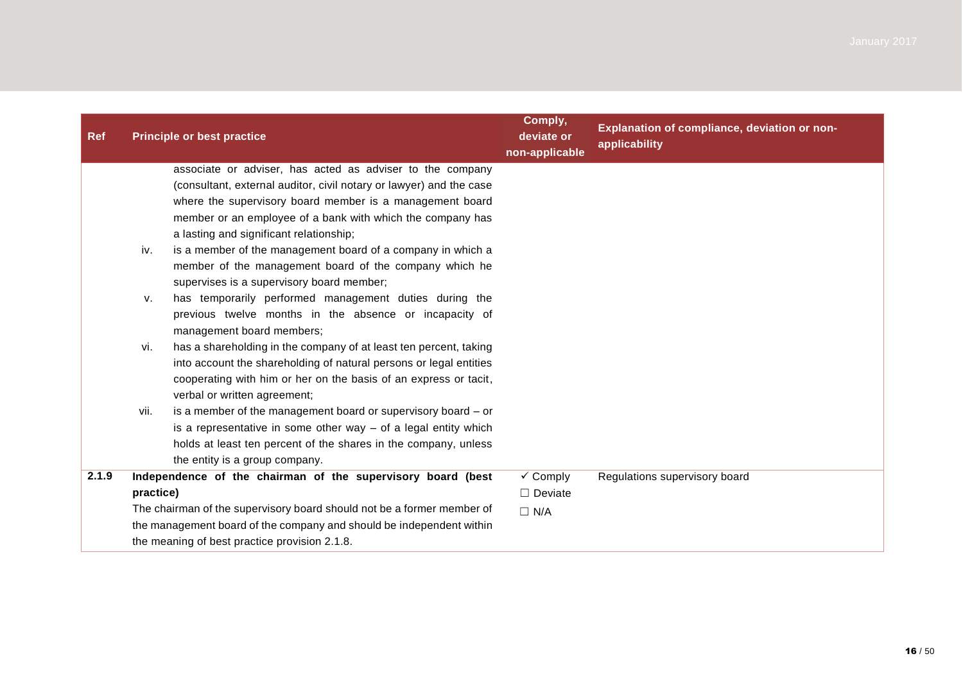| <b>Ref</b> |                                                                        | <b>Principle or best practice</b>                                    | Comply,<br>deviate or<br>non-applicable | Explanation of compliance, deviation or non-<br>applicability |
|------------|------------------------------------------------------------------------|----------------------------------------------------------------------|-----------------------------------------|---------------------------------------------------------------|
|            |                                                                        | associate or adviser, has acted as adviser to the company            |                                         |                                                               |
|            |                                                                        | (consultant, external auditor, civil notary or lawyer) and the case  |                                         |                                                               |
|            |                                                                        | where the supervisory board member is a management board             |                                         |                                                               |
|            |                                                                        | member or an employee of a bank with which the company has           |                                         |                                                               |
|            |                                                                        | a lasting and significant relationship;                              |                                         |                                                               |
|            | iv.                                                                    | is a member of the management board of a company in which a          |                                         |                                                               |
|            |                                                                        | member of the management board of the company which he               |                                         |                                                               |
|            |                                                                        | supervises is a supervisory board member;                            |                                         |                                                               |
|            | v.                                                                     | has temporarily performed management duties during the               |                                         |                                                               |
|            |                                                                        | previous twelve months in the absence or incapacity of               |                                         |                                                               |
|            |                                                                        | management board members;                                            |                                         |                                                               |
|            | vi.                                                                    | has a shareholding in the company of at least ten percent, taking    |                                         |                                                               |
|            |                                                                        | into account the shareholding of natural persons or legal entities   |                                         |                                                               |
|            |                                                                        | cooperating with him or her on the basis of an express or tacit,     |                                         |                                                               |
|            |                                                                        | verbal or written agreement;                                         |                                         |                                                               |
|            | vii.                                                                   | is a member of the management board or supervisory board - or        |                                         |                                                               |
|            |                                                                        | is a representative in some other way $-$ of a legal entity which    |                                         |                                                               |
|            |                                                                        | holds at least ten percent of the shares in the company, unless      |                                         |                                                               |
|            |                                                                        | the entity is a group company.                                       |                                         |                                                               |
| 2.1.9      |                                                                        | Independence of the chairman of the supervisory board (best          | $\checkmark$ Comply                     | Regulations supervisory board                                 |
|            | practice)                                                              |                                                                      | $\Box$ Deviate                          |                                                               |
|            | The chairman of the supervisory board should not be a former member of |                                                                      | $\Box$ N/A                              |                                                               |
|            |                                                                        | the management board of the company and should be independent within |                                         |                                                               |
|            |                                                                        | the meaning of best practice provision 2.1.8.                        |                                         |                                                               |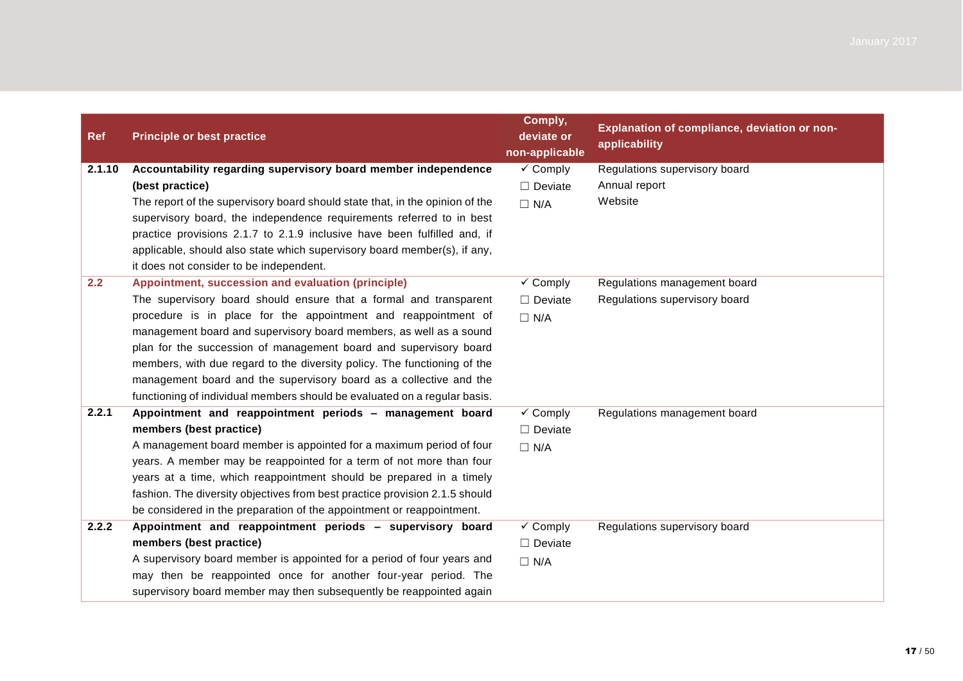| <b>Ref</b> | <b>Principle or best practice</b>                                            | Comply,<br>deviate or<br>non-applicable | Explanation of compliance, deviation or non-<br>applicability |
|------------|------------------------------------------------------------------------------|-----------------------------------------|---------------------------------------------------------------|
| 2.1.10     | Accountability regarding supervisory board member independence               | $\checkmark$ Comply                     | Regulations supervisory board                                 |
|            | (best practice)                                                              | $\Box$ Deviate                          | Annual report                                                 |
|            | The report of the supervisory board should state that, in the opinion of the | $\Box$ N/A                              | Website                                                       |
|            | supervisory board, the independence requirements referred to in best         |                                         |                                                               |
|            | practice provisions 2.1.7 to 2.1.9 inclusive have been fulfilled and, if     |                                         |                                                               |
|            | applicable, should also state which supervisory board member(s), if any,     |                                         |                                                               |
|            | it does not consider to be independent.                                      |                                         |                                                               |
| 2.2        | Appointment, succession and evaluation (principle)                           | $\checkmark$ Comply                     | Regulations management board                                  |
|            | The supervisory board should ensure that a formal and transparent            | $\Box$ Deviate                          | Regulations supervisory board                                 |
|            | procedure is in place for the appointment and reappointment of               | $\Box$ N/A                              |                                                               |
|            | management board and supervisory board members, as well as a sound           |                                         |                                                               |
|            | plan for the succession of management board and supervisory board            |                                         |                                                               |
|            | members, with due regard to the diversity policy. The functioning of the     |                                         |                                                               |
|            | management board and the supervisory board as a collective and the           |                                         |                                                               |
|            | functioning of individual members should be evaluated on a regular basis.    |                                         |                                                               |
| 2.2.1      | Appointment and reappointment periods - management board                     | $\checkmark$ Comply                     | Regulations management board                                  |
|            | members (best practice)                                                      | $\Box$ Deviate                          |                                                               |
|            | A management board member is appointed for a maximum period of four          | $\Box$ N/A                              |                                                               |
|            | years. A member may be reappointed for a term of not more than four          |                                         |                                                               |
|            | years at a time, which reappointment should be prepared in a timely          |                                         |                                                               |
|            | fashion. The diversity objectives from best practice provision 2.1.5 should  |                                         |                                                               |
|            | be considered in the preparation of the appointment or reappointment.        |                                         |                                                               |
| 2.2.2      | Appointment and reappointment periods - supervisory board                    | $\checkmark$ Comply                     | Regulations supervisory board                                 |
|            | members (best practice)                                                      | $\Box$ Deviate                          |                                                               |
|            | A supervisory board member is appointed for a period of four years and       | $\Box$ N/A                              |                                                               |
|            | may then be reappointed once for another four-year period. The               |                                         |                                                               |
|            | supervisory board member may then subsequently be reappointed again          |                                         |                                                               |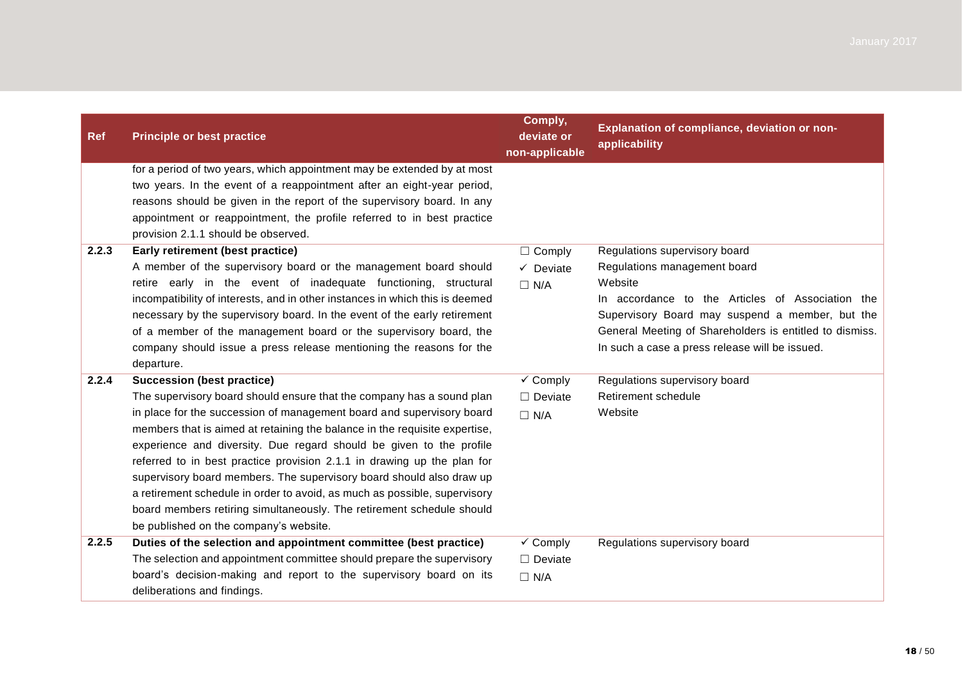| <b>Ref</b> | <b>Principle or best practice</b>                                                                                                                                                                                                                                                                                                                                                                                                                                                                                                                                                                                                                                                           | Comply,<br>deviate or<br>non-applicable             | Explanation of compliance, deviation or non-<br>applicability                                                                                                                                                                                               |
|------------|---------------------------------------------------------------------------------------------------------------------------------------------------------------------------------------------------------------------------------------------------------------------------------------------------------------------------------------------------------------------------------------------------------------------------------------------------------------------------------------------------------------------------------------------------------------------------------------------------------------------------------------------------------------------------------------------|-----------------------------------------------------|-------------------------------------------------------------------------------------------------------------------------------------------------------------------------------------------------------------------------------------------------------------|
| 2.2.3      | for a period of two years, which appointment may be extended by at most<br>two years. In the event of a reappointment after an eight-year period,<br>reasons should be given in the report of the supervisory board. In any<br>appointment or reappointment, the profile referred to in best practice<br>provision 2.1.1 should be observed.<br>Early retirement (best practice)                                                                                                                                                                                                                                                                                                            | $\Box$ Comply                                       | Regulations supervisory board                                                                                                                                                                                                                               |
|            | A member of the supervisory board or the management board should<br>retire early in the event of inadequate functioning, structural<br>incompatibility of interests, and in other instances in which this is deemed<br>necessary by the supervisory board. In the event of the early retirement<br>of a member of the management board or the supervisory board, the<br>company should issue a press release mentioning the reasons for the<br>departure.                                                                                                                                                                                                                                   | $\checkmark$ Deviate<br>$\Box$ N/A                  | Regulations management board<br>Website<br>In accordance to the Articles of Association the<br>Supervisory Board may suspend a member, but the<br>General Meeting of Shareholders is entitled to dismiss.<br>In such a case a press release will be issued. |
| 2.2.4      | <b>Succession (best practice)</b><br>The supervisory board should ensure that the company has a sound plan<br>in place for the succession of management board and supervisory board<br>members that is aimed at retaining the balance in the requisite expertise,<br>experience and diversity. Due regard should be given to the profile<br>referred to in best practice provision 2.1.1 in drawing up the plan for<br>supervisory board members. The supervisory board should also draw up<br>a retirement schedule in order to avoid, as much as possible, supervisory<br>board members retiring simultaneously. The retirement schedule should<br>be published on the company's website. | $\checkmark$ Comply<br>$\Box$ Deviate<br>$\Box$ N/A | Regulations supervisory board<br>Retirement schedule<br>Website                                                                                                                                                                                             |
| 2.2.5      | Duties of the selection and appointment committee (best practice)<br>The selection and appointment committee should prepare the supervisory<br>board's decision-making and report to the supervisory board on its<br>deliberations and findings.                                                                                                                                                                                                                                                                                                                                                                                                                                            | $\checkmark$ Comply<br>$\Box$ Deviate<br>$\Box$ N/A | Regulations supervisory board                                                                                                                                                                                                                               |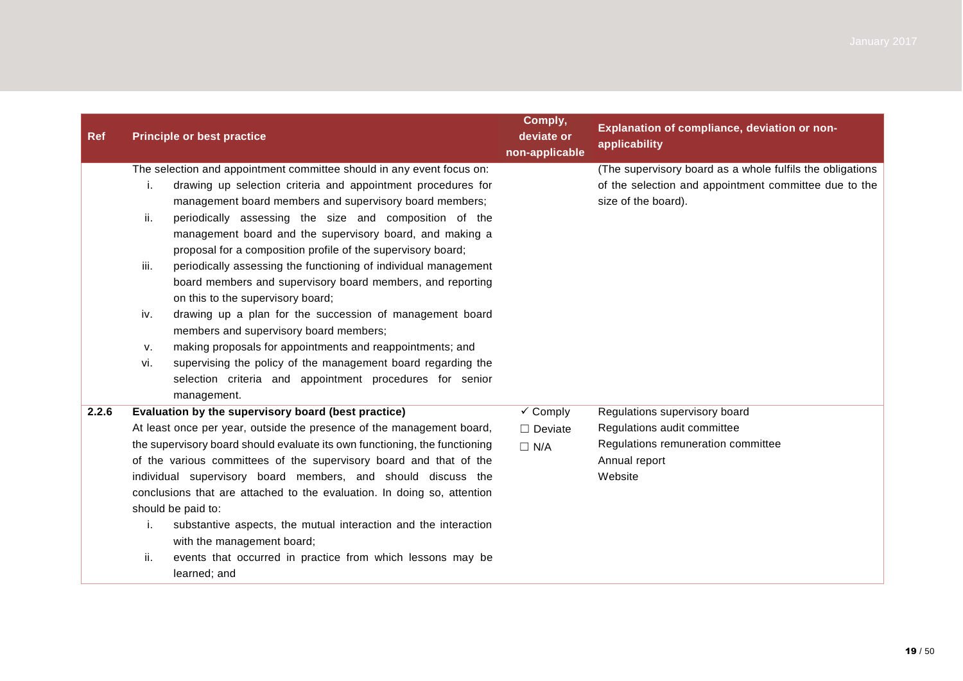| <b>Ref</b> | <b>Principle or best practice</b>                                                                                                                                                                                                                                                                                                                                                                                                                                                                                                                                                                                                                                                                                                                                                                                                                                                                                   | Comply,<br>deviate or<br>non-applicable             | Explanation of compliance, deviation or non-<br>applicability                                                                             |
|------------|---------------------------------------------------------------------------------------------------------------------------------------------------------------------------------------------------------------------------------------------------------------------------------------------------------------------------------------------------------------------------------------------------------------------------------------------------------------------------------------------------------------------------------------------------------------------------------------------------------------------------------------------------------------------------------------------------------------------------------------------------------------------------------------------------------------------------------------------------------------------------------------------------------------------|-----------------------------------------------------|-------------------------------------------------------------------------------------------------------------------------------------------|
|            | The selection and appointment committee should in any event focus on:<br>drawing up selection criteria and appointment procedures for<br>i.<br>management board members and supervisory board members;<br>periodically assessing the size and composition of the<br>ii.<br>management board and the supervisory board, and making a<br>proposal for a composition profile of the supervisory board;<br>iii.<br>periodically assessing the functioning of individual management<br>board members and supervisory board members, and reporting<br>on this to the supervisory board;<br>iv.<br>drawing up a plan for the succession of management board<br>members and supervisory board members;<br>making proposals for appointments and reappointments; and<br>v.<br>supervising the policy of the management board regarding the<br>vi.<br>selection criteria and appointment procedures for senior<br>management. |                                                     | (The supervisory board as a whole fulfils the obligations<br>of the selection and appointment committee due to the<br>size of the board). |
| 2.2.6      | Evaluation by the supervisory board (best practice)<br>At least once per year, outside the presence of the management board,<br>the supervisory board should evaluate its own functioning, the functioning<br>of the various committees of the supervisory board and that of the<br>individual supervisory board members, and should discuss the<br>conclusions that are attached to the evaluation. In doing so, attention<br>should be paid to:<br>substantive aspects, the mutual interaction and the interaction<br>i.<br>with the management board;<br>ii.<br>events that occurred in practice from which lessons may be<br>learned; and                                                                                                                                                                                                                                                                       | $\checkmark$ Comply<br>$\Box$ Deviate<br>$\Box$ N/A | Regulations supervisory board<br>Regulations audit committee<br>Regulations remuneration committee<br>Annual report<br>Website            |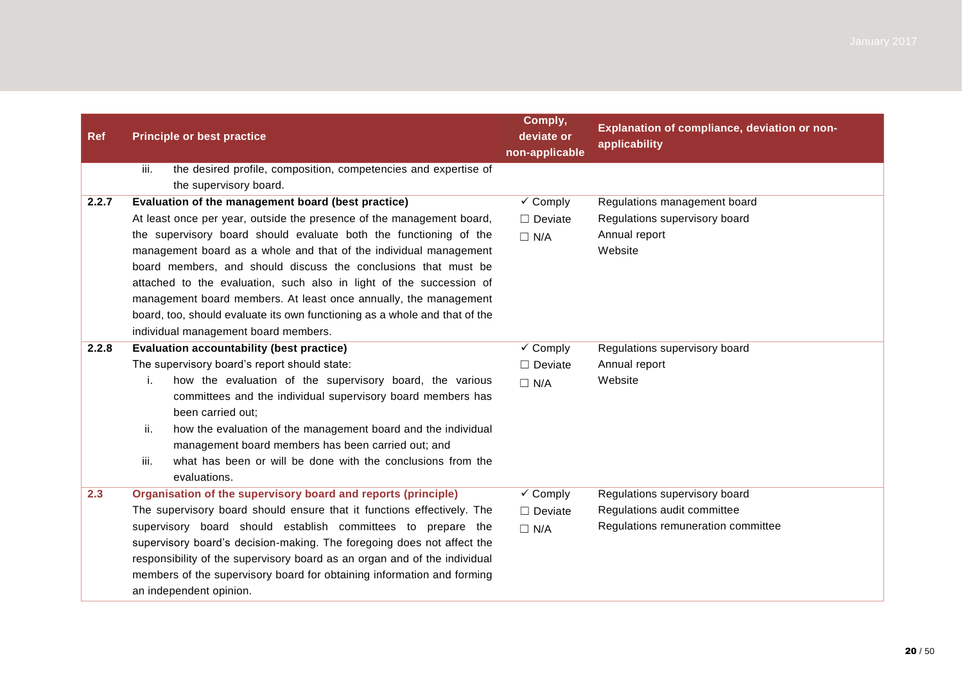| <b>Ref</b> | <b>Principle or best practice</b>                                                                                                                                                                                                                                                                                                                                                                                                                                                                                                                                                                        | Comply,<br>deviate or<br>non-applicable                                          | Explanation of compliance, deviation or non-<br>applicability                                      |
|------------|----------------------------------------------------------------------------------------------------------------------------------------------------------------------------------------------------------------------------------------------------------------------------------------------------------------------------------------------------------------------------------------------------------------------------------------------------------------------------------------------------------------------------------------------------------------------------------------------------------|----------------------------------------------------------------------------------|----------------------------------------------------------------------------------------------------|
|            | iii.<br>the desired profile, composition, competencies and expertise of<br>the supervisory board.                                                                                                                                                                                                                                                                                                                                                                                                                                                                                                        |                                                                                  |                                                                                                    |
| 2.2.7      | Evaluation of the management board (best practice)<br>At least once per year, outside the presence of the management board,<br>the supervisory board should evaluate both the functioning of the<br>management board as a whole and that of the individual management<br>board members, and should discuss the conclusions that must be<br>attached to the evaluation, such also in light of the succession of<br>management board members. At least once annually, the management<br>board, too, should evaluate its own functioning as a whole and that of the<br>individual management board members. | $\checkmark$ Comply<br>$\Box$ Deviate<br>$\Box$ N/A                              | Regulations management board<br>Regulations supervisory board<br>Annual report<br>Website          |
| 2.2.8      | <b>Evaluation accountability (best practice)</b><br>The supervisory board's report should state:<br>how the evaluation of the supervisory board, the various<br>i.<br>committees and the individual supervisory board members has<br>been carried out:<br>ii.<br>how the evaluation of the management board and the individual<br>management board members has been carried out; and<br>iii.<br>what has been or will be done with the conclusions from the<br>evaluations.                                                                                                                              | $\overline{\smash[b]{\mathbf{y}}\xspace}$ Comply<br>$\Box$ Deviate<br>$\Box$ N/A | Regulations supervisory board<br>Annual report<br>Website                                          |
| 2.3        | Organisation of the supervisory board and reports (principle)<br>The supervisory board should ensure that it functions effectively. The<br>supervisory board should establish committees to prepare the<br>supervisory board's decision-making. The foregoing does not affect the<br>responsibility of the supervisory board as an organ and of the individual<br>members of the supervisory board for obtaining information and forming<br>an independent opinion.                                                                                                                                      | $\overline{\smash[b]{\mathsf{y}}}$ Comply<br>$\Box$ Deviate<br>$\Box$ N/A        | Regulations supervisory board<br>Regulations audit committee<br>Regulations remuneration committee |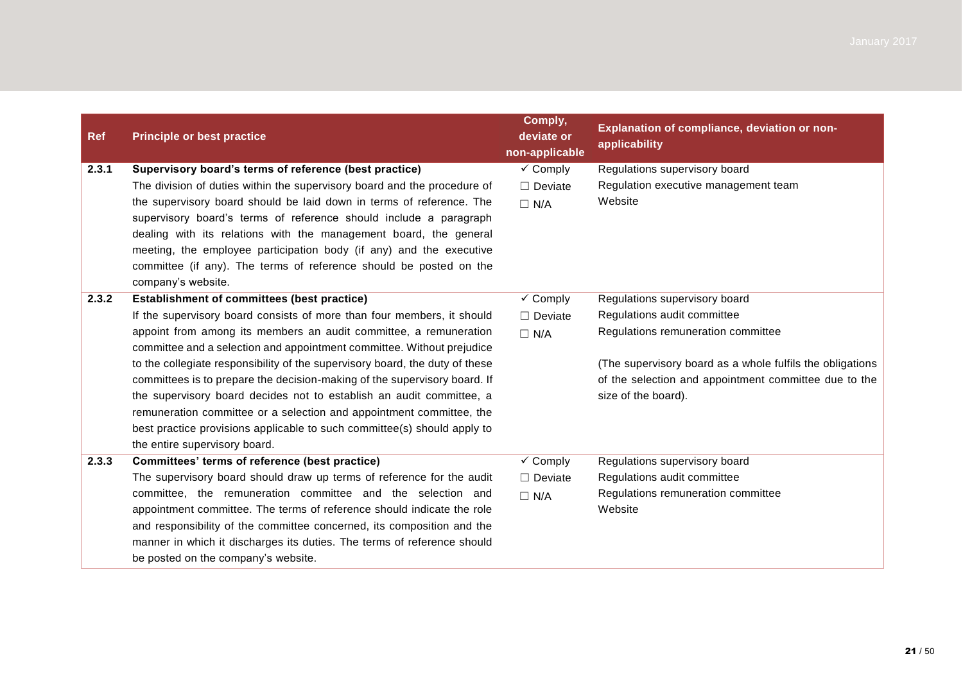| <b>Ref</b> | <b>Principle or best practice</b>                                            | Comply,<br>deviate or<br>non-applicable | Explanation of compliance, deviation or non-<br>applicability |
|------------|------------------------------------------------------------------------------|-----------------------------------------|---------------------------------------------------------------|
| 2.3.1      | Supervisory board's terms of reference (best practice)                       | $\checkmark$ Comply                     | Regulations supervisory board                                 |
|            | The division of duties within the supervisory board and the procedure of     | $\Box$ Deviate                          | Regulation executive management team                          |
|            | the supervisory board should be laid down in terms of reference. The         | $\Box$ N/A                              | Website                                                       |
|            | supervisory board's terms of reference should include a paragraph            |                                         |                                                               |
|            | dealing with its relations with the management board, the general            |                                         |                                                               |
|            | meeting, the employee participation body (if any) and the executive          |                                         |                                                               |
|            | committee (if any). The terms of reference should be posted on the           |                                         |                                                               |
|            | company's website.                                                           |                                         |                                                               |
| 2.3.2      | <b>Establishment of committees (best practice)</b>                           | $\checkmark$ Comply                     | Regulations supervisory board                                 |
|            | If the supervisory board consists of more than four members, it should       | $\Box$ Deviate                          | Regulations audit committee                                   |
|            | appoint from among its members an audit committee, a remuneration            | $\Box$ N/A                              | Regulations remuneration committee                            |
|            | committee and a selection and appointment committee. Without prejudice       |                                         |                                                               |
|            | to the collegiate responsibility of the supervisory board, the duty of these |                                         | (The supervisory board as a whole fulfils the obligations     |
|            | committees is to prepare the decision-making of the supervisory board. If    |                                         | of the selection and appointment committee due to the         |
|            | the supervisory board decides not to establish an audit committee, a         |                                         | size of the board).                                           |
|            | remuneration committee or a selection and appointment committee, the         |                                         |                                                               |
|            | best practice provisions applicable to such committee(s) should apply to     |                                         |                                                               |
|            | the entire supervisory board.                                                |                                         |                                                               |
| 2.3.3      | Committees' terms of reference (best practice)                               | $\checkmark$ Comply                     | Regulations supervisory board                                 |
|            | The supervisory board should draw up terms of reference for the audit        | $\Box$ Deviate                          | Regulations audit committee                                   |
|            | committee, the remuneration committee and the selection and                  | $\Box$ N/A                              | Regulations remuneration committee                            |
|            | appointment committee. The terms of reference should indicate the role       |                                         | Website                                                       |
|            | and responsibility of the committee concerned, its composition and the       |                                         |                                                               |
|            | manner in which it discharges its duties. The terms of reference should      |                                         |                                                               |
|            | be posted on the company's website.                                          |                                         |                                                               |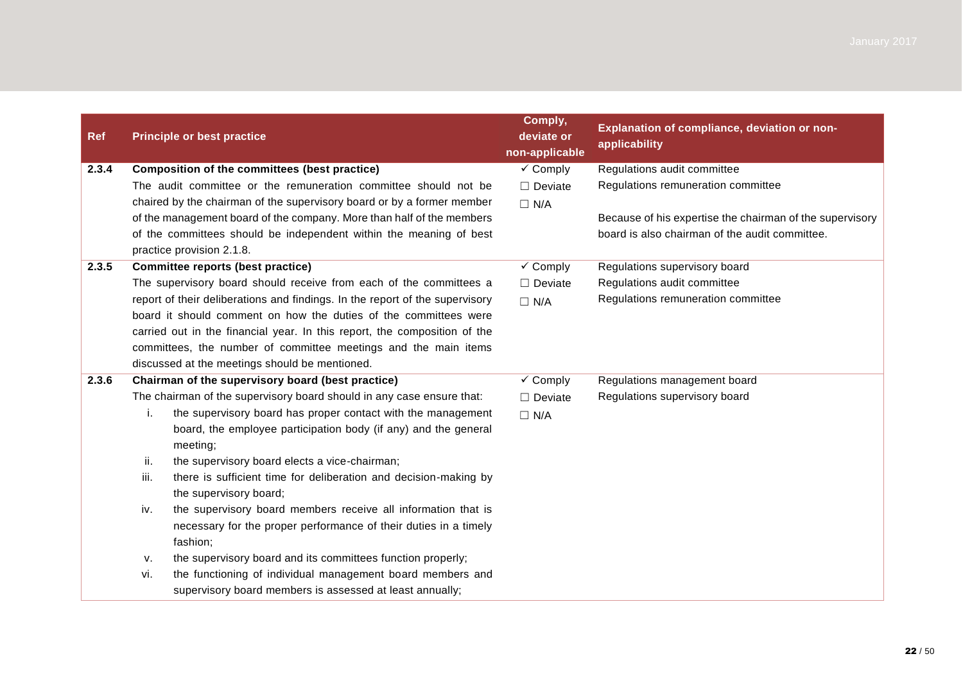| <b>Ref</b> |      | <b>Principle or best practice</b>                                                               | Comply,<br>deviate or<br>non-applicable | Explanation of compliance, deviation or non-<br>applicability |
|------------|------|-------------------------------------------------------------------------------------------------|-----------------------------------------|---------------------------------------------------------------|
| 2.3.4      |      | Composition of the committees (best practice)                                                   | $\checkmark$ Comply                     | Regulations audit committee                                   |
|            |      | The audit committee or the remuneration committee should not be                                 | $\Box$ Deviate                          | Regulations remuneration committee                            |
|            |      | chaired by the chairman of the supervisory board or by a former member                          | $\Box$ N/A                              |                                                               |
|            |      | of the management board of the company. More than half of the members                           |                                         | Because of his expertise the chairman of the supervisory      |
|            |      | of the committees should be independent within the meaning of best<br>practice provision 2.1.8. |                                         | board is also chairman of the audit committee.                |
| 2.3.5      |      | <b>Committee reports (best practice)</b>                                                        | $\checkmark$ Comply                     | Regulations supervisory board                                 |
|            |      | The supervisory board should receive from each of the committees a                              | $\Box$ Deviate                          | Regulations audit committee                                   |
|            |      | report of their deliberations and findings. In the report of the supervisory                    | $\Box$ N/A                              | Regulations remuneration committee                            |
|            |      | board it should comment on how the duties of the committees were                                |                                         |                                                               |
|            |      | carried out in the financial year. In this report, the composition of the                       |                                         |                                                               |
|            |      | committees, the number of committee meetings and the main items                                 |                                         |                                                               |
|            |      | discussed at the meetings should be mentioned.                                                  |                                         |                                                               |
| 2.3.6      |      | Chairman of the supervisory board (best practice)                                               | $\checkmark$ Comply                     | Regulations management board                                  |
|            |      | The chairman of the supervisory board should in any case ensure that:                           | $\Box$ Deviate                          | Regulations supervisory board                                 |
|            | i.   | the supervisory board has proper contact with the management                                    | $\Box$ N/A                              |                                                               |
|            |      | board, the employee participation body (if any) and the general<br>meeting;                     |                                         |                                                               |
|            | ii.  | the supervisory board elects a vice-chairman;                                                   |                                         |                                                               |
|            | iii. | there is sufficient time for deliberation and decision-making by                                |                                         |                                                               |
|            |      | the supervisory board;                                                                          |                                         |                                                               |
|            | iv.  | the supervisory board members receive all information that is                                   |                                         |                                                               |
|            |      | necessary for the proper performance of their duties in a timely<br>fashion;                    |                                         |                                                               |
|            | ν.   | the supervisory board and its committees function properly;                                     |                                         |                                                               |
|            | vi.  | the functioning of individual management board members and                                      |                                         |                                                               |
|            |      | supervisory board members is assessed at least annually;                                        |                                         |                                                               |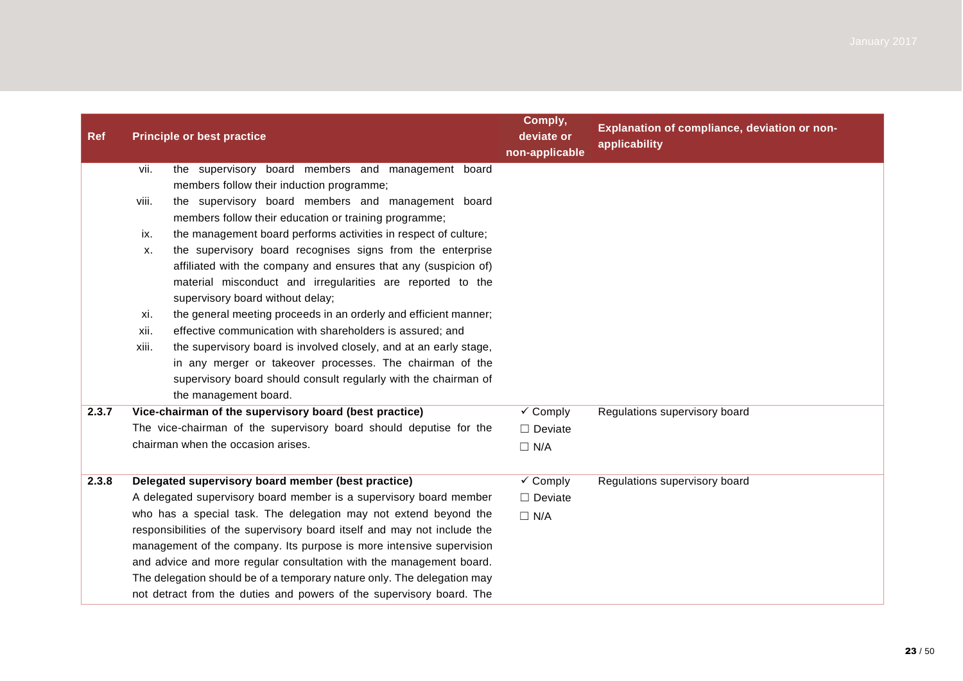| <b>Ref</b> |       | <b>Principle or best practice</b>                                               | Comply,<br>deviate or<br>non-applicable | Explanation of compliance, deviation or non-<br>applicability |
|------------|-------|---------------------------------------------------------------------------------|-----------------------------------------|---------------------------------------------------------------|
|            | vii.  | the supervisory board members and management board                              |                                         |                                                               |
|            |       | members follow their induction programme;                                       |                                         |                                                               |
|            | viii. | the supervisory board members and management board                              |                                         |                                                               |
|            |       | members follow their education or training programme;                           |                                         |                                                               |
|            | ix.   | the management board performs activities in respect of culture;                 |                                         |                                                               |
|            | Х.    | the supervisory board recognises signs from the enterprise                      |                                         |                                                               |
|            |       | affiliated with the company and ensures that any (suspicion of)                 |                                         |                                                               |
|            |       | material misconduct and irregularities are reported to the                      |                                         |                                                               |
|            |       | supervisory board without delay;                                                |                                         |                                                               |
|            | xi.   | the general meeting proceeds in an orderly and efficient manner;                |                                         |                                                               |
|            | xii.  | effective communication with shareholders is assured; and                       |                                         |                                                               |
|            | xiii. | the supervisory board is involved closely, and at an early stage,               |                                         |                                                               |
|            |       | in any merger or takeover processes. The chairman of the                        |                                         |                                                               |
|            |       | supervisory board should consult regularly with the chairman of                 |                                         |                                                               |
| 2.3.7      |       | the management board.<br>Vice-chairman of the supervisory board (best practice) | $\checkmark$ Comply                     | Regulations supervisory board                                 |
|            |       | The vice-chairman of the supervisory board should deputise for the              |                                         |                                                               |
|            |       | chairman when the occasion arises.                                              | $\Box$ Deviate                          |                                                               |
|            |       |                                                                                 | $\Box$ N/A                              |                                                               |
| 2.3.8      |       | Delegated supervisory board member (best practice)                              | $\checkmark$ Comply                     | Regulations supervisory board                                 |
|            |       | A delegated supervisory board member is a supervisory board member              | $\Box$ Deviate                          |                                                               |
|            |       | who has a special task. The delegation may not extend beyond the                | $\Box$ N/A                              |                                                               |
|            |       | responsibilities of the supervisory board itself and may not include the        |                                         |                                                               |
|            |       | management of the company. Its purpose is more intensive supervision            |                                         |                                                               |
|            |       | and advice and more regular consultation with the management board.             |                                         |                                                               |
|            |       | The delegation should be of a temporary nature only. The delegation may         |                                         |                                                               |
|            |       | not detract from the duties and powers of the supervisory board. The            |                                         |                                                               |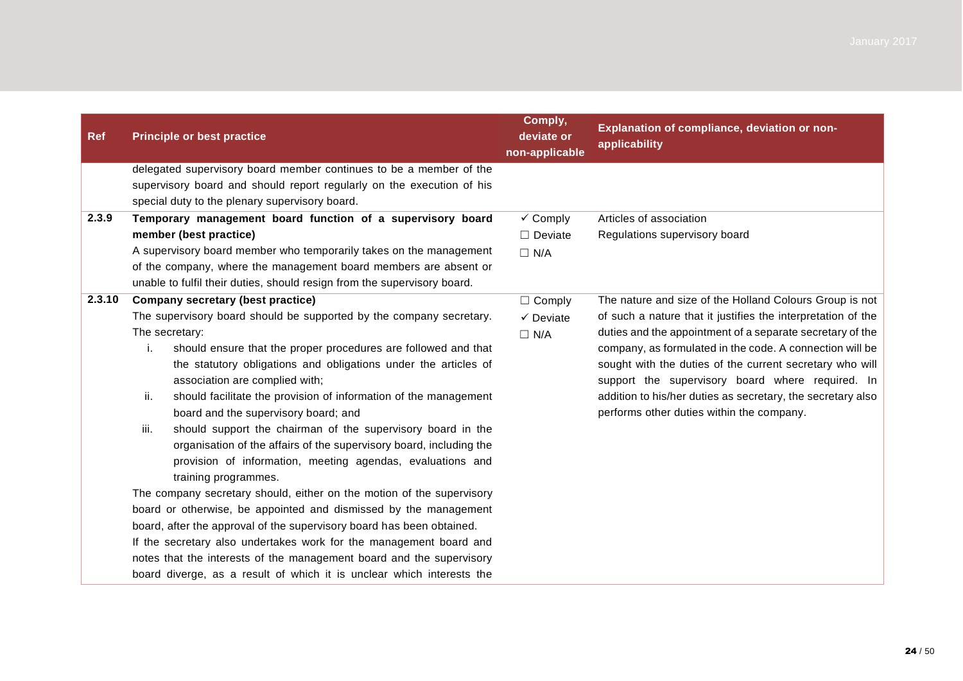| <b>Ref</b> | <b>Principle or best practice</b>                                        | Comply,<br>deviate or<br>non-applicable | Explanation of compliance, deviation or non-<br>applicability |
|------------|--------------------------------------------------------------------------|-----------------------------------------|---------------------------------------------------------------|
|            | delegated supervisory board member continues to be a member of the       |                                         |                                                               |
|            | supervisory board and should report regularly on the execution of his    |                                         |                                                               |
|            | special duty to the plenary supervisory board.                           |                                         |                                                               |
| 2.3.9      | Temporary management board function of a supervisory board               | $\checkmark$ Comply                     | Articles of association                                       |
|            | member (best practice)                                                   | $\Box$ Deviate                          | Regulations supervisory board                                 |
|            | A supervisory board member who temporarily takes on the management       | $\Box$ N/A                              |                                                               |
|            | of the company, where the management board members are absent or         |                                         |                                                               |
|            | unable to fulfil their duties, should resign from the supervisory board. |                                         |                                                               |
| 2.3.10     | Company secretary (best practice)                                        | $\Box$ Comply                           | The nature and size of the Holland Colours Group is not       |
|            | The supervisory board should be supported by the company secretary.      | $\checkmark$ Deviate                    | of such a nature that it justifies the interpretation of the  |
|            | The secretary:                                                           | $\Box$ N/A                              | duties and the appointment of a separate secretary of the     |
|            | should ensure that the proper procedures are followed and that<br>i.     |                                         | company, as formulated in the code. A connection will be      |
|            | the statutory obligations and obligations under the articles of          |                                         | sought with the duties of the current secretary who will      |
|            | association are complied with;                                           |                                         | support the supervisory board where required. In              |
|            | ii.<br>should facilitate the provision of information of the management  |                                         | addition to his/her duties as secretary, the secretary also   |
|            | board and the supervisory board; and                                     |                                         | performs other duties within the company.                     |
|            | iii.<br>should support the chairman of the supervisory board in the      |                                         |                                                               |
|            | organisation of the affairs of the supervisory board, including the      |                                         |                                                               |
|            | provision of information, meeting agendas, evaluations and               |                                         |                                                               |
|            | training programmes.                                                     |                                         |                                                               |
|            | The company secretary should, either on the motion of the supervisory    |                                         |                                                               |
|            | board or otherwise, be appointed and dismissed by the management         |                                         |                                                               |
|            | board, after the approval of the supervisory board has been obtained.    |                                         |                                                               |
|            | If the secretary also undertakes work for the management board and       |                                         |                                                               |
|            | notes that the interests of the management board and the supervisory     |                                         |                                                               |
|            | board diverge, as a result of which it is unclear which interests the    |                                         |                                                               |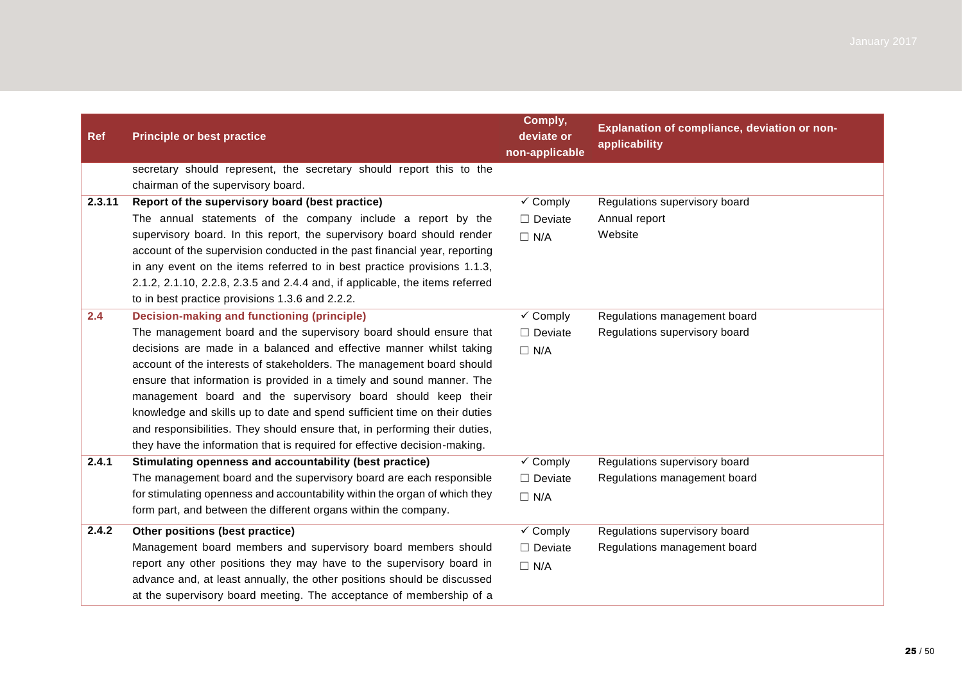| Ref    | <b>Principle or best practice</b>                                            | Comply,<br>deviate or<br>non-applicable | Explanation of compliance, deviation or non-<br>applicability |
|--------|------------------------------------------------------------------------------|-----------------------------------------|---------------------------------------------------------------|
|        | secretary should represent, the secretary should report this to the          |                                         |                                                               |
|        | chairman of the supervisory board.                                           |                                         |                                                               |
| 2.3.11 | Report of the supervisory board (best practice)                              | $\checkmark$ Comply                     | Regulations supervisory board                                 |
|        | The annual statements of the company include a report by the                 | $\Box$ Deviate                          | Annual report                                                 |
|        | supervisory board. In this report, the supervisory board should render       | $\Box$ N/A                              | Website                                                       |
|        | account of the supervision conducted in the past financial year, reporting   |                                         |                                                               |
|        | in any event on the items referred to in best practice provisions 1.1.3,     |                                         |                                                               |
|        | 2.1.2, 2.1.10, 2.2.8, 2.3.5 and 2.4.4 and, if applicable, the items referred |                                         |                                                               |
|        | to in best practice provisions 1.3.6 and 2.2.2.                              |                                         |                                                               |
| 2.4    | <b>Decision-making and functioning (principle)</b>                           | $\checkmark$ Comply                     | Regulations management board                                  |
|        | The management board and the supervisory board should ensure that            | $\Box$ Deviate                          | Regulations supervisory board                                 |
|        | decisions are made in a balanced and effective manner whilst taking          | $\Box$ N/A                              |                                                               |
|        | account of the interests of stakeholders. The management board should        |                                         |                                                               |
|        | ensure that information is provided in a timely and sound manner. The        |                                         |                                                               |
|        | management board and the supervisory board should keep their                 |                                         |                                                               |
|        | knowledge and skills up to date and spend sufficient time on their duties    |                                         |                                                               |
|        | and responsibilities. They should ensure that, in performing their duties,   |                                         |                                                               |
|        | they have the information that is required for effective decision-making.    |                                         |                                                               |
| 2.4.1  | Stimulating openness and accountability (best practice)                      | $\checkmark$ Comply                     | Regulations supervisory board                                 |
|        | The management board and the supervisory board are each responsible          | $\Box$ Deviate                          | Regulations management board                                  |
|        | for stimulating openness and accountability within the organ of which they   | $\Box$ N/A                              |                                                               |
|        | form part, and between the different organs within the company.              |                                         |                                                               |
| 2.4.2  | Other positions (best practice)                                              | $\checkmark$ Comply                     | Regulations supervisory board                                 |
|        | Management board members and supervisory board members should                | $\Box$ Deviate                          | Regulations management board                                  |
|        | report any other positions they may have to the supervisory board in         | $\Box$ N/A                              |                                                               |
|        | advance and, at least annually, the other positions should be discussed      |                                         |                                                               |
|        | at the supervisory board meeting. The acceptance of membership of a          |                                         |                                                               |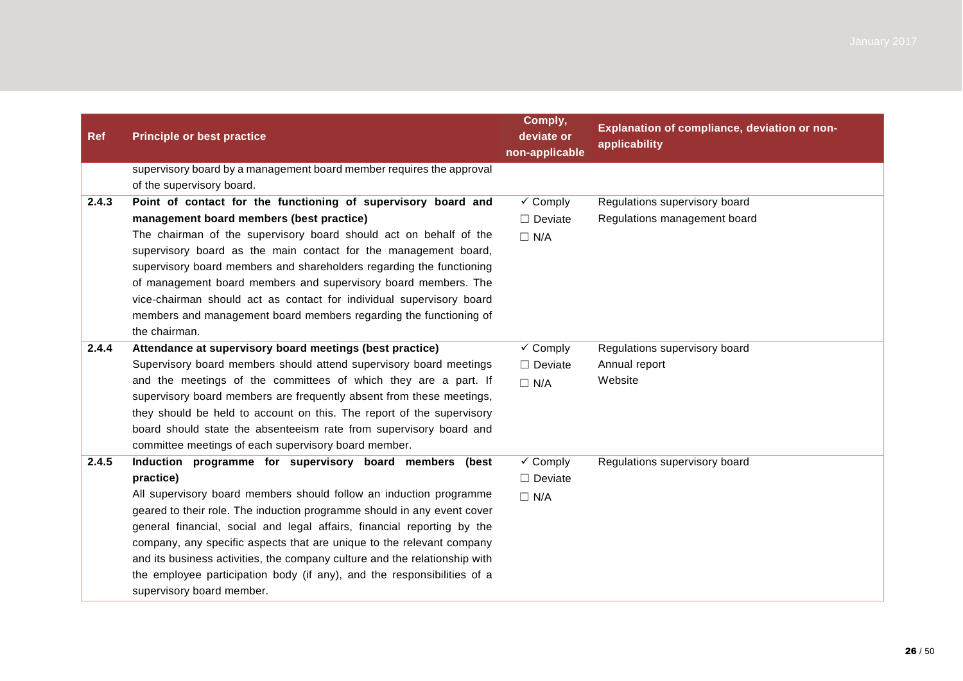| <b>Ref</b> | <b>Principle or best practice</b>                                                                    | Comply,<br>deviate or<br>non-applicable | Explanation of compliance, deviation or non-<br>applicability |
|------------|------------------------------------------------------------------------------------------------------|-----------------------------------------|---------------------------------------------------------------|
|            | supervisory board by a management board member requires the approval<br>of the supervisory board.    |                                         |                                                               |
| 2.4.3      | Point of contact for the functioning of supervisory board and                                        | $\checkmark$ Comply                     | Regulations supervisory board                                 |
|            | management board members (best practice)                                                             | $\Box$ Deviate                          | Regulations management board                                  |
|            | The chairman of the supervisory board should act on behalf of the                                    | $\Box$ N/A                              |                                                               |
|            | supervisory board as the main contact for the management board,                                      |                                         |                                                               |
|            | supervisory board members and shareholders regarding the functioning                                 |                                         |                                                               |
|            | of management board members and supervisory board members. The                                       |                                         |                                                               |
|            | vice-chairman should act as contact for individual supervisory board                                 |                                         |                                                               |
|            | members and management board members regarding the functioning of<br>the chairman.                   |                                         |                                                               |
| 2.4.4      | Attendance at supervisory board meetings (best practice)                                             | $\checkmark$ Comply                     | Regulations supervisory board                                 |
|            | Supervisory board members should attend supervisory board meetings                                   | $\Box$ Deviate                          | Annual report                                                 |
|            | and the meetings of the committees of which they are a part. If                                      | $\Box$ N/A                              | Website                                                       |
|            | supervisory board members are frequently absent from these meetings,                                 |                                         |                                                               |
|            | they should be held to account on this. The report of the supervisory                                |                                         |                                                               |
|            | board should state the absenteeism rate from supervisory board and                                   |                                         |                                                               |
|            | committee meetings of each supervisory board member.                                                 |                                         |                                                               |
| 2.4.5      | Induction programme for supervisory board members (best                                              | $\checkmark$ Comply                     | Regulations supervisory board                                 |
|            | practice)                                                                                            | $\Box$ Deviate                          |                                                               |
|            | All supervisory board members should follow an induction programme                                   | $\Box$ N/A                              |                                                               |
|            | geared to their role. The induction programme should in any event cover                              |                                         |                                                               |
|            | general financial, social and legal affairs, financial reporting by the                              |                                         |                                                               |
|            | company, any specific aspects that are unique to the relevant company                                |                                         |                                                               |
|            | and its business activities, the company culture and the relationship with                           |                                         |                                                               |
|            | the employee participation body (if any), and the responsibilities of a<br>supervisory board member. |                                         |                                                               |
|            |                                                                                                      |                                         |                                                               |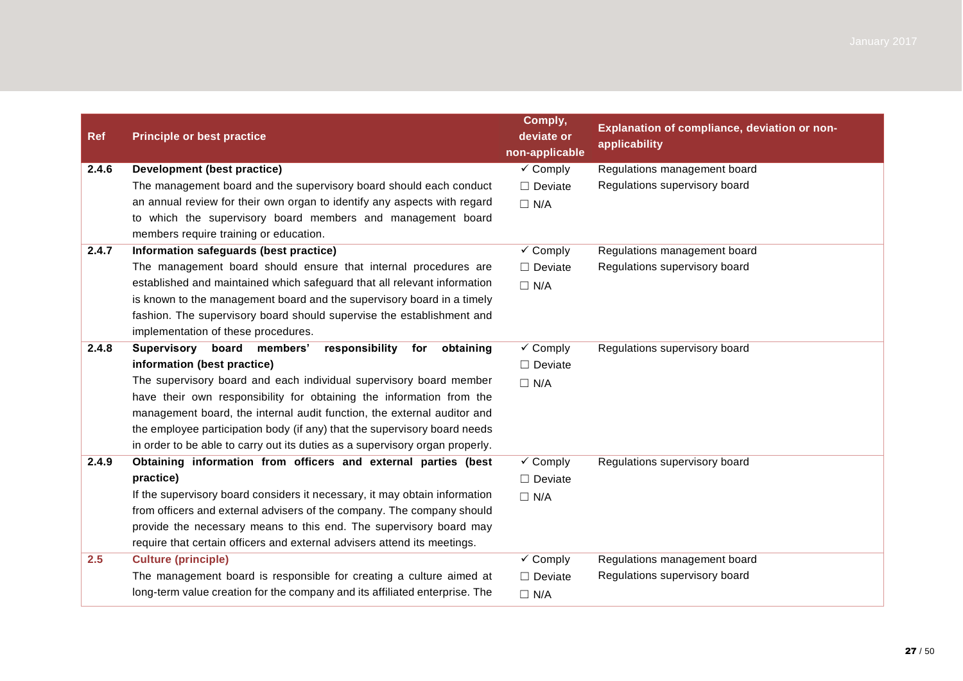| <b>Ref</b> | <b>Principle or best practice</b>                                            | Comply,<br>deviate or<br>non-applicable | Explanation of compliance, deviation or non-<br>applicability |
|------------|------------------------------------------------------------------------------|-----------------------------------------|---------------------------------------------------------------|
| 2.4.6      | Development (best practice)                                                  | $\checkmark$ Comply                     | Regulations management board                                  |
|            | The management board and the supervisory board should each conduct           | $\Box$ Deviate                          | Regulations supervisory board                                 |
|            | an annual review for their own organ to identify any aspects with regard     | $\Box$ N/A                              |                                                               |
|            | to which the supervisory board members and management board                  |                                         |                                                               |
|            | members require training or education.                                       |                                         |                                                               |
| 2.4.7      | Information safeguards (best practice)                                       | $\checkmark$ Comply                     | Regulations management board                                  |
|            | The management board should ensure that internal procedures are              | $\Box$ Deviate                          | Regulations supervisory board                                 |
|            | established and maintained which safeguard that all relevant information     | $\Box$ N/A                              |                                                               |
|            | is known to the management board and the supervisory board in a timely       |                                         |                                                               |
|            | fashion. The supervisory board should supervise the establishment and        |                                         |                                                               |
|            | implementation of these procedures.                                          |                                         |                                                               |
| 2.4.8      | board members'<br>Supervisory<br>responsibility<br>for<br>obtaining          | $\checkmark$ Comply                     | Regulations supervisory board                                 |
|            | information (best practice)                                                  | $\Box$ Deviate                          |                                                               |
|            | The supervisory board and each individual supervisory board member           | $\Box$ N/A                              |                                                               |
|            | have their own responsibility for obtaining the information from the         |                                         |                                                               |
|            | management board, the internal audit function, the external auditor and      |                                         |                                                               |
|            | the employee participation body (if any) that the supervisory board needs    |                                         |                                                               |
|            | in order to be able to carry out its duties as a supervisory organ properly. |                                         |                                                               |
| 2.4.9      | Obtaining information from officers and external parties (best               | $\checkmark$ Comply                     | Regulations supervisory board                                 |
|            | practice)                                                                    | $\Box$ Deviate                          |                                                               |
|            | If the supervisory board considers it necessary, it may obtain information   | $\Box$ N/A                              |                                                               |
|            | from officers and external advisers of the company. The company should       |                                         |                                                               |
|            | provide the necessary means to this end. The supervisory board may           |                                         |                                                               |
|            | require that certain officers and external advisers attend its meetings.     |                                         |                                                               |
| 2.5        | <b>Culture (principle)</b>                                                   | $\checkmark$ Comply                     | Regulations management board                                  |
|            | The management board is responsible for creating a culture aimed at          | $\Box$ Deviate                          | Regulations supervisory board                                 |
|            | long-term value creation for the company and its affiliated enterprise. The  | $\Box$ N/A                              |                                                               |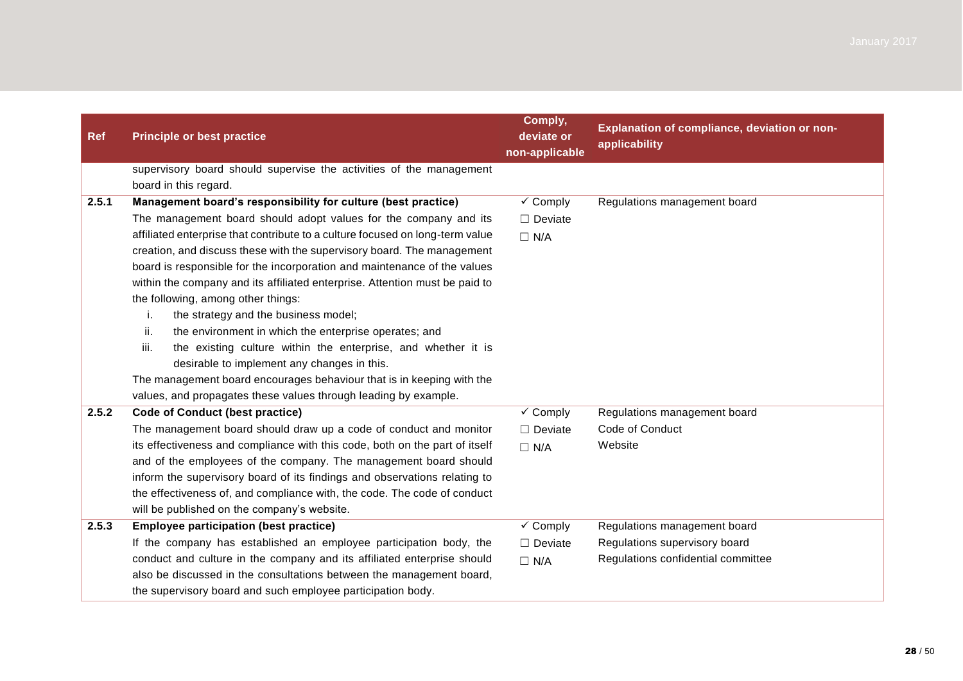| <b>Ref</b> | <b>Principle or best practice</b>                                                                                                             | Comply,<br>deviate or<br>non-applicable | Explanation of compliance, deviation or non-<br>applicability |
|------------|-----------------------------------------------------------------------------------------------------------------------------------------------|-----------------------------------------|---------------------------------------------------------------|
|            | supervisory board should supervise the activities of the management                                                                           |                                         |                                                               |
|            | board in this regard.                                                                                                                         |                                         |                                                               |
| 2.5.1      | Management board's responsibility for culture (best practice)                                                                                 | $\checkmark$ Comply                     | Regulations management board                                  |
|            | The management board should adopt values for the company and its                                                                              | $\Box$ Deviate                          |                                                               |
|            | affiliated enterprise that contribute to a culture focused on long-term value                                                                 | $\Box$ N/A                              |                                                               |
|            | creation, and discuss these with the supervisory board. The management                                                                        |                                         |                                                               |
|            | board is responsible for the incorporation and maintenance of the values                                                                      |                                         |                                                               |
|            | within the company and its affiliated enterprise. Attention must be paid to                                                                   |                                         |                                                               |
|            | the following, among other things:                                                                                                            |                                         |                                                               |
|            | the strategy and the business model;<br>j.                                                                                                    |                                         |                                                               |
|            | ii.<br>the environment in which the enterprise operates; and                                                                                  |                                         |                                                               |
|            | iii.<br>the existing culture within the enterprise, and whether it is                                                                         |                                         |                                                               |
|            | desirable to implement any changes in this.                                                                                                   |                                         |                                                               |
|            | The management board encourages behaviour that is in keeping with the                                                                         |                                         |                                                               |
|            | values, and propagates these values through leading by example.                                                                               |                                         |                                                               |
| 2.5.2      | <b>Code of Conduct (best practice)</b>                                                                                                        | $\checkmark$ Comply                     | Regulations management board                                  |
|            | The management board should draw up a code of conduct and monitor                                                                             | $\Box$ Deviate                          | Code of Conduct                                               |
|            | its effectiveness and compliance with this code, both on the part of itself                                                                   | $\Box$ N/A                              | Website                                                       |
|            | and of the employees of the company. The management board should<br>inform the supervisory board of its findings and observations relating to |                                         |                                                               |
|            | the effectiveness of, and compliance with, the code. The code of conduct                                                                      |                                         |                                                               |
|            | will be published on the company's website.                                                                                                   |                                         |                                                               |
| 2.5.3      | <b>Employee participation (best practice)</b>                                                                                                 | $\checkmark$ Comply                     | Regulations management board                                  |
|            | If the company has established an employee participation body, the                                                                            | $\Box$ Deviate                          | Regulations supervisory board                                 |
|            | conduct and culture in the company and its affiliated enterprise should                                                                       | $\Box$ N/A                              | Regulations confidential committee                            |
|            | also be discussed in the consultations between the management board,                                                                          |                                         |                                                               |
|            | the supervisory board and such employee participation body.                                                                                   |                                         |                                                               |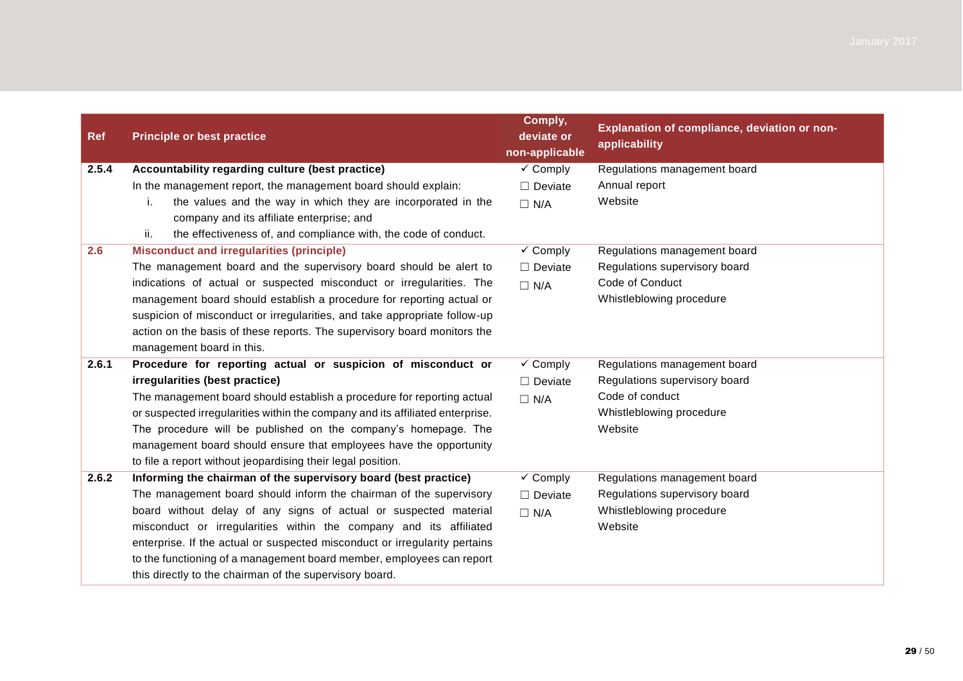| <b>Ref</b> | <b>Principle or best practice</b>                                             | Comply,<br>deviate or<br>non-applicable | Explanation of compliance, deviation or non-<br>applicability |
|------------|-------------------------------------------------------------------------------|-----------------------------------------|---------------------------------------------------------------|
| 2.5.4      | Accountability regarding culture (best practice)                              | $\checkmark$ Comply                     | Regulations management board                                  |
|            | In the management report, the management board should explain:                | $\Box$ Deviate                          | Annual report                                                 |
|            | the values and the way in which they are incorporated in the<br>i.            | $\Box$ N/A                              | Website                                                       |
|            | company and its affiliate enterprise; and                                     |                                         |                                                               |
|            | ii.<br>the effectiveness of, and compliance with, the code of conduct.        |                                         |                                                               |
| 2.6        | <b>Misconduct and irregularities (principle)</b>                              | $\checkmark$ Comply                     | Regulations management board                                  |
|            | The management board and the supervisory board should be alert to             | $\Box$ Deviate                          | Regulations supervisory board                                 |
|            | indications of actual or suspected misconduct or irregularities. The          | $\Box$ N/A                              | Code of Conduct                                               |
|            | management board should establish a procedure for reporting actual or         |                                         | Whistleblowing procedure                                      |
|            | suspicion of misconduct or irregularities, and take appropriate follow-up     |                                         |                                                               |
|            | action on the basis of these reports. The supervisory board monitors the      |                                         |                                                               |
|            | management board in this.                                                     |                                         |                                                               |
| 2.6.1      | Procedure for reporting actual or suspicion of misconduct or                  | $\checkmark$ Comply                     | Regulations management board                                  |
|            | irregularities (best practice)                                                | $\Box$ Deviate                          | Regulations supervisory board                                 |
|            | The management board should establish a procedure for reporting actual        | $\Box$ N/A                              | Code of conduct                                               |
|            | or suspected irregularities within the company and its affiliated enterprise. |                                         | Whistleblowing procedure                                      |
|            | The procedure will be published on the company's homepage. The                |                                         | Website                                                       |
|            | management board should ensure that employees have the opportunity            |                                         |                                                               |
|            | to file a report without jeopardising their legal position.                   |                                         |                                                               |
| 2.6.2      | Informing the chairman of the supervisory board (best practice)               | $\checkmark$ Comply                     | Regulations management board                                  |
|            | The management board should inform the chairman of the supervisory            | $\Box$ Deviate                          | Regulations supervisory board                                 |
|            | board without delay of any signs of actual or suspected material              | $\Box$ N/A                              | Whistleblowing procedure                                      |
|            | misconduct or irregularities within the company and its affiliated            |                                         | Website                                                       |
|            | enterprise. If the actual or suspected misconduct or irregularity pertains    |                                         |                                                               |
|            | to the functioning of a management board member, employees can report         |                                         |                                                               |
|            | this directly to the chairman of the supervisory board.                       |                                         |                                                               |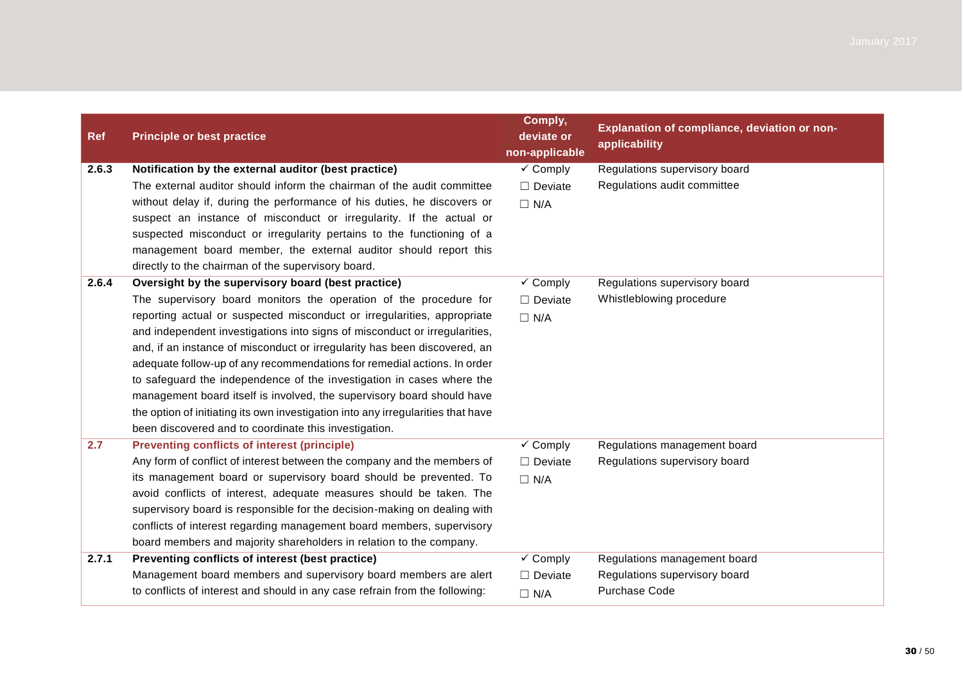| <b>Ref</b> | <b>Principle or best practice</b>                                                | Comply,<br>deviate or<br>non-applicable | <b>Explanation of compliance, deviation or non-</b><br>applicability |
|------------|----------------------------------------------------------------------------------|-----------------------------------------|----------------------------------------------------------------------|
| 2.6.3      | Notification by the external auditor (best practice)                             | $\checkmark$ Comply                     | Regulations supervisory board                                        |
|            | The external auditor should inform the chairman of the audit committee           | $\Box$ Deviate                          | Regulations audit committee                                          |
|            | without delay if, during the performance of his duties, he discovers or          | $\Box$ N/A                              |                                                                      |
|            | suspect an instance of misconduct or irregularity. If the actual or              |                                         |                                                                      |
|            | suspected misconduct or irregularity pertains to the functioning of a            |                                         |                                                                      |
|            | management board member, the external auditor should report this                 |                                         |                                                                      |
|            | directly to the chairman of the supervisory board.                               |                                         |                                                                      |
| 2.6.4      | Oversight by the supervisory board (best practice)                               | $\checkmark$ Comply                     | Regulations supervisory board                                        |
|            | The supervisory board monitors the operation of the procedure for                | $\Box$ Deviate                          | Whistleblowing procedure                                             |
|            | reporting actual or suspected misconduct or irregularities, appropriate          | $\Box$ N/A                              |                                                                      |
|            | and independent investigations into signs of misconduct or irregularities,       |                                         |                                                                      |
|            | and, if an instance of misconduct or irregularity has been discovered, an        |                                         |                                                                      |
|            | adequate follow-up of any recommendations for remedial actions. In order         |                                         |                                                                      |
|            | to safeguard the independence of the investigation in cases where the            |                                         |                                                                      |
|            | management board itself is involved, the supervisory board should have           |                                         |                                                                      |
|            | the option of initiating its own investigation into any irregularities that have |                                         |                                                                      |
|            | been discovered and to coordinate this investigation.                            |                                         |                                                                      |
| 2.7        | <b>Preventing conflicts of interest (principle)</b>                              | $\checkmark$ Comply                     | Regulations management board                                         |
|            | Any form of conflict of interest between the company and the members of          | $\Box$ Deviate                          | Regulations supervisory board                                        |
|            | its management board or supervisory board should be prevented. To                | $\Box$ N/A                              |                                                                      |
|            | avoid conflicts of interest, adequate measures should be taken. The              |                                         |                                                                      |
|            | supervisory board is responsible for the decision-making on dealing with         |                                         |                                                                      |
|            | conflicts of interest regarding management board members, supervisory            |                                         |                                                                      |
|            | board members and majority shareholders in relation to the company.              |                                         |                                                                      |
| 2.7.1      | Preventing conflicts of interest (best practice)                                 | $\checkmark$ Comply                     | Regulations management board                                         |
|            | Management board members and supervisory board members are alert                 | $\Box$ Deviate                          | Regulations supervisory board                                        |
|            | to conflicts of interest and should in any case refrain from the following:      | $\Box$ N/A                              | <b>Purchase Code</b>                                                 |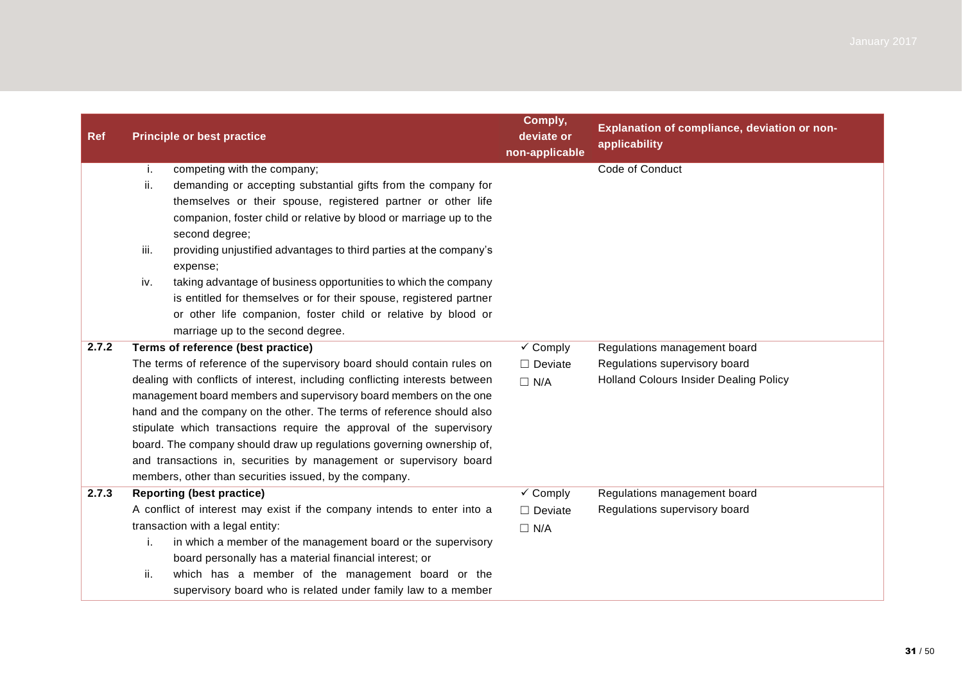| <b>Ref</b> | <b>Principle or best practice</b>                                           | Comply,<br>deviate or<br>non-applicable | Explanation of compliance, deviation or non-<br>applicability |
|------------|-----------------------------------------------------------------------------|-----------------------------------------|---------------------------------------------------------------|
|            | competing with the company;<br>i.                                           |                                         | Code of Conduct                                               |
|            | demanding or accepting substantial gifts from the company for<br>ii.        |                                         |                                                               |
|            | themselves or their spouse, registered partner or other life                |                                         |                                                               |
|            | companion, foster child or relative by blood or marriage up to the          |                                         |                                                               |
|            | second degree;                                                              |                                         |                                                               |
|            | iii.<br>providing unjustified advantages to third parties at the company's  |                                         |                                                               |
|            | expense;                                                                    |                                         |                                                               |
|            | taking advantage of business opportunities to which the company<br>iv.      |                                         |                                                               |
|            | is entitled for themselves or for their spouse, registered partner          |                                         |                                                               |
|            | or other life companion, foster child or relative by blood or               |                                         |                                                               |
|            | marriage up to the second degree.                                           |                                         |                                                               |
| 2.7.2      | Terms of reference (best practice)                                          | $\checkmark$ Comply                     | Regulations management board                                  |
|            | The terms of reference of the supervisory board should contain rules on     | $\Box$ Deviate                          | Regulations supervisory board                                 |
|            | dealing with conflicts of interest, including conflicting interests between | $\Box$ N/A                              | <b>Holland Colours Insider Dealing Policy</b>                 |
|            | management board members and supervisory board members on the one           |                                         |                                                               |
|            | hand and the company on the other. The terms of reference should also       |                                         |                                                               |
|            | stipulate which transactions require the approval of the supervisory        |                                         |                                                               |
|            | board. The company should draw up regulations governing ownership of,       |                                         |                                                               |
|            | and transactions in, securities by management or supervisory board          |                                         |                                                               |
|            | members, other than securities issued, by the company.                      |                                         |                                                               |
| 2.7.3      | <b>Reporting (best practice)</b>                                            | $\checkmark$ Comply                     | Regulations management board                                  |
|            | A conflict of interest may exist if the company intends to enter into a     | $\Box$ Deviate                          | Regulations supervisory board                                 |
|            | transaction with a legal entity:                                            | $\Box$ N/A                              |                                                               |
|            | in which a member of the management board or the supervisory<br>i.          |                                         |                                                               |
|            | board personally has a material financial interest; or                      |                                         |                                                               |
|            | which has a member of the management board or the<br>ii.                    |                                         |                                                               |
|            | supervisory board who is related under family law to a member               |                                         |                                                               |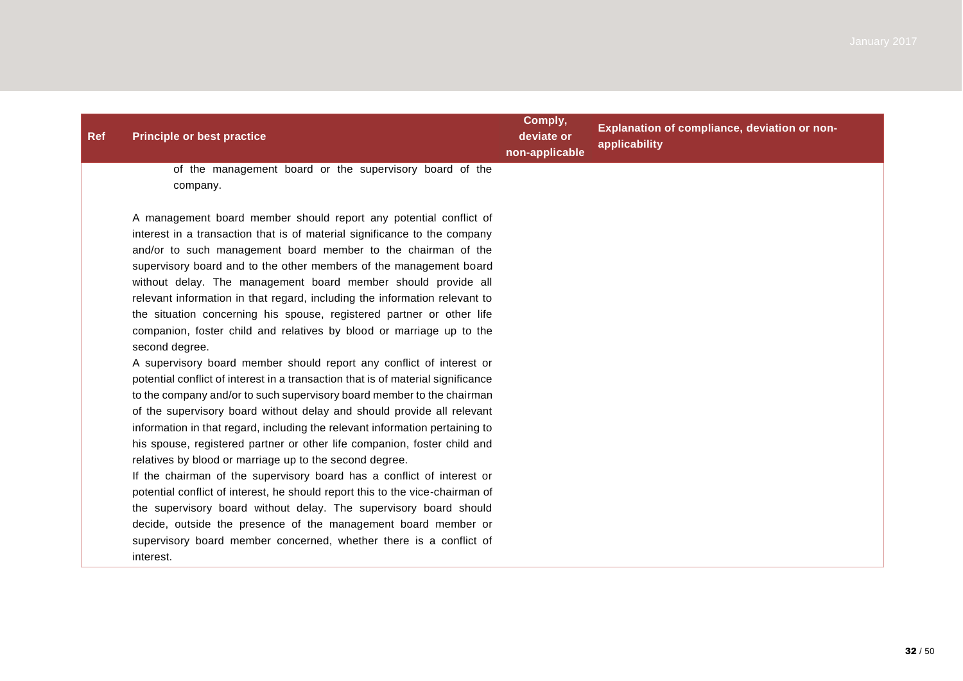| <b>Ref</b> | <b>Principle or best practice</b>                                                                                                                                                                               | Comply,<br>deviate or<br>non-applicable | Explanation of compliance, deviation or non-<br>applicability |
|------------|-----------------------------------------------------------------------------------------------------------------------------------------------------------------------------------------------------------------|-----------------------------------------|---------------------------------------------------------------|
|            | of the management board or the supervisory board of the<br>company.                                                                                                                                             |                                         |                                                               |
|            | A management board member should report any potential conflict of<br>interest in a transaction that is of material significance to the company<br>and/or to such management board member to the chairman of the |                                         |                                                               |

supervisory board and to the other members of the management board without delay. The management board member should provide all relevant information in that regard, including the information relevant to the situation concerning his spouse, registered partner or other life companion, foster child and relatives by blood or marriage up to the second degree.

A supervisory board member should report any conflict of interest or potential conflict of interest in a transaction that is of material significance to the company and/or to such supervisory board member to the chairman of the supervisory board without delay and should provide all relevant information in that regard, including the relevant information pertaining to his spouse, registered partner or other life companion, foster child and relatives by blood or marriage up to the second degree.

If the chairman of the supervisory board has a conflict of interest or potential conflict of interest, he should report this to the vice-chairman of the supervisory board without delay. The supervisory board should decide, outside the presence of the management board member or supervisory board member concerned, whether there is a conflict of interest.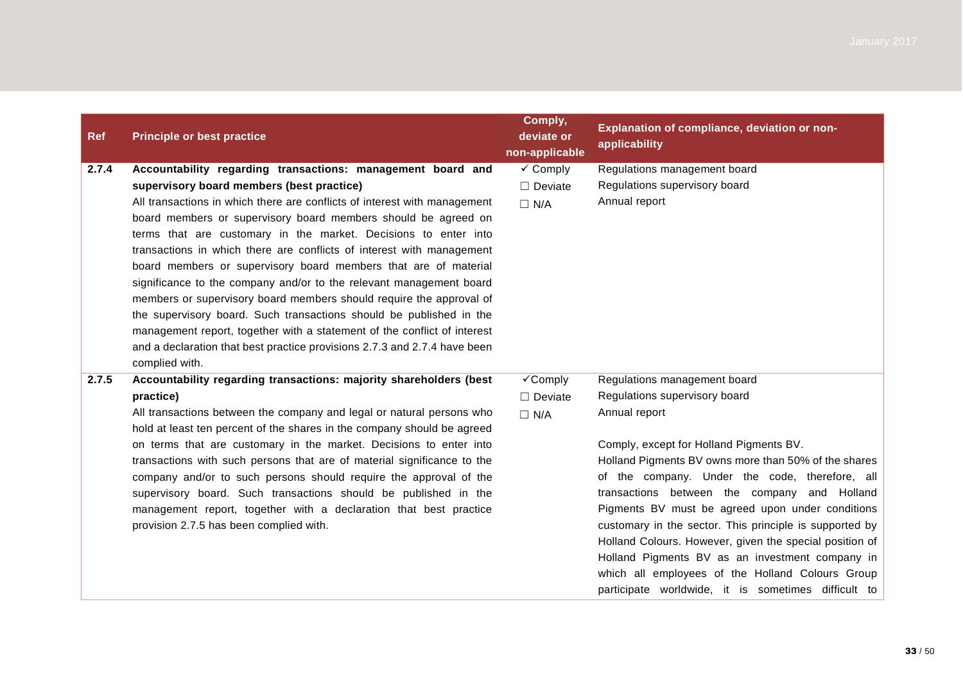| <b>Ref</b> | <b>Principle or best practice</b>                                                                                                                | Comply,<br>deviate or<br>non-applicable | Explanation of compliance, deviation or non-<br>applicability |
|------------|--------------------------------------------------------------------------------------------------------------------------------------------------|-----------------------------------------|---------------------------------------------------------------|
| 2.7.4      | Accountability regarding transactions: management board and                                                                                      | $\checkmark$ Comply                     | Regulations management board                                  |
|            | supervisory board members (best practice)                                                                                                        | $\Box$ Deviate                          | Regulations supervisory board                                 |
|            | All transactions in which there are conflicts of interest with management                                                                        | $\Box$ N/A                              | Annual report                                                 |
|            | board members or supervisory board members should be agreed on                                                                                   |                                         |                                                               |
|            | terms that are customary in the market. Decisions to enter into                                                                                  |                                         |                                                               |
|            | transactions in which there are conflicts of interest with management                                                                            |                                         |                                                               |
|            | board members or supervisory board members that are of material                                                                                  |                                         |                                                               |
|            | significance to the company and/or to the relevant management board                                                                              |                                         |                                                               |
|            | members or supervisory board members should require the approval of                                                                              |                                         |                                                               |
|            | the supervisory board. Such transactions should be published in the                                                                              |                                         |                                                               |
|            | management report, together with a statement of the conflict of interest                                                                         |                                         |                                                               |
|            | and a declaration that best practice provisions 2.7.3 and 2.7.4 have been                                                                        |                                         |                                                               |
|            | complied with.                                                                                                                                   |                                         |                                                               |
| 2.7.5      | Accountability regarding transactions: majority shareholders (best                                                                               | √Comply                                 | Regulations management board                                  |
|            | practice)                                                                                                                                        | $\Box$ Deviate                          | Regulations supervisory board                                 |
|            | All transactions between the company and legal or natural persons who<br>hold at least ten percent of the shares in the company should be agreed | $\Box$ N/A                              | Annual report                                                 |
|            | on terms that are customary in the market. Decisions to enter into                                                                               |                                         | Comply, except for Holland Pigments BV.                       |
|            | transactions with such persons that are of material significance to the                                                                          |                                         | Holland Pigments BV owns more than 50% of the shares          |
|            | company and/or to such persons should require the approval of the                                                                                |                                         | of the company. Under the code, therefore, all                |
|            | supervisory board. Such transactions should be published in the                                                                                  |                                         | transactions between the company and Holland                  |
|            | management report, together with a declaration that best practice                                                                                |                                         | Pigments BV must be agreed upon under conditions              |
|            | provision 2.7.5 has been complied with.                                                                                                          |                                         | customary in the sector. This principle is supported by       |
|            |                                                                                                                                                  |                                         | Holland Colours. However, given the special position of       |
|            |                                                                                                                                                  |                                         | Holland Pigments BV as an investment company in               |
|            |                                                                                                                                                  |                                         | which all employees of the Holland Colours Group              |
|            |                                                                                                                                                  |                                         | participate worldwide, it is sometimes difficult to           |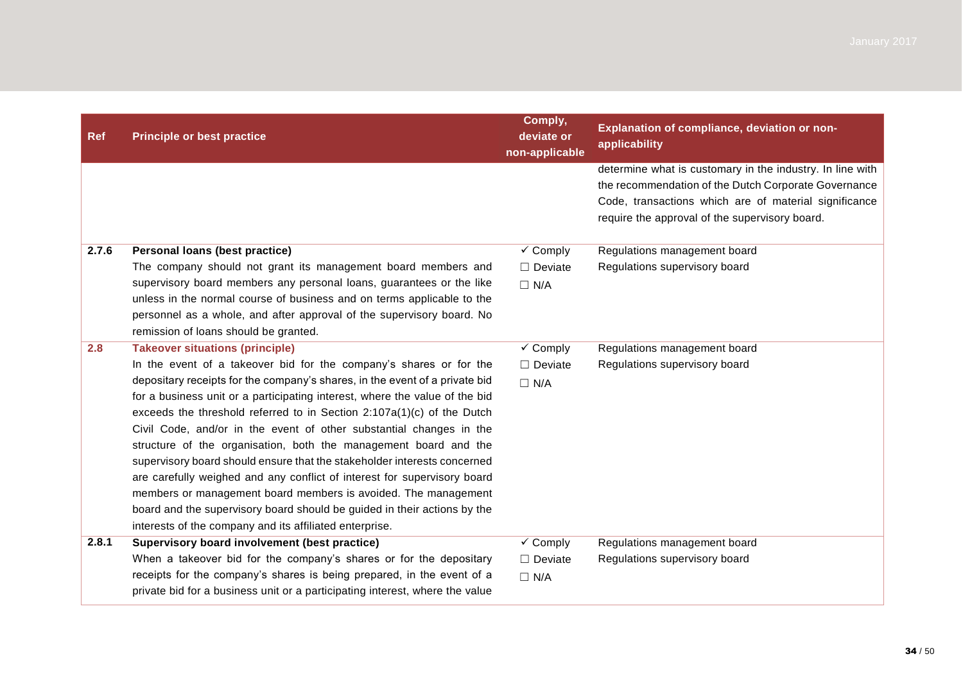| <b>Ref</b> | <b>Principle or best practice</b>                                                                                                                      | Comply,<br>deviate or<br>non-applicable   | Explanation of compliance, deviation or non-<br>applicability |
|------------|--------------------------------------------------------------------------------------------------------------------------------------------------------|-------------------------------------------|---------------------------------------------------------------|
|            |                                                                                                                                                        |                                           | determine what is customary in the industry. In line with     |
|            |                                                                                                                                                        |                                           | the recommendation of the Dutch Corporate Governance          |
|            |                                                                                                                                                        |                                           | Code, transactions which are of material significance         |
|            |                                                                                                                                                        |                                           | require the approval of the supervisory board.                |
| 2.7.6      | Personal loans (best practice)                                                                                                                         | $\overline{\smash[b]{\mathbf{y}}}$ Comply | Regulations management board                                  |
|            | The company should not grant its management board members and                                                                                          | $\Box$ Deviate                            | Regulations supervisory board                                 |
|            | supervisory board members any personal loans, guarantees or the like                                                                                   | $\Box$ N/A                                |                                                               |
|            | unless in the normal course of business and on terms applicable to the                                                                                 |                                           |                                                               |
|            | personnel as a whole, and after approval of the supervisory board. No                                                                                  |                                           |                                                               |
|            | remission of loans should be granted.                                                                                                                  |                                           |                                                               |
| 2.8        | <b>Takeover situations (principle)</b>                                                                                                                 | $\overline{\smash[b]{\mathbf{y}}}$ Comply | Regulations management board                                  |
|            | In the event of a takeover bid for the company's shares or for the                                                                                     | $\Box$ Deviate                            | Regulations supervisory board                                 |
|            | depositary receipts for the company's shares, in the event of a private bid                                                                            | $\Box$ N/A                                |                                                               |
|            | for a business unit or a participating interest, where the value of the bid                                                                            |                                           |                                                               |
|            | exceeds the threshold referred to in Section 2:107a(1)(c) of the Dutch                                                                                 |                                           |                                                               |
|            | Civil Code, and/or in the event of other substantial changes in the                                                                                    |                                           |                                                               |
|            | structure of the organisation, both the management board and the                                                                                       |                                           |                                                               |
|            | supervisory board should ensure that the stakeholder interests concerned                                                                               |                                           |                                                               |
|            | are carefully weighed and any conflict of interest for supervisory board                                                                               |                                           |                                                               |
|            | members or management board members is avoided. The management                                                                                         |                                           |                                                               |
|            | board and the supervisory board should be guided in their actions by the                                                                               |                                           |                                                               |
|            | interests of the company and its affiliated enterprise.                                                                                                |                                           |                                                               |
| 2.8.1      | Supervisory board involvement (best practice)                                                                                                          | $\checkmark$ Comply                       | Regulations management board                                  |
|            | When a takeover bid for the company's shares or for the depositary                                                                                     | $\Box$ Deviate                            | Regulations supervisory board                                 |
|            | receipts for the company's shares is being prepared, in the event of a<br>private bid for a business unit or a participating interest, where the value | $\Box$ N/A                                |                                                               |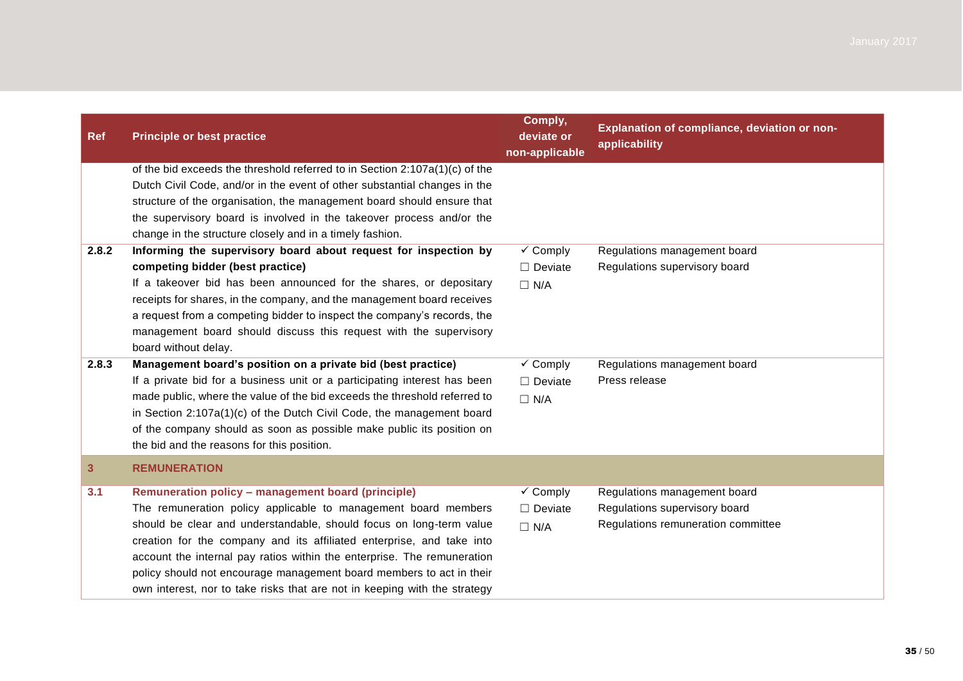| <b>Ref</b>   | <b>Principle or best practice</b>                                                                                                                        | Comply,<br>deviate or<br>non-applicable | Explanation of compliance, deviation or non-<br>applicability |
|--------------|----------------------------------------------------------------------------------------------------------------------------------------------------------|-----------------------------------------|---------------------------------------------------------------|
|              | of the bid exceeds the threshold referred to in Section 2:107a(1)(c) of the<br>Dutch Civil Code, and/or in the event of other substantial changes in the |                                         |                                                               |
|              | structure of the organisation, the management board should ensure that                                                                                   |                                         |                                                               |
|              | the supervisory board is involved in the takeover process and/or the                                                                                     |                                         |                                                               |
|              | change in the structure closely and in a timely fashion.                                                                                                 |                                         |                                                               |
| 2.8.2        | Informing the supervisory board about request for inspection by                                                                                          | $\checkmark$ Comply                     | Regulations management board                                  |
|              | competing bidder (best practice)                                                                                                                         | $\Box$ Deviate                          | Regulations supervisory board                                 |
|              | If a takeover bid has been announced for the shares, or depositary                                                                                       | $\Box$ N/A                              |                                                               |
|              | receipts for shares, in the company, and the management board receives                                                                                   |                                         |                                                               |
|              | a request from a competing bidder to inspect the company's records, the                                                                                  |                                         |                                                               |
|              | management board should discuss this request with the supervisory<br>board without delay.                                                                |                                         |                                                               |
| 2.8.3        | Management board's position on a private bid (best practice)                                                                                             | $\checkmark$ Comply                     | Regulations management board                                  |
|              | If a private bid for a business unit or a participating interest has been                                                                                | $\Box$ Deviate                          | Press release                                                 |
|              | made public, where the value of the bid exceeds the threshold referred to                                                                                | $\Box$ N/A                              |                                                               |
|              | in Section 2:107a(1)(c) of the Dutch Civil Code, the management board                                                                                    |                                         |                                                               |
|              | of the company should as soon as possible make public its position on                                                                                    |                                         |                                                               |
|              | the bid and the reasons for this position.                                                                                                               |                                         |                                                               |
| $\mathbf{3}$ | <b>REMUNERATION</b>                                                                                                                                      |                                         |                                                               |
| 3.1          | Remuneration policy - management board (principle)                                                                                                       | $\checkmark$ Comply                     | Regulations management board                                  |
|              | The remuneration policy applicable to management board members                                                                                           | $\Box$ Deviate                          | Regulations supervisory board                                 |
|              | should be clear and understandable, should focus on long-term value                                                                                      | $\Box$ N/A                              | Regulations remuneration committee                            |
|              | creation for the company and its affiliated enterprise, and take into                                                                                    |                                         |                                                               |
|              | account the internal pay ratios within the enterprise. The remuneration                                                                                  |                                         |                                                               |
|              | policy should not encourage management board members to act in their<br>own interest, nor to take risks that are not in keeping with the strategy        |                                         |                                                               |
|              |                                                                                                                                                          |                                         |                                                               |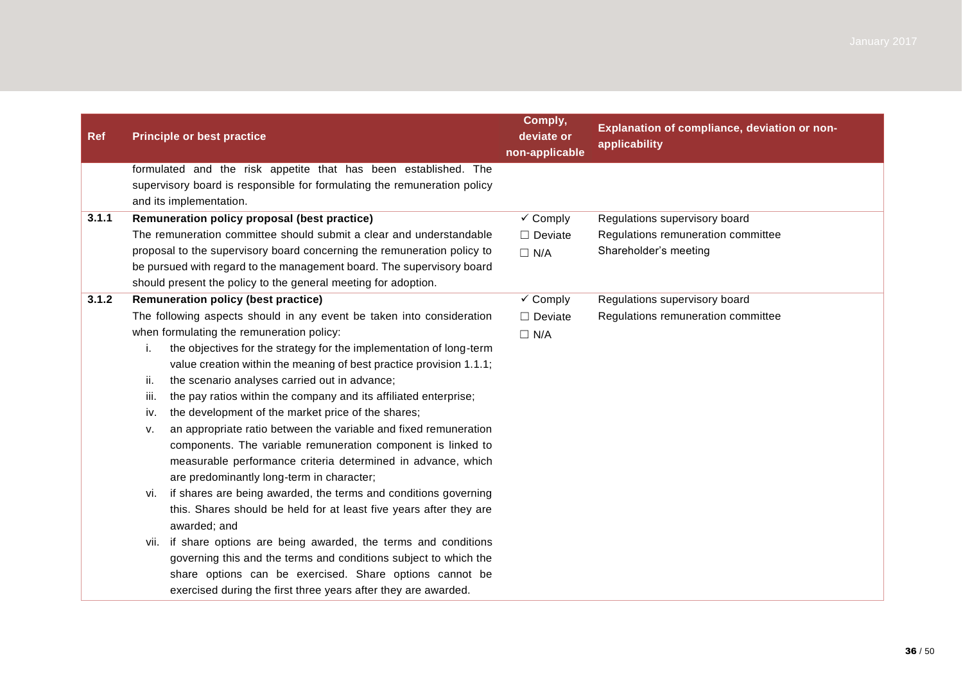| <b>Ref</b> | <b>Principle or best practice</b>                                         | Comply,<br>deviate or<br>non-applicable | Explanation of compliance, deviation or non-<br>applicability |
|------------|---------------------------------------------------------------------------|-----------------------------------------|---------------------------------------------------------------|
|            | formulated and the risk appetite that has been established. The           |                                         |                                                               |
|            | supervisory board is responsible for formulating the remuneration policy  |                                         |                                                               |
|            | and its implementation.                                                   |                                         |                                                               |
| 3.1.1      | Remuneration policy proposal (best practice)                              | $\overline{\mathsf{v}}$ Comply          | Regulations supervisory board                                 |
|            | The remuneration committee should submit a clear and understandable       | $\Box$ Deviate                          | Regulations remuneration committee                            |
|            | proposal to the supervisory board concerning the remuneration policy to   | $\Box$ N/A                              | Shareholder's meeting                                         |
|            | be pursued with regard to the management board. The supervisory board     |                                         |                                                               |
|            | should present the policy to the general meeting for adoption.            |                                         |                                                               |
| 3.1.2      | <b>Remuneration policy (best practice)</b>                                | $\overline{\mathsf{v}}$ Comply          | Regulations supervisory board                                 |
|            | The following aspects should in any event be taken into consideration     | $\Box$ Deviate                          | Regulations remuneration committee                            |
|            | when formulating the remuneration policy:                                 | $\Box$ N/A                              |                                                               |
|            | j.<br>the objectives for the strategy for the implementation of long-term |                                         |                                                               |
|            | value creation within the meaning of best practice provision 1.1.1;       |                                         |                                                               |
|            | the scenario analyses carried out in advance;<br>ii.                      |                                         |                                                               |
|            | the pay ratios within the company and its affiliated enterprise;<br>iii.  |                                         |                                                               |
|            | the development of the market price of the shares;<br>iv.                 |                                         |                                                               |
|            | an appropriate ratio between the variable and fixed remuneration<br>v.    |                                         |                                                               |
|            | components. The variable remuneration component is linked to              |                                         |                                                               |
|            | measurable performance criteria determined in advance, which              |                                         |                                                               |
|            | are predominantly long-term in character;                                 |                                         |                                                               |
|            | if shares are being awarded, the terms and conditions governing<br>vi.    |                                         |                                                               |
|            | this. Shares should be held for at least five years after they are        |                                         |                                                               |
|            | awarded; and                                                              |                                         |                                                               |
|            | if share options are being awarded, the terms and conditions<br>VII.      |                                         |                                                               |
|            | governing this and the terms and conditions subject to which the          |                                         |                                                               |
|            | share options can be exercised. Share options cannot be                   |                                         |                                                               |
|            | exercised during the first three years after they are awarded.            |                                         |                                                               |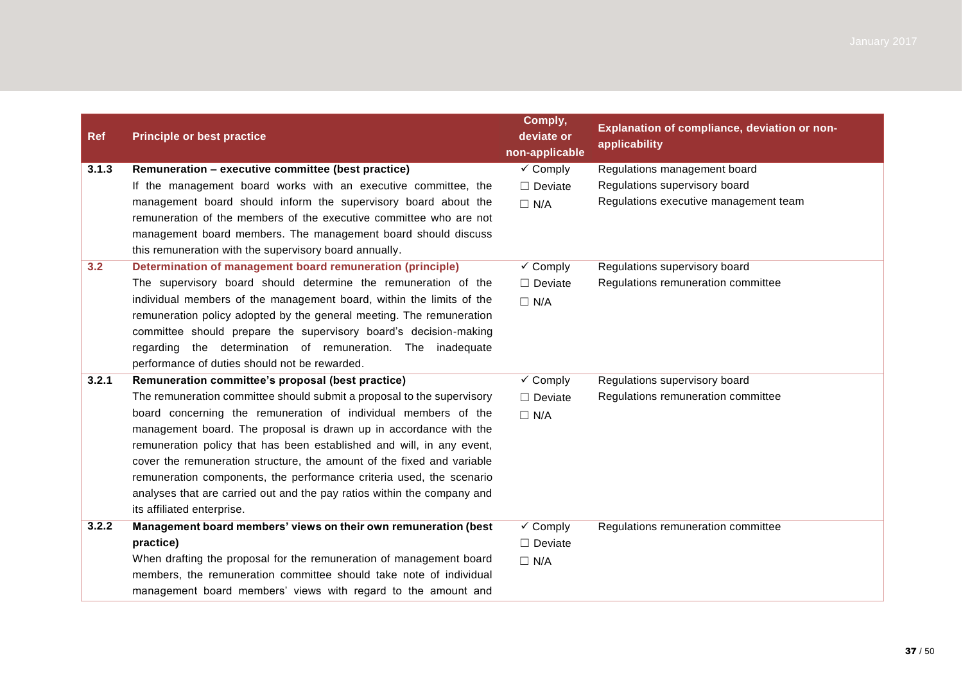| <b>Ref</b> | <b>Principle or best practice</b>                                       | Comply,<br>deviate or<br>non-applicable | Explanation of compliance, deviation or non-<br>applicability |
|------------|-------------------------------------------------------------------------|-----------------------------------------|---------------------------------------------------------------|
| 3.1.3      | Remuneration – executive committee (best practice)                      | $\checkmark$ Comply                     | Regulations management board                                  |
|            | If the management board works with an executive committee, the          | $\Box$ Deviate                          | Regulations supervisory board                                 |
|            | management board should inform the supervisory board about the          | $\Box$ N/A                              | Regulations executive management team                         |
|            | remuneration of the members of the executive committee who are not      |                                         |                                                               |
|            | management board members. The management board should discuss           |                                         |                                                               |
|            | this remuneration with the supervisory board annually.                  |                                         |                                                               |
| 3.2        | Determination of management board remuneration (principle)              | $\checkmark$ Comply                     | Regulations supervisory board                                 |
|            | The supervisory board should determine the remuneration of the          | $\Box$ Deviate                          | Regulations remuneration committee                            |
|            | individual members of the management board, within the limits of the    | $\Box$ N/A                              |                                                               |
|            | remuneration policy adopted by the general meeting. The remuneration    |                                         |                                                               |
|            | committee should prepare the supervisory board's decision-making        |                                         |                                                               |
|            | regarding the determination of remuneration. The inadequate             |                                         |                                                               |
|            | performance of duties should not be rewarded.                           |                                         |                                                               |
| 3.2.1      | Remuneration committee's proposal (best practice)                       | $\checkmark$ Comply                     | Regulations supervisory board                                 |
|            | The remuneration committee should submit a proposal to the supervisory  | $\Box$ Deviate                          | Regulations remuneration committee                            |
|            | board concerning the remuneration of individual members of the          | $\Box$ N/A                              |                                                               |
|            | management board. The proposal is drawn up in accordance with the       |                                         |                                                               |
|            | remuneration policy that has been established and will, in any event,   |                                         |                                                               |
|            | cover the remuneration structure, the amount of the fixed and variable  |                                         |                                                               |
|            | remuneration components, the performance criteria used, the scenario    |                                         |                                                               |
|            | analyses that are carried out and the pay ratios within the company and |                                         |                                                               |
|            | its affiliated enterprise.                                              |                                         |                                                               |
| 3.2.2      | Management board members' views on their own remuneration (best         | $\checkmark$ Comply                     | Regulations remuneration committee                            |
|            | practice)                                                               | $\Box$ Deviate                          |                                                               |
|            | When drafting the proposal for the remuneration of management board     | $\Box$ N/A                              |                                                               |
|            | members, the remuneration committee should take note of individual      |                                         |                                                               |
|            | management board members' views with regard to the amount and           |                                         |                                                               |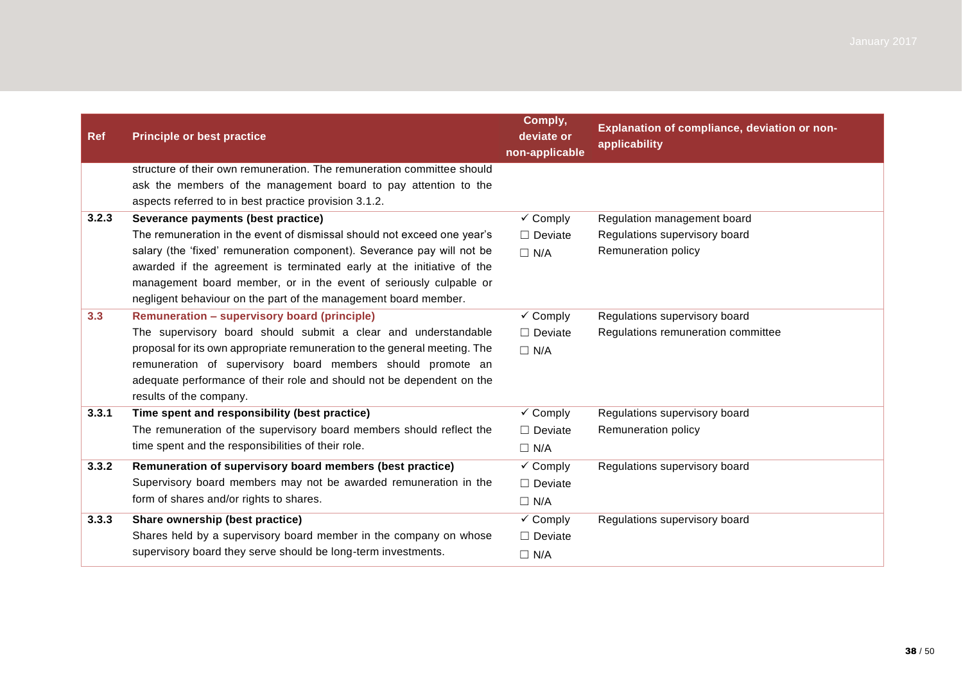| <b>Ref</b> | <b>Principle or best practice</b>                                                                                                                                                                                                                                                                                                                                                                        | Comply,<br>deviate or<br>non-applicable             | Explanation of compliance, deviation or non-<br>applicability                       |
|------------|----------------------------------------------------------------------------------------------------------------------------------------------------------------------------------------------------------------------------------------------------------------------------------------------------------------------------------------------------------------------------------------------------------|-----------------------------------------------------|-------------------------------------------------------------------------------------|
|            | structure of their own remuneration. The remuneration committee should<br>ask the members of the management board to pay attention to the<br>aspects referred to in best practice provision 3.1.2.                                                                                                                                                                                                       |                                                     |                                                                                     |
| 3.2.3      | Severance payments (best practice)<br>The remuneration in the event of dismissal should not exceed one year's<br>salary (the 'fixed' remuneration component). Severance pay will not be<br>awarded if the agreement is terminated early at the initiative of the<br>management board member, or in the event of seriously culpable or<br>negligent behaviour on the part of the management board member. | $\checkmark$ Comply<br>$\Box$ Deviate<br>$\Box$ N/A | Regulation management board<br>Regulations supervisory board<br>Remuneration policy |
| 3.3        | Remuneration - supervisory board (principle)<br>The supervisory board should submit a clear and understandable<br>proposal for its own appropriate remuneration to the general meeting. The<br>remuneration of supervisory board members should promote an<br>adequate performance of their role and should not be dependent on the<br>results of the company.                                           | $\checkmark$ Comply<br>$\Box$ Deviate<br>$\Box$ N/A | Regulations supervisory board<br>Regulations remuneration committee                 |
| 3.3.1      | Time spent and responsibility (best practice)<br>The remuneration of the supervisory board members should reflect the<br>time spent and the responsibilities of their role.                                                                                                                                                                                                                              | $\checkmark$ Comply<br>$\Box$ Deviate<br>$\Box$ N/A | Regulations supervisory board<br>Remuneration policy                                |
| 3.3.2      | Remuneration of supervisory board members (best practice)<br>Supervisory board members may not be awarded remuneration in the<br>form of shares and/or rights to shares.                                                                                                                                                                                                                                 | $\checkmark$ Comply<br>$\Box$ Deviate<br>$\Box$ N/A | Regulations supervisory board                                                       |
| 3.3.3      | Share ownership (best practice)<br>Shares held by a supervisory board member in the company on whose<br>supervisory board they serve should be long-term investments.                                                                                                                                                                                                                                    | $\checkmark$ Comply<br>$\Box$ Deviate<br>$\Box$ N/A | Regulations supervisory board                                                       |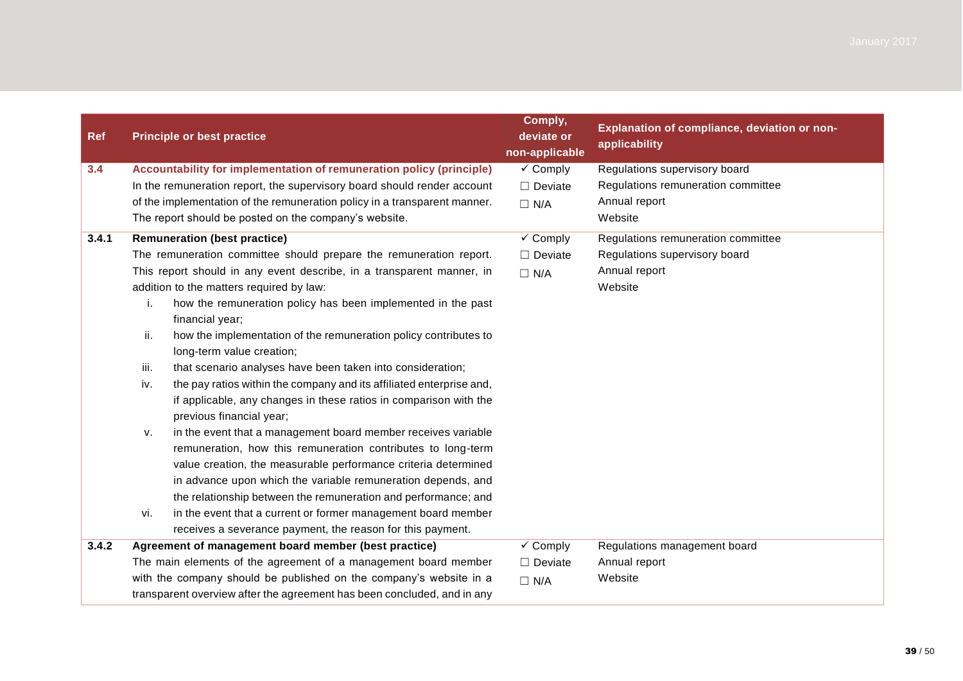| <b>Ref</b> |      | <b>Principle or best practice</b>                                                                                                             | Comply,<br>deviate or<br>non-applicable | Explanation of compliance, deviation or non-<br>applicability |
|------------|------|-----------------------------------------------------------------------------------------------------------------------------------------------|-----------------------------------------|---------------------------------------------------------------|
| 3.4        |      | Accountability for implementation of remuneration policy (principle)                                                                          | $\checkmark$ Comply                     | Regulations supervisory board                                 |
|            |      | In the remuneration report, the supervisory board should render account                                                                       | $\Box$ Deviate                          | Regulations remuneration committee                            |
|            |      | of the implementation of the remuneration policy in a transparent manner.                                                                     | $\Box$ N/A                              | Annual report                                                 |
|            |      | The report should be posted on the company's website.                                                                                         |                                         | Website                                                       |
| 3.4.1      |      | <b>Remuneration (best practice)</b>                                                                                                           | $\checkmark$ Comply                     | Regulations remuneration committee                            |
|            |      | The remuneration committee should prepare the remuneration report.                                                                            | $\Box$ Deviate                          | Regulations supervisory board                                 |
|            |      | This report should in any event describe, in a transparent manner, in                                                                         | $\Box$ N/A                              | Annual report                                                 |
|            |      | addition to the matters required by law:                                                                                                      |                                         | Website                                                       |
|            | i.   | how the remuneration policy has been implemented in the past                                                                                  |                                         |                                                               |
|            |      | financial year;                                                                                                                               |                                         |                                                               |
|            | ii.  | how the implementation of the remuneration policy contributes to                                                                              |                                         |                                                               |
|            |      | long-term value creation;                                                                                                                     |                                         |                                                               |
|            | iii. | that scenario analyses have been taken into consideration;                                                                                    |                                         |                                                               |
|            | iv.  | the pay ratios within the company and its affiliated enterprise and,                                                                          |                                         |                                                               |
|            |      | if applicable, any changes in these ratios in comparison with the<br>previous financial year;                                                 |                                         |                                                               |
|            | v.   | in the event that a management board member receives variable                                                                                 |                                         |                                                               |
|            |      | remuneration, how this remuneration contributes to long-term                                                                                  |                                         |                                                               |
|            |      | value creation, the measurable performance criteria determined                                                                                |                                         |                                                               |
|            |      | in advance upon which the variable remuneration depends, and                                                                                  |                                         |                                                               |
|            |      | the relationship between the remuneration and performance; and                                                                                |                                         |                                                               |
|            | vi.  | in the event that a current or former management board member                                                                                 |                                         |                                                               |
|            |      | receives a severance payment, the reason for this payment.                                                                                    |                                         |                                                               |
| 3.4.2      |      | Agreement of management board member (best practice)                                                                                          | $\sqrt{\ }$ Comply                      | Regulations management board                                  |
|            |      | The main elements of the agreement of a management board member                                                                               | $\Box$ Deviate                          | Annual report                                                 |
|            |      | with the company should be published on the company's website in a<br>transparent overview after the agreement has been concluded, and in any | $\Box$ N/A                              | Website                                                       |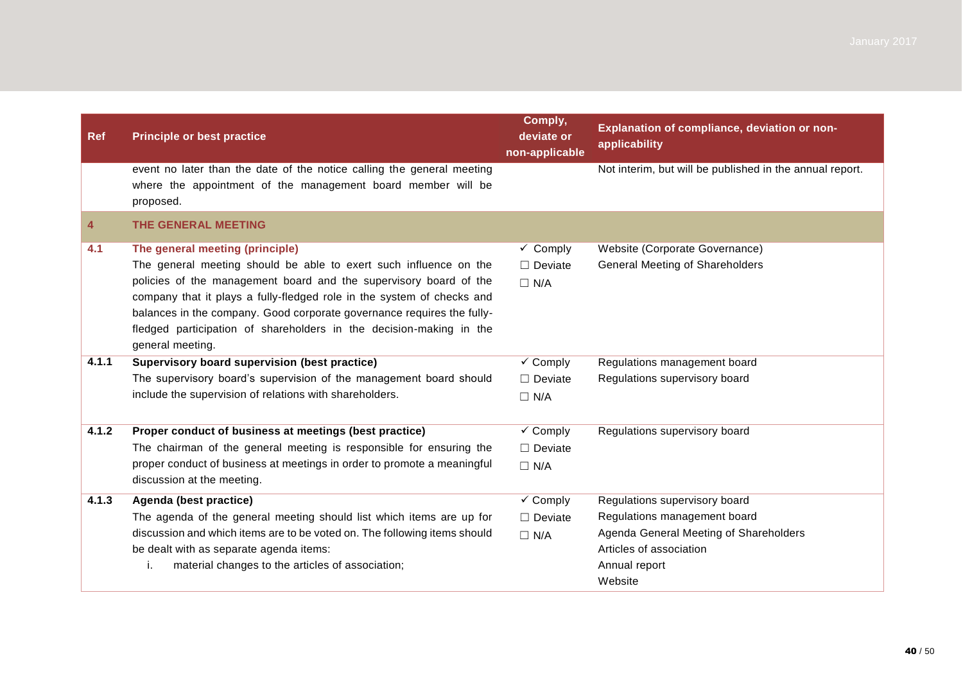| <b>Ref</b> | <b>Principle or best practice</b>                                                                                                                   | Comply,<br>deviate or<br>non-applicable | Explanation of compliance, deviation or non-<br>applicability |
|------------|-----------------------------------------------------------------------------------------------------------------------------------------------------|-----------------------------------------|---------------------------------------------------------------|
|            | event no later than the date of the notice calling the general meeting<br>where the appointment of the management board member will be<br>proposed. |                                         | Not interim, but will be published in the annual report.      |
| 4          | <b>THE GENERAL MEETING</b>                                                                                                                          |                                         |                                                               |
| 4.1        | The general meeting (principle)                                                                                                                     | $\checkmark$ Comply                     | Website (Corporate Governance)                                |
|            | The general meeting should be able to exert such influence on the                                                                                   | $\Box$ Deviate                          | <b>General Meeting of Shareholders</b>                        |
|            | policies of the management board and the supervisory board of the                                                                                   | $\Box$ N/A                              |                                                               |
|            | company that it plays a fully-fledged role in the system of checks and                                                                              |                                         |                                                               |
|            | balances in the company. Good corporate governance requires the fully-                                                                              |                                         |                                                               |
|            | fledged participation of shareholders in the decision-making in the                                                                                 |                                         |                                                               |
|            | general meeting.                                                                                                                                    |                                         |                                                               |
| 4.1.1      | Supervisory board supervision (best practice)                                                                                                       | $\checkmark$ Comply                     | Regulations management board                                  |
|            | The supervisory board's supervision of the management board should                                                                                  | $\Box$ Deviate                          | Regulations supervisory board                                 |
|            | include the supervision of relations with shareholders.                                                                                             | $\Box$ N/A                              |                                                               |
| 4.1.2      | Proper conduct of business at meetings (best practice)                                                                                              | $\sqrt{\ }$ Comply                      | Regulations supervisory board                                 |
|            | The chairman of the general meeting is responsible for ensuring the                                                                                 | $\Box$ Deviate                          |                                                               |
|            | proper conduct of business at meetings in order to promote a meaningful<br>discussion at the meeting.                                               | $\Box$ N/A                              |                                                               |
| 4.1.3      | Agenda (best practice)                                                                                                                              | $\overline{\smash{\checkmark}}$ Comply  | Regulations supervisory board                                 |
|            | The agenda of the general meeting should list which items are up for                                                                                | $\Box$ Deviate                          | Regulations management board                                  |
|            | discussion and which items are to be voted on. The following items should                                                                           | $\Box$ N/A                              | Agenda General Meeting of Shareholders                        |
|            | be dealt with as separate agenda items:                                                                                                             |                                         | Articles of association                                       |
|            | material changes to the articles of association;<br>i.                                                                                              |                                         | Annual report                                                 |
|            |                                                                                                                                                     |                                         | Website                                                       |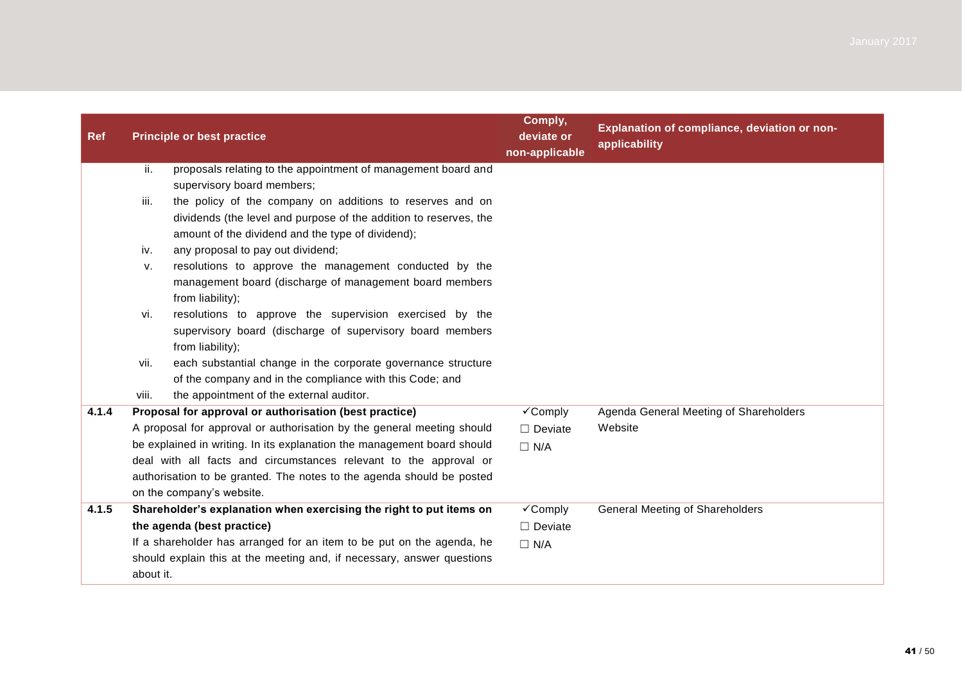| <b>Ref</b> |           | <b>Principle or best practice</b>                                                                                                                 | Comply,<br>deviate or<br>non-applicable          | Explanation of compliance, deviation or non-<br>applicability |
|------------|-----------|---------------------------------------------------------------------------------------------------------------------------------------------------|--------------------------------------------------|---------------------------------------------------------------|
|            | ii.       | proposals relating to the appointment of management board and                                                                                     |                                                  |                                                               |
|            |           | supervisory board members;                                                                                                                        |                                                  |                                                               |
|            | iii.      | the policy of the company on additions to reserves and on                                                                                         |                                                  |                                                               |
|            |           | dividends (the level and purpose of the addition to reserves, the                                                                                 |                                                  |                                                               |
|            |           | amount of the dividend and the type of dividend);                                                                                                 |                                                  |                                                               |
|            | iv.       | any proposal to pay out dividend;                                                                                                                 |                                                  |                                                               |
|            | v.        | resolutions to approve the management conducted by the                                                                                            |                                                  |                                                               |
|            |           | management board (discharge of management board members                                                                                           |                                                  |                                                               |
|            |           | from liability);                                                                                                                                  |                                                  |                                                               |
|            | vi.       | resolutions to approve the supervision exercised by the                                                                                           |                                                  |                                                               |
|            |           | supervisory board (discharge of supervisory board members                                                                                         |                                                  |                                                               |
|            |           | from liability);                                                                                                                                  |                                                  |                                                               |
|            | vii.      | each substantial change in the corporate governance structure                                                                                     |                                                  |                                                               |
|            |           | of the company and in the compliance with this Code; and                                                                                          |                                                  |                                                               |
| 4.1.4      | viii.     | the appointment of the external auditor.                                                                                                          |                                                  |                                                               |
|            |           | Proposal for approval or authorisation (best practice)                                                                                            | $\overline{\checkmark}$ Comply<br>$\Box$ Deviate | Agenda General Meeting of Shareholders<br>Website             |
|            |           | A proposal for approval or authorisation by the general meeting should<br>be explained in writing. In its explanation the management board should |                                                  |                                                               |
|            |           | deal with all facts and circumstances relevant to the approval or                                                                                 | $\Box$ N/A                                       |                                                               |
|            |           | authorisation to be granted. The notes to the agenda should be posted                                                                             |                                                  |                                                               |
|            |           | on the company's website.                                                                                                                         |                                                  |                                                               |
| 4.1.5      |           | Shareholder's explanation when exercising the right to put items on                                                                               | $\checkmark$ Comply                              | <b>General Meeting of Shareholders</b>                        |
|            |           | the agenda (best practice)                                                                                                                        | $\Box$ Deviate                                   |                                                               |
|            |           | If a shareholder has arranged for an item to be put on the agenda, he                                                                             | $\Box$ N/A                                       |                                                               |
|            | about it. | should explain this at the meeting and, if necessary, answer questions                                                                            |                                                  |                                                               |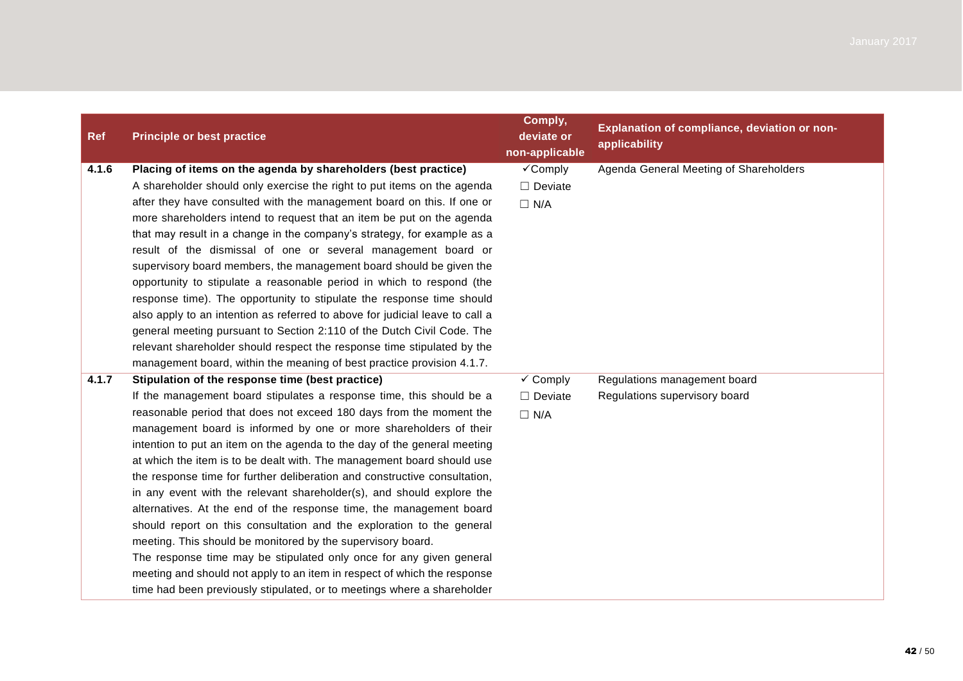| <b>Ref</b> | <b>Principle or best practice</b>                                                                                                                                                                                                                                                                                                                                                                                                                                                                                                                                                                                                                                                                                                                                                                                                                                                                                                                                                                                             | Comply,<br>deviate or<br>non-applicable             | Explanation of compliance, deviation or non-<br>applicability |
|------------|-------------------------------------------------------------------------------------------------------------------------------------------------------------------------------------------------------------------------------------------------------------------------------------------------------------------------------------------------------------------------------------------------------------------------------------------------------------------------------------------------------------------------------------------------------------------------------------------------------------------------------------------------------------------------------------------------------------------------------------------------------------------------------------------------------------------------------------------------------------------------------------------------------------------------------------------------------------------------------------------------------------------------------|-----------------------------------------------------|---------------------------------------------------------------|
| 4.1.6      | Placing of items on the agenda by shareholders (best practice)<br>A shareholder should only exercise the right to put items on the agenda<br>after they have consulted with the management board on this. If one or<br>more shareholders intend to request that an item be put on the agenda<br>that may result in a change in the company's strategy, for example as a<br>result of the dismissal of one or several management board or<br>supervisory board members, the management board should be given the<br>opportunity to stipulate a reasonable period in which to respond (the<br>response time). The opportunity to stipulate the response time should<br>also apply to an intention as referred to above for judicial leave to call a<br>general meeting pursuant to Section 2:110 of the Dutch Civil Code. The<br>relevant shareholder should respect the response time stipulated by the<br>management board, within the meaning of best practice provision 4.1.7.                                              | √Comply<br>$\Box$ Deviate<br>$\Box$ N/A             | Agenda General Meeting of Shareholders                        |
| 4.1.7      | Stipulation of the response time (best practice)<br>If the management board stipulates a response time, this should be a<br>reasonable period that does not exceed 180 days from the moment the<br>management board is informed by one or more shareholders of their<br>intention to put an item on the agenda to the day of the general meeting<br>at which the item is to be dealt with. The management board should use<br>the response time for further deliberation and constructive consultation,<br>in any event with the relevant shareholder(s), and should explore the<br>alternatives. At the end of the response time, the management board<br>should report on this consultation and the exploration to the general<br>meeting. This should be monitored by the supervisory board.<br>The response time may be stipulated only once for any given general<br>meeting and should not apply to an item in respect of which the response<br>time had been previously stipulated, or to meetings where a shareholder | $\checkmark$ Comply<br>$\Box$ Deviate<br>$\Box$ N/A | Regulations management board<br>Regulations supervisory board |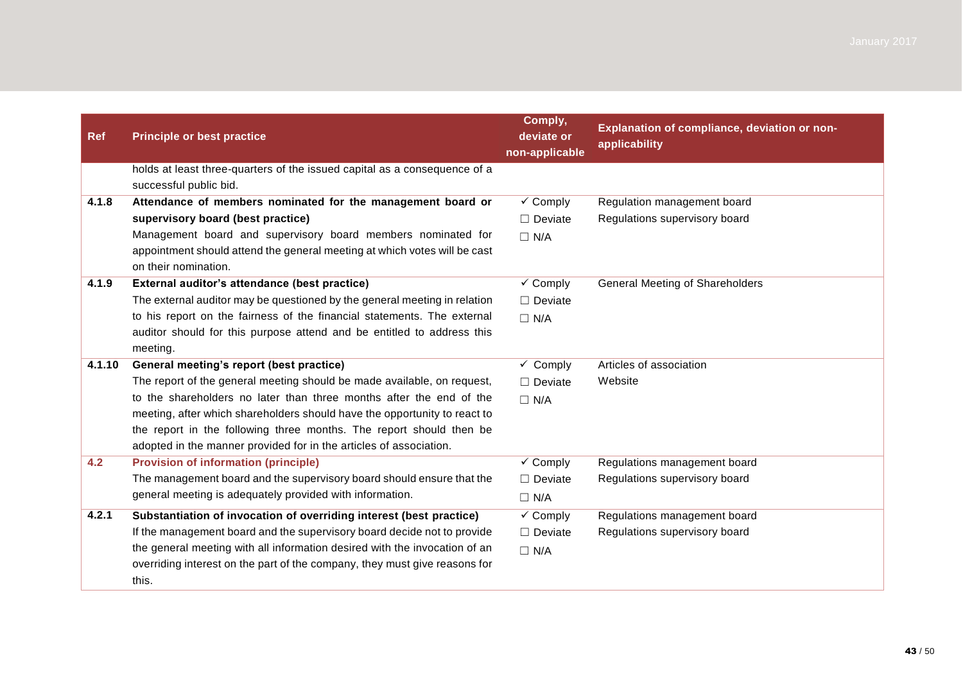| <b>Ref</b> | <b>Principle or best practice</b>                                                                   | Comply,<br>deviate or<br>non-applicable | Explanation of compliance, deviation or non-<br>applicability |
|------------|-----------------------------------------------------------------------------------------------------|-----------------------------------------|---------------------------------------------------------------|
|            | holds at least three-quarters of the issued capital as a consequence of a<br>successful public bid. |                                         |                                                               |
| 4.1.8      | Attendance of members nominated for the management board or                                         | $\checkmark$ Comply                     | Regulation management board                                   |
|            | supervisory board (best practice)                                                                   | $\Box$ Deviate                          | Regulations supervisory board                                 |
|            | Management board and supervisory board members nominated for                                        | $\Box$ N/A                              |                                                               |
|            | appointment should attend the general meeting at which votes will be cast<br>on their nomination.   |                                         |                                                               |
| 4.1.9      | External auditor's attendance (best practice)                                                       | $\checkmark$ Comply                     | <b>General Meeting of Shareholders</b>                        |
|            | The external auditor may be questioned by the general meeting in relation                           | $\Box$ Deviate                          |                                                               |
|            | to his report on the fairness of the financial statements. The external                             | $\Box$ N/A                              |                                                               |
|            | auditor should for this purpose attend and be entitled to address this                              |                                         |                                                               |
|            | meeting.                                                                                            |                                         |                                                               |
| 4.1.10     | General meeting's report (best practice)                                                            | $\overline{\smash{\checkmark}}$ Comply  | Articles of association                                       |
|            | The report of the general meeting should be made available, on request,                             | $\Box$ Deviate                          | Website                                                       |
|            | to the shareholders no later than three months after the end of the                                 | $\Box$ N/A                              |                                                               |
|            | meeting, after which shareholders should have the opportunity to react to                           |                                         |                                                               |
|            | the report in the following three months. The report should then be                                 |                                         |                                                               |
|            | adopted in the manner provided for in the articles of association.                                  |                                         |                                                               |
| 4.2        | <b>Provision of information (principle)</b>                                                         | $\checkmark$ Comply                     | Regulations management board                                  |
|            | The management board and the supervisory board should ensure that the                               | $\Box$ Deviate                          | Regulations supervisory board                                 |
|            | general meeting is adequately provided with information.                                            | $\Box$ N/A                              |                                                               |
| 4.2.1      | Substantiation of invocation of overriding interest (best practice)                                 | $\checkmark$ Comply                     | Regulations management board                                  |
|            | If the management board and the supervisory board decide not to provide                             | $\Box$ Deviate                          | Regulations supervisory board                                 |
|            | the general meeting with all information desired with the invocation of an                          | $\Box$ N/A                              |                                                               |
|            | overriding interest on the part of the company, they must give reasons for                          |                                         |                                                               |
|            | this.                                                                                               |                                         |                                                               |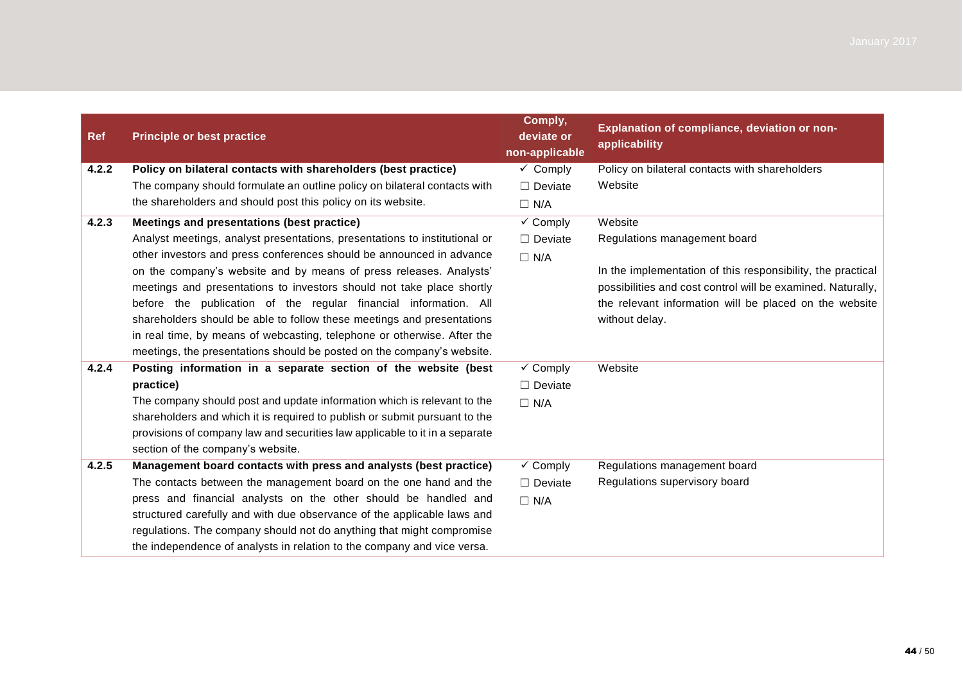| <b>Ref</b> | <b>Principle or best practice</b>                                           | Comply,<br>deviate or<br>non-applicable | Explanation of compliance, deviation or non-<br>applicability |
|------------|-----------------------------------------------------------------------------|-----------------------------------------|---------------------------------------------------------------|
| 4.2.2      | Policy on bilateral contacts with shareholders (best practice)              | $\checkmark$ Comply                     | Policy on bilateral contacts with shareholders                |
|            | The company should formulate an outline policy on bilateral contacts with   | $\Box$ Deviate                          | Website                                                       |
|            | the shareholders and should post this policy on its website.                | $\Box$ N/A                              |                                                               |
| 4.2.3      | Meetings and presentations (best practice)                                  | $\checkmark$ Comply                     | Website                                                       |
|            | Analyst meetings, analyst presentations, presentations to institutional or  | $\Box$ Deviate                          | Regulations management board                                  |
|            | other investors and press conferences should be announced in advance        | $\Box$ N/A                              |                                                               |
|            | on the company's website and by means of press releases. Analysts'          |                                         | In the implementation of this responsibility, the practical   |
|            | meetings and presentations to investors should not take place shortly       |                                         | possibilities and cost control will be examined. Naturally,   |
|            | before the publication of the regular financial information. All            |                                         | the relevant information will be placed on the website        |
|            | shareholders should be able to follow these meetings and presentations      |                                         | without delay.                                                |
|            | in real time, by means of webcasting, telephone or otherwise. After the     |                                         |                                                               |
|            | meetings, the presentations should be posted on the company's website.      |                                         |                                                               |
| 4.2.4      | Posting information in a separate section of the website (best              | $\checkmark$ Comply                     | Website                                                       |
|            | practice)                                                                   | $\Box$ Deviate                          |                                                               |
|            | The company should post and update information which is relevant to the     | $\Box$ N/A                              |                                                               |
|            | shareholders and which it is required to publish or submit pursuant to the  |                                         |                                                               |
|            | provisions of company law and securities law applicable to it in a separate |                                         |                                                               |
|            | section of the company's website.                                           |                                         |                                                               |
| 4.2.5      | Management board contacts with press and analysts (best practice)           | $\checkmark$ Comply                     | Regulations management board                                  |
|            | The contacts between the management board on the one hand and the           | $\Box$ Deviate                          | Regulations supervisory board                                 |
|            | press and financial analysts on the other should be handled and             | $\Box$ N/A                              |                                                               |
|            | structured carefully and with due observance of the applicable laws and     |                                         |                                                               |
|            | regulations. The company should not do anything that might compromise       |                                         |                                                               |
|            | the independence of analysts in relation to the company and vice versa.     |                                         |                                                               |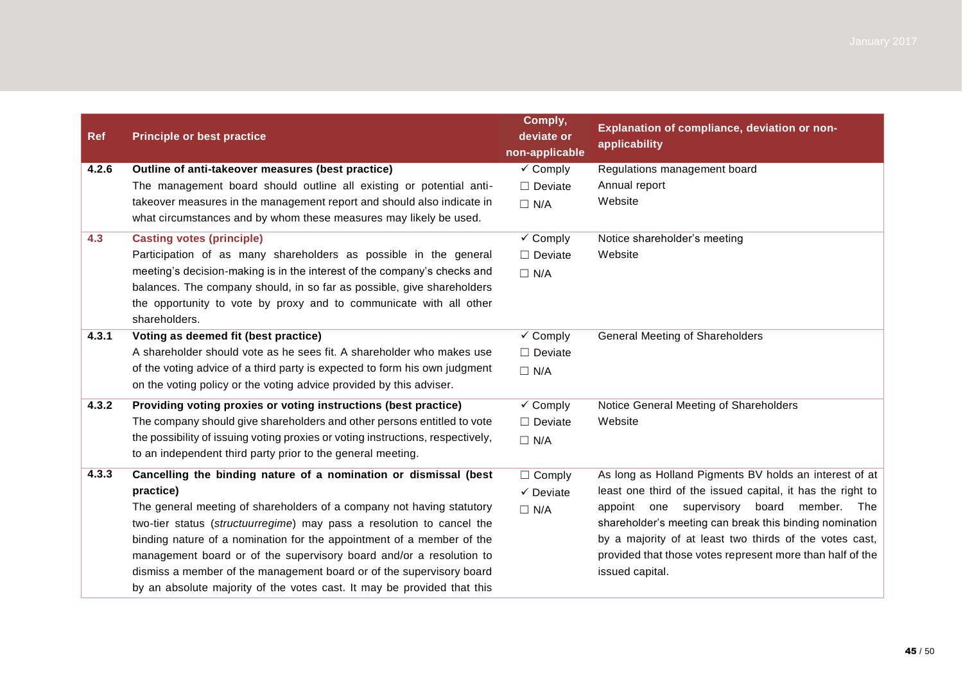| <b>Ref</b> | <b>Principle or best practice</b>                                               | Comply,<br>deviate or<br>non-applicable | Explanation of compliance, deviation or non-<br>applicability |
|------------|---------------------------------------------------------------------------------|-----------------------------------------|---------------------------------------------------------------|
| 4.2.6      | Outline of anti-takeover measures (best practice)                               | $\sqrt{\ }$ Comply                      | Regulations management board                                  |
|            | The management board should outline all existing or potential anti-             | $\Box$ Deviate                          | Annual report                                                 |
|            | takeover measures in the management report and should also indicate in          | $\Box$ N/A                              | Website                                                       |
|            | what circumstances and by whom these measures may likely be used.               |                                         |                                                               |
| 4.3        | <b>Casting votes (principle)</b>                                                | $\checkmark$ Comply                     | Notice shareholder's meeting                                  |
|            | Participation of as many shareholders as possible in the general                | $\Box$ Deviate                          | Website                                                       |
|            | meeting's decision-making is in the interest of the company's checks and        | $\Box$ N/A                              |                                                               |
|            | balances. The company should, in so far as possible, give shareholders          |                                         |                                                               |
|            | the opportunity to vote by proxy and to communicate with all other              |                                         |                                                               |
|            | shareholders.                                                                   |                                         |                                                               |
| 4.3.1      | Voting as deemed fit (best practice)                                            | $\checkmark$ Comply                     | <b>General Meeting of Shareholders</b>                        |
|            | A shareholder should vote as he sees fit. A shareholder who makes use           | $\Box$ Deviate                          |                                                               |
|            | of the voting advice of a third party is expected to form his own judgment      | $\Box$ N/A                              |                                                               |
|            | on the voting policy or the voting advice provided by this adviser.             |                                         |                                                               |
| 4.3.2      | Providing voting proxies or voting instructions (best practice)                 | $\checkmark$ Comply                     | Notice General Meeting of Shareholders                        |
|            | The company should give shareholders and other persons entitled to vote         | $\Box$ Deviate                          | Website                                                       |
|            | the possibility of issuing voting proxies or voting instructions, respectively, | $\Box$ N/A                              |                                                               |
|            | to an independent third party prior to the general meeting.                     |                                         |                                                               |
| 4.3.3      | Cancelling the binding nature of a nomination or dismissal (best                | $\Box$ Comply                           | As long as Holland Pigments BV holds an interest of at        |
|            | practice)                                                                       | $\checkmark$ Deviate                    | least one third of the issued capital, it has the right to    |
|            | The general meeting of shareholders of a company not having statutory           | $\Box$ N/A                              | appoint one supervisory board<br>member. The                  |
|            | two-tier status (structuurregime) may pass a resolution to cancel the           |                                         | shareholder's meeting can break this binding nomination       |
|            | binding nature of a nomination for the appointment of a member of the           |                                         | by a majority of at least two thirds of the votes cast,       |
|            | management board or of the supervisory board and/or a resolution to             |                                         | provided that those votes represent more than half of the     |
|            | dismiss a member of the management board or of the supervisory board            |                                         | issued capital.                                               |
|            | by an absolute majority of the votes cast. It may be provided that this         |                                         |                                                               |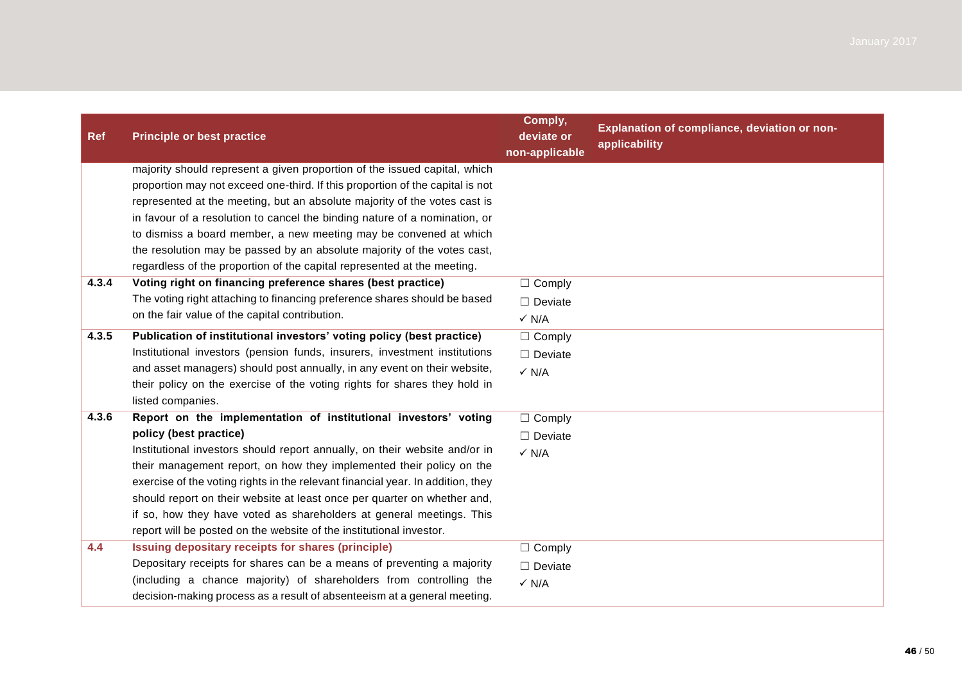| <b>Ref</b> | <b>Principle or best practice</b>                                               | Comply,<br>deviate or<br>non-applicable | Explanation of compliance, deviation or non-<br>applicability |
|------------|---------------------------------------------------------------------------------|-----------------------------------------|---------------------------------------------------------------|
|            | majority should represent a given proportion of the issued capital, which       |                                         |                                                               |
|            | proportion may not exceed one-third. If this proportion of the capital is not   |                                         |                                                               |
|            | represented at the meeting, but an absolute majority of the votes cast is       |                                         |                                                               |
|            | in favour of a resolution to cancel the binding nature of a nomination, or      |                                         |                                                               |
|            | to dismiss a board member, a new meeting may be convened at which               |                                         |                                                               |
|            | the resolution may be passed by an absolute majority of the votes cast,         |                                         |                                                               |
|            | regardless of the proportion of the capital represented at the meeting.         |                                         |                                                               |
| 4.3.4      | Voting right on financing preference shares (best practice)                     | $\Box$ Comply                           |                                                               |
|            | The voting right attaching to financing preference shares should be based       | $\Box$ Deviate                          |                                                               |
|            | on the fair value of the capital contribution.                                  | $\checkmark$ N/A                        |                                                               |
| 4.3.5      | Publication of institutional investors' voting policy (best practice)           | $\Box$ Comply                           |                                                               |
|            | Institutional investors (pension funds, insurers, investment institutions       | $\Box$ Deviate                          |                                                               |
|            | and asset managers) should post annually, in any event on their website,        | $\checkmark$ N/A                        |                                                               |
|            | their policy on the exercise of the voting rights for shares they hold in       |                                         |                                                               |
|            | listed companies.                                                               |                                         |                                                               |
| 4.3.6      | Report on the implementation of institutional investors' voting                 | $\Box$ Comply                           |                                                               |
|            | policy (best practice)                                                          | $\Box$ Deviate                          |                                                               |
|            | Institutional investors should report annually, on their website and/or in      | $\checkmark$ N/A                        |                                                               |
|            | their management report, on how they implemented their policy on the            |                                         |                                                               |
|            | exercise of the voting rights in the relevant financial year. In addition, they |                                         |                                                               |
|            | should report on their website at least once per quarter on whether and,        |                                         |                                                               |
|            | if so, how they have voted as shareholders at general meetings. This            |                                         |                                                               |
|            | report will be posted on the website of the institutional investor.             |                                         |                                                               |
| 4.4        | Issuing depositary receipts for shares (principle)                              | $\Box$ Comply                           |                                                               |
|            | Depositary receipts for shares can be a means of preventing a majority          | $\Box$ Deviate                          |                                                               |
|            | (including a chance majority) of shareholders from controlling the              | $\checkmark$ N/A                        |                                                               |
|            | decision-making process as a result of absenteeism at a general meeting.        |                                         |                                                               |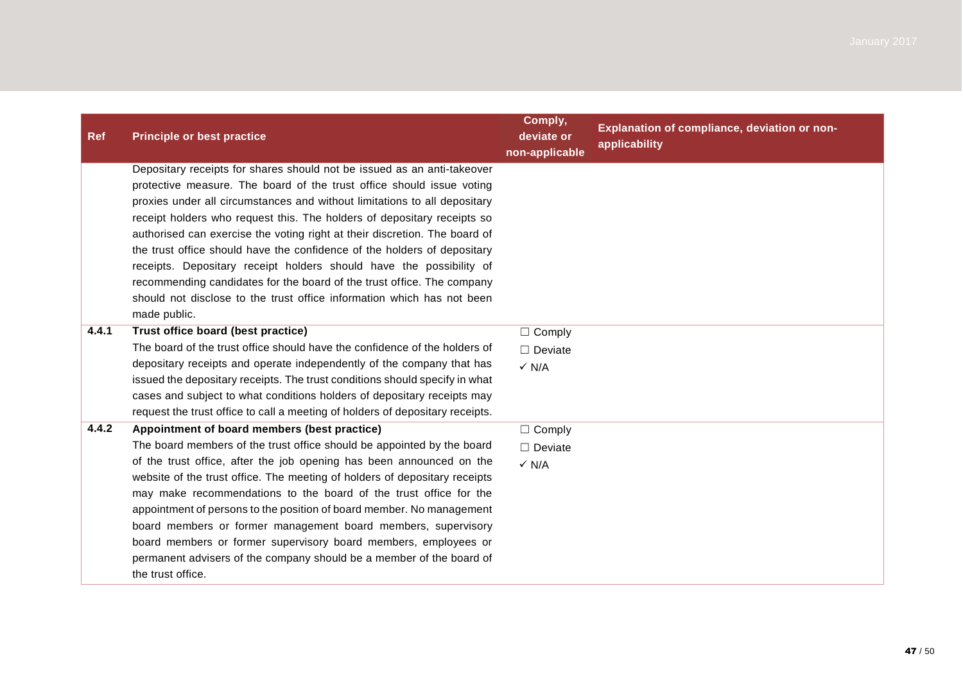| <b>Ref</b> | <b>Principle or best practice</b>                                                                                                                                                                                                                                                                                                                                                                                                                                                                                                                                                                                                                                                                             | Comply,<br>deviate or<br>non-applicable             | Explanation of compliance, deviation or non-<br>applicability |
|------------|---------------------------------------------------------------------------------------------------------------------------------------------------------------------------------------------------------------------------------------------------------------------------------------------------------------------------------------------------------------------------------------------------------------------------------------------------------------------------------------------------------------------------------------------------------------------------------------------------------------------------------------------------------------------------------------------------------------|-----------------------------------------------------|---------------------------------------------------------------|
|            | Depositary receipts for shares should not be issued as an anti-takeover<br>protective measure. The board of the trust office should issue voting<br>proxies under all circumstances and without limitations to all depositary<br>receipt holders who request this. The holders of depositary receipts so<br>authorised can exercise the voting right at their discretion. The board of<br>the trust office should have the confidence of the holders of depositary<br>receipts. Depositary receipt holders should have the possibility of<br>recommending candidates for the board of the trust office. The company<br>should not disclose to the trust office information which has not been<br>made public. |                                                     |                                                               |
| 4.4.1      | Trust office board (best practice)<br>The board of the trust office should have the confidence of the holders of<br>depositary receipts and operate independently of the company that has<br>issued the depositary receipts. The trust conditions should specify in what<br>cases and subject to what conditions holders of depositary receipts may<br>request the trust office to call a meeting of holders of depositary receipts.                                                                                                                                                                                                                                                                          | $\Box$ Comply<br>$\Box$ Deviate<br>$\checkmark$ N/A |                                                               |
| 4.4.2      | Appointment of board members (best practice)<br>The board members of the trust office should be appointed by the board<br>of the trust office, after the job opening has been announced on the<br>website of the trust office. The meeting of holders of depositary receipts<br>may make recommendations to the board of the trust office for the<br>appointment of persons to the position of board member. No management<br>board members or former management board members, supervisory<br>board members or former supervisory board members, employees or<br>permanent advisers of the company should be a member of the board of<br>the trust office.                                                   | $\Box$ Comply<br>$\Box$ Deviate<br>$\checkmark$ N/A |                                                               |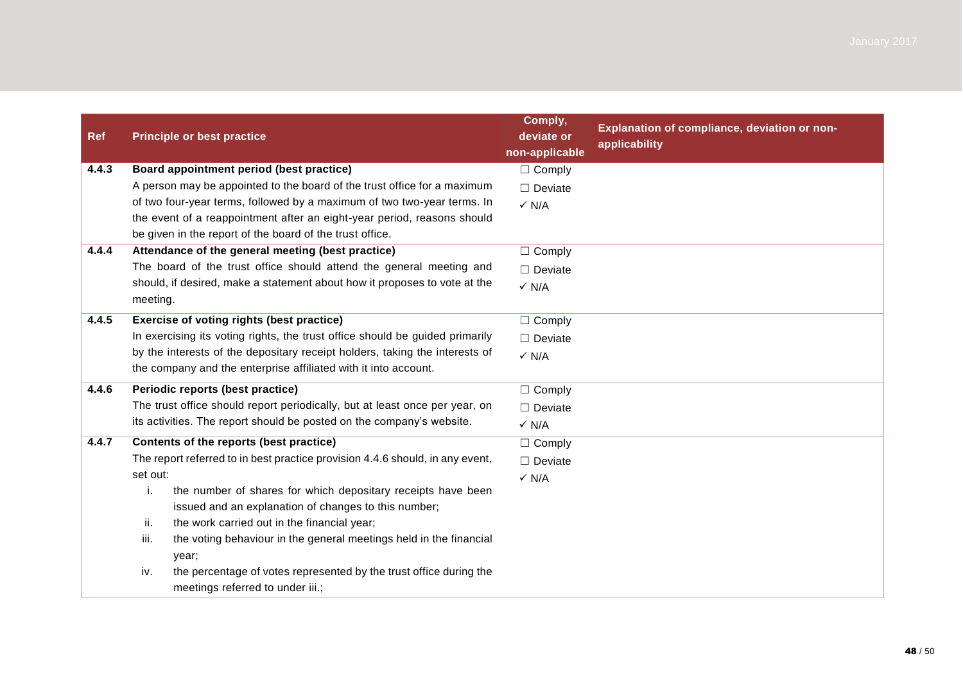| <b>Ref</b> | <b>Principle or best practice</b>                                                                                          | Comply,<br>deviate or<br>non-applicable | Explanation of compliance, deviation or non-<br>applicability |
|------------|----------------------------------------------------------------------------------------------------------------------------|-----------------------------------------|---------------------------------------------------------------|
| 4.4.3      | Board appointment period (best practice)                                                                                   | $\Box$ Comply                           |                                                               |
|            | A person may be appointed to the board of the trust office for a maximum                                                   | $\Box$ Deviate                          |                                                               |
|            | of two four-year terms, followed by a maximum of two two-year terms. In                                                    | $\checkmark$ N/A                        |                                                               |
|            | the event of a reappointment after an eight-year period, reasons should                                                    |                                         |                                                               |
|            | be given in the report of the board of the trust office.                                                                   |                                         |                                                               |
| 4.4.4      | Attendance of the general meeting (best practice)                                                                          | $\Box$ Comply                           |                                                               |
|            | The board of the trust office should attend the general meeting and                                                        | $\Box$ Deviate                          |                                                               |
|            | should, if desired, make a statement about how it proposes to vote at the<br>meeting.                                      | $\checkmark$ N/A                        |                                                               |
| 4.4.5      | Exercise of voting rights (best practice)                                                                                  | $\Box$ Comply                           |                                                               |
|            | In exercising its voting rights, the trust office should be guided primarily                                               | $\Box$ Deviate                          |                                                               |
|            | by the interests of the depositary receipt holders, taking the interests of                                                | $\checkmark$ N/A                        |                                                               |
|            | the company and the enterprise affiliated with it into account.                                                            |                                         |                                                               |
| 4.4.6      | Periodic reports (best practice)                                                                                           | $\Box$ Comply                           |                                                               |
|            | The trust office should report periodically, but at least once per year, on                                                | $\Box$ Deviate                          |                                                               |
|            | its activities. The report should be posted on the company's website.                                                      | $\checkmark$ N/A                        |                                                               |
| 4.4.7      | Contents of the reports (best practice)                                                                                    | $\Box$ Comply                           |                                                               |
|            | The report referred to in best practice provision 4.4.6 should, in any event,                                              | $\Box$ Deviate                          |                                                               |
|            | set out:                                                                                                                   | $\checkmark$ N/A                        |                                                               |
|            | i.<br>the number of shares for which depositary receipts have been<br>issued and an explanation of changes to this number; |                                         |                                                               |
|            | ii.<br>the work carried out in the financial year;                                                                         |                                         |                                                               |
|            | iii.<br>the voting behaviour in the general meetings held in the financial<br>year;                                        |                                         |                                                               |
|            | the percentage of votes represented by the trust office during the<br>iv.<br>meetings referred to under iii.;              |                                         |                                                               |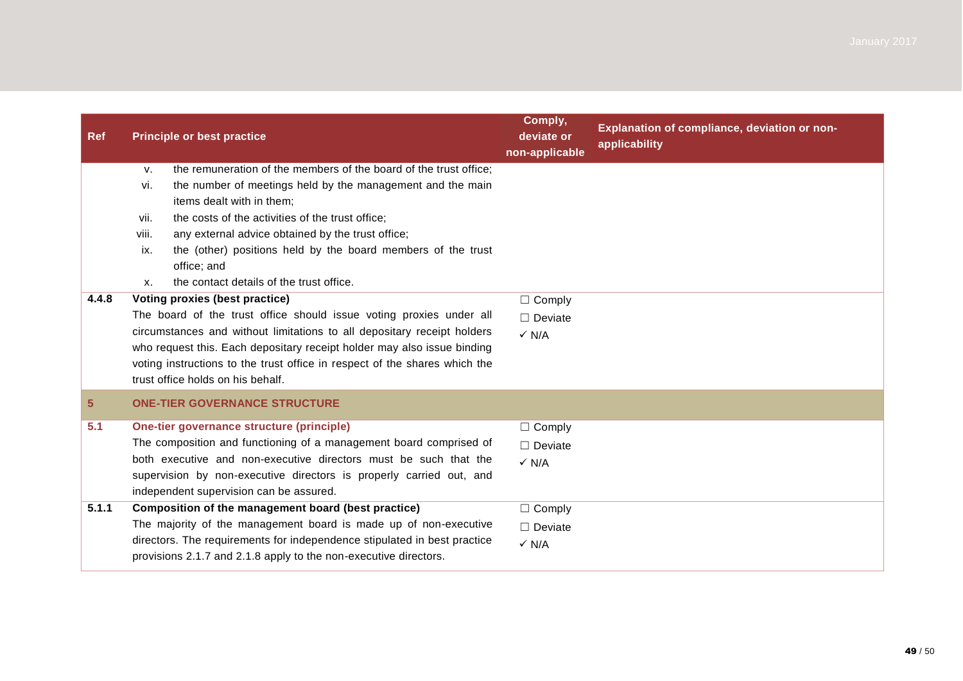| <b>Ref</b>     | <b>Principle or best practice</b>                                                                                                                                                                                                                                                                                                                                                                                                                  | Comply,<br>deviate or<br>non-applicable             | Explanation of compliance, deviation or non-<br>applicability |
|----------------|----------------------------------------------------------------------------------------------------------------------------------------------------------------------------------------------------------------------------------------------------------------------------------------------------------------------------------------------------------------------------------------------------------------------------------------------------|-----------------------------------------------------|---------------------------------------------------------------|
|                | the remuneration of the members of the board of the trust office;<br>V.<br>the number of meetings held by the management and the main<br>vi.<br>items dealt with in them;<br>the costs of the activities of the trust office;<br>vii.<br>any external advice obtained by the trust office;<br>viii.<br>the (other) positions held by the board members of the trust<br>ix.<br>office; and<br>the contact details of the trust office.<br><b>X.</b> |                                                     |                                                               |
| 4.4.8          | Voting proxies (best practice)<br>The board of the trust office should issue voting proxies under all<br>circumstances and without limitations to all depositary receipt holders<br>who request this. Each depositary receipt holder may also issue binding<br>voting instructions to the trust office in respect of the shares which the<br>trust office holds on his behalf.                                                                     | $\Box$ Comply<br>$\Box$ Deviate<br>$\checkmark$ N/A |                                                               |
| 5 <sup>5</sup> | <b>ONE-TIER GOVERNANCE STRUCTURE</b>                                                                                                                                                                                                                                                                                                                                                                                                               |                                                     |                                                               |
| 5.1            | One-tier governance structure (principle)<br>The composition and functioning of a management board comprised of<br>both executive and non-executive directors must be such that the<br>supervision by non-executive directors is properly carried out, and<br>independent supervision can be assured.                                                                                                                                              | $\Box$ Comply<br>$\Box$ Deviate<br>$\checkmark$ N/A |                                                               |
| 5.1.1          | Composition of the management board (best practice)<br>The majority of the management board is made up of non-executive<br>directors. The requirements for independence stipulated in best practice<br>provisions 2.1.7 and 2.1.8 apply to the non-executive directors.                                                                                                                                                                            | $\Box$ Comply<br>$\Box$ Deviate<br>$\checkmark$ N/A |                                                               |